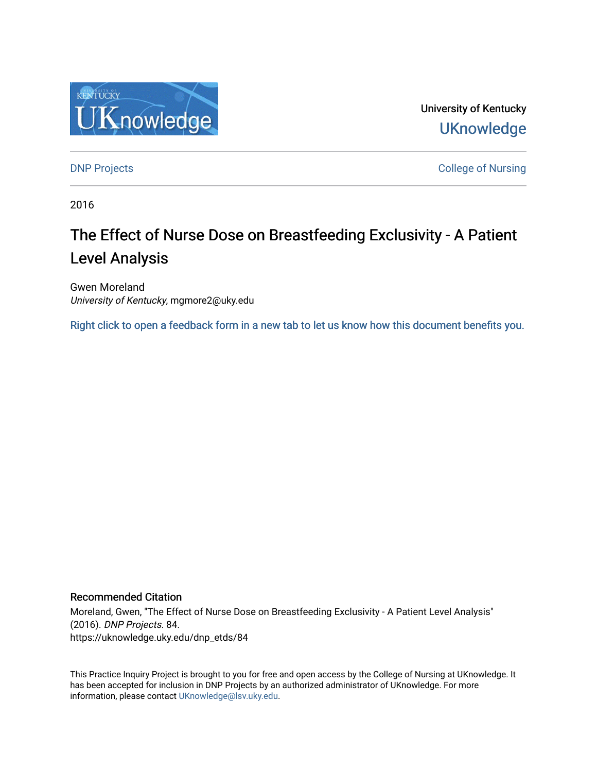

University of Kentucky **UKnowledge** 

[DNP Projects](https://uknowledge.uky.edu/dnp_etds) **College of Nursing** 

2016

# The Effect of Nurse Dose on Breastfeeding Exclusivity - A Patient Level Analysis

Gwen Moreland University of Kentucky, mgmore2@uky.edu

[Right click to open a feedback form in a new tab to let us know how this document benefits you.](https://uky.az1.qualtrics.com/jfe/form/SV_9mq8fx2GnONRfz7)

#### Recommended Citation

Moreland, Gwen, "The Effect of Nurse Dose on Breastfeeding Exclusivity - A Patient Level Analysis" (2016). DNP Projects. 84. https://uknowledge.uky.edu/dnp\_etds/84

This Practice Inquiry Project is brought to you for free and open access by the College of Nursing at UKnowledge. It has been accepted for inclusion in DNP Projects by an authorized administrator of UKnowledge. For more information, please contact [UKnowledge@lsv.uky.edu](mailto:UKnowledge@lsv.uky.edu).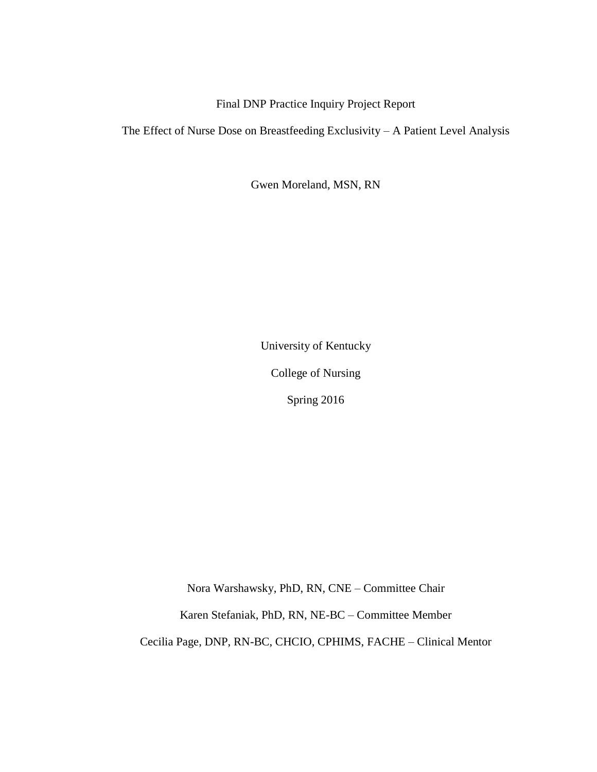Final DNP Practice Inquiry Project Report

The Effect of Nurse Dose on Breastfeeding Exclusivity – A Patient Level Analysis

Gwen Moreland, MSN, RN

University of Kentucky

College of Nursing

Spring 2016

Nora Warshawsky, PhD, RN, CNE – Committee Chair

Karen Stefaniak, PhD, RN, NE-BC – Committee Member

Cecilia Page, DNP, RN-BC, CHCIO, CPHIMS, FACHE – Clinical Mentor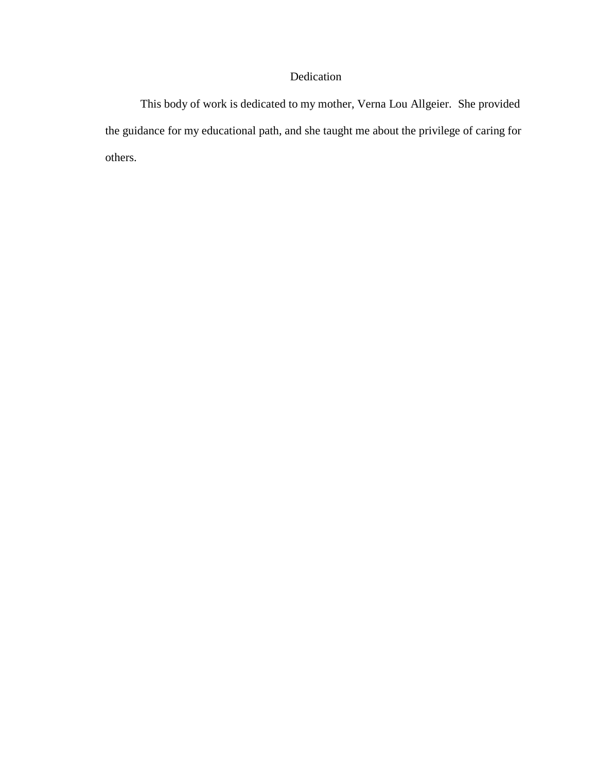## Dedication

This body of work is dedicated to my mother, Verna Lou Allgeier. She provided the guidance for my educational path, and she taught me about the privilege of caring for others.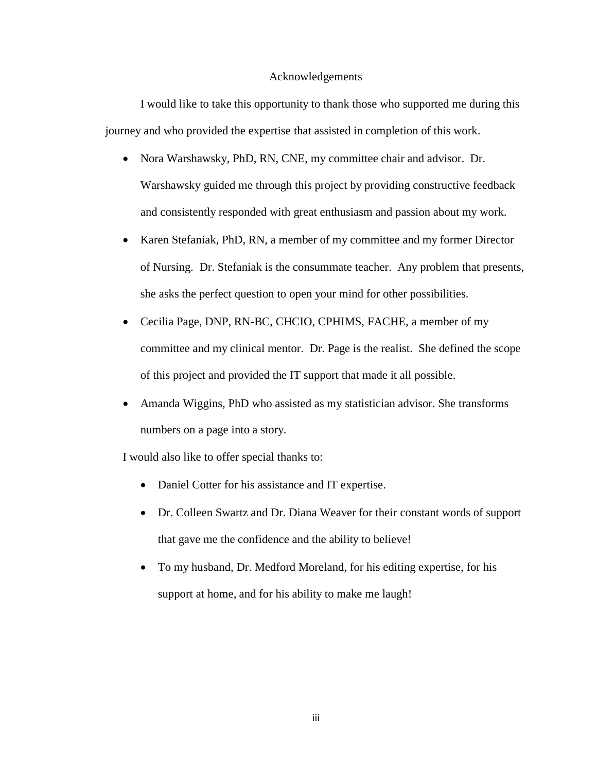#### Acknowledgements

I would like to take this opportunity to thank those who supported me during this journey and who provided the expertise that assisted in completion of this work.

- Nora Warshawsky, PhD, RN, CNE, my committee chair and advisor. Dr. Warshawsky guided me through this project by providing constructive feedback and consistently responded with great enthusiasm and passion about my work.
- Karen Stefaniak, PhD, RN, a member of my committee and my former Director of Nursing. Dr. Stefaniak is the consummate teacher. Any problem that presents, she asks the perfect question to open your mind for other possibilities.
- Cecilia Page, DNP, RN-BC, CHCIO, CPHIMS, FACHE, a member of my committee and my clinical mentor. Dr. Page is the realist. She defined the scope of this project and provided the IT support that made it all possible.
- Amanda Wiggins, PhD who assisted as my statistician advisor. She transforms numbers on a page into a story.

I would also like to offer special thanks to:

- Daniel Cotter for his assistance and IT expertise.
- Dr. Colleen Swartz and Dr. Diana Weaver for their constant words of support that gave me the confidence and the ability to believe!
- To my husband, Dr. Medford Moreland, for his editing expertise, for his support at home, and for his ability to make me laugh!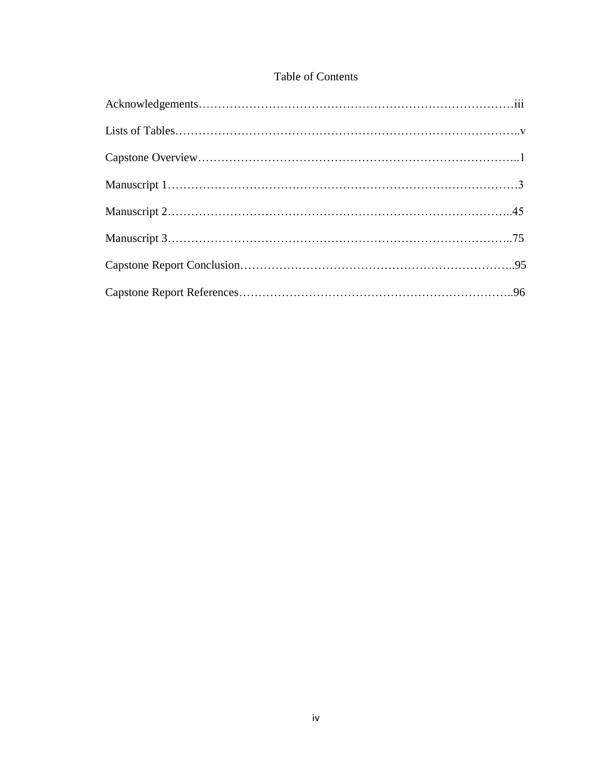# Table of Contents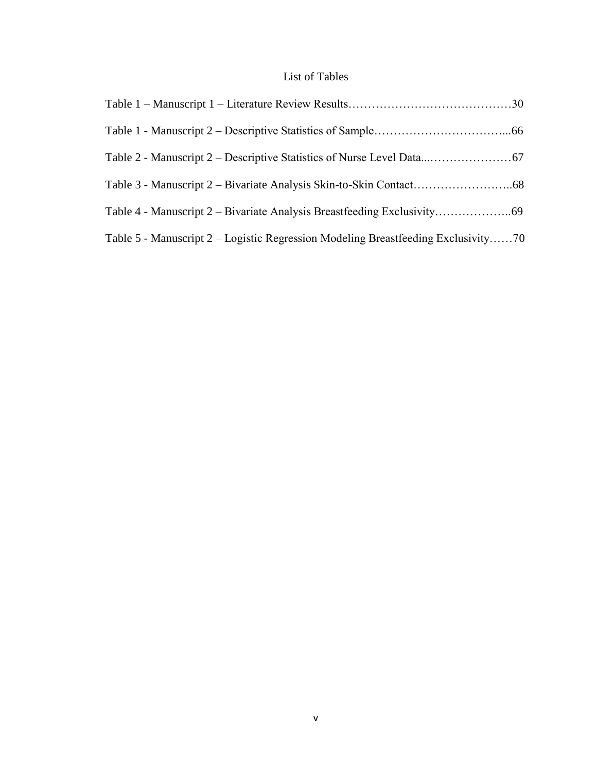# List of Tables

| Table 5 - Manuscript 2 – Logistic Regression Modeling Breastfeeding Exclusivity70 |  |
|-----------------------------------------------------------------------------------|--|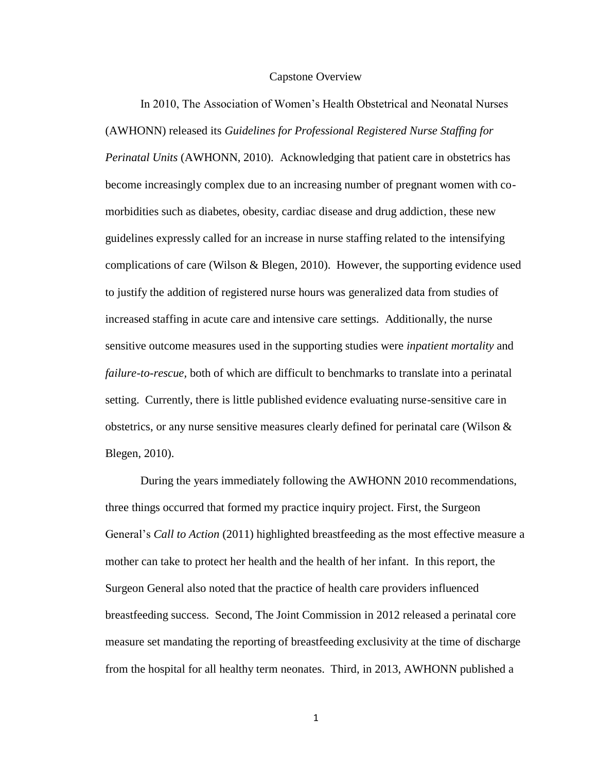#### Capstone Overview

In 2010, The Association of Women's Health Obstetrical and Neonatal Nurses (AWHONN) released its *Guidelines for Professional Registered Nurse Staffing for Perinatal Units* (AWHONN, 2010). Acknowledging that patient care in obstetrics has become increasingly complex due to an increasing number of pregnant women with comorbidities such as diabetes, obesity, cardiac disease and drug addiction, these new guidelines expressly called for an increase in nurse staffing related to the intensifying complications of care (Wilson & Blegen, 2010). However, the supporting evidence used to justify the addition of registered nurse hours was generalized data from studies of increased staffing in acute care and intensive care settings. Additionally, the nurse sensitive outcome measures used in the supporting studies were *inpatient mortality* and *failure-to-rescue,* both of which are difficult to benchmarks to translate into a perinatal setting. Currently, there is little published evidence evaluating nurse-sensitive care in obstetrics, or any nurse sensitive measures clearly defined for perinatal care (Wilson  $\&$ Blegen, 2010).

During the years immediately following the AWHONN 2010 recommendations, three things occurred that formed my practice inquiry project. First, the Surgeon General's *Call to Action* (2011) highlighted breastfeeding as the most effective measure a mother can take to protect her health and the health of her infant. In this report, the Surgeon General also noted that the practice of health care providers influenced breastfeeding success. Second, The Joint Commission in 2012 released a perinatal core measure set mandating the reporting of breastfeeding exclusivity at the time of discharge from the hospital for all healthy term neonates. Third, in 2013, AWHONN published a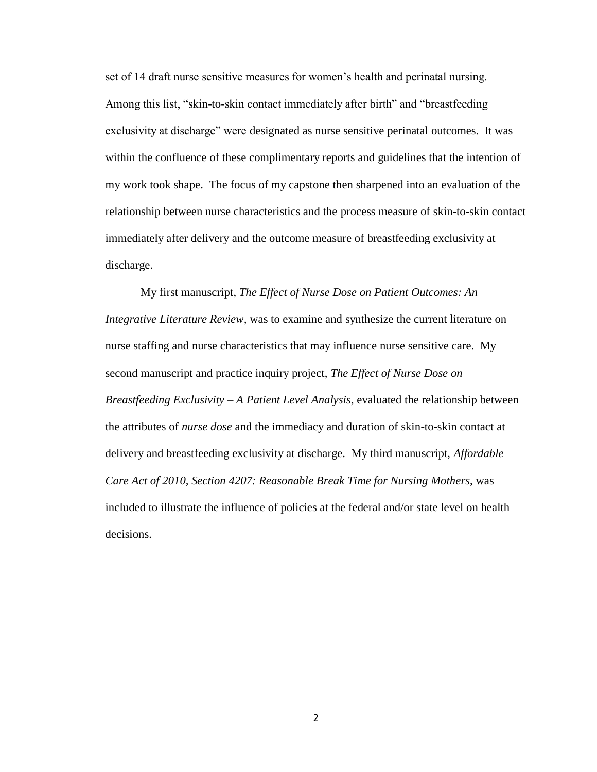set of 14 draft nurse sensitive measures for women's health and perinatal nursing. Among this list, "skin-to-skin contact immediately after birth" and "breastfeeding exclusivity at discharge" were designated as nurse sensitive perinatal outcomes. It was within the confluence of these complimentary reports and guidelines that the intention of my work took shape. The focus of my capstone then sharpened into an evaluation of the relationship between nurse characteristics and the process measure of skin-to-skin contact immediately after delivery and the outcome measure of breastfeeding exclusivity at discharge.

My first manuscript, *The Effect of Nurse Dose on Patient Outcomes: An Integrative Literature Review,* was to examine and synthesize the current literature on nurse staffing and nurse characteristics that may influence nurse sensitive care. My second manuscript and practice inquiry project, *The Effect of Nurse Dose on Breastfeeding Exclusivity – A Patient Level Analysis,* evaluated the relationship between the attributes of *nurse dose* and the immediacy and duration of skin-to-skin contact at delivery and breastfeeding exclusivity at discharge. My third manuscript, *Affordable Care Act of 2010, Section 4207: Reasonable Break Time for Nursing Mothers*, was included to illustrate the influence of policies at the federal and/or state level on health decisions.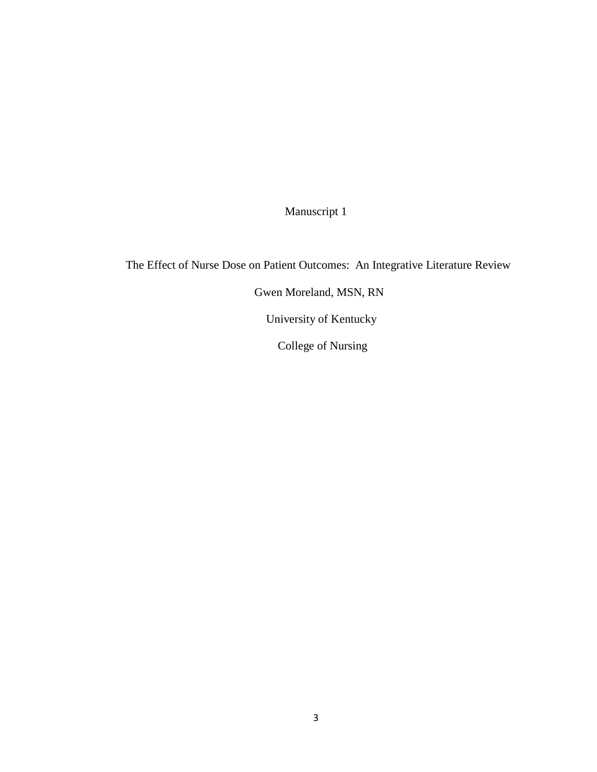Manuscript 1

 The Effect of Nurse Dose on Patient Outcomes: An Integrative Literature Review Gwen Moreland, MSN, RN University of Kentucky College of Nursing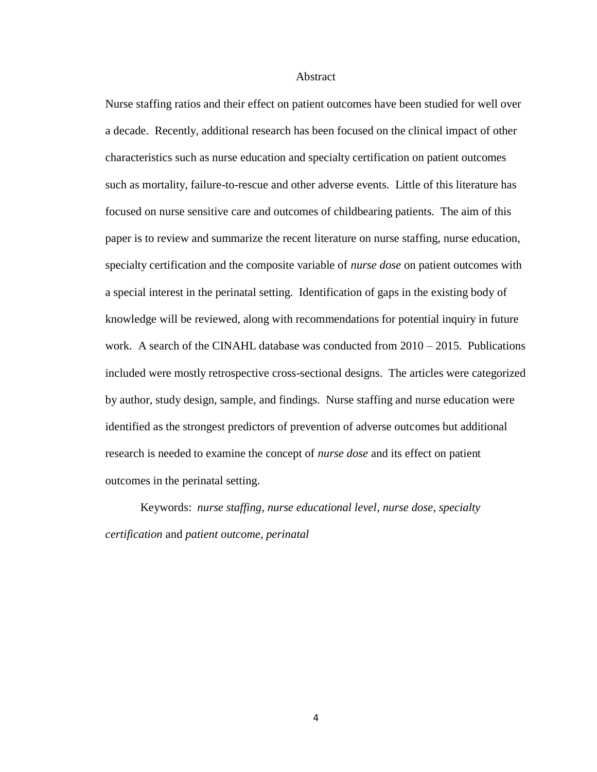#### Abstract

Nurse staffing ratios and their effect on patient outcomes have been studied for well over a decade. Recently, additional research has been focused on the clinical impact of other characteristics such as nurse education and specialty certification on patient outcomes such as mortality, failure-to-rescue and other adverse events. Little of this literature has focused on nurse sensitive care and outcomes of childbearing patients. The aim of this paper is to review and summarize the recent literature on nurse staffing, nurse education, specialty certification and the composite variable of *nurse dose* on patient outcomes with a special interest in the perinatal setting. Identification of gaps in the existing body of knowledge will be reviewed, along with recommendations for potential inquiry in future work. A search of the CINAHL database was conducted from 2010 – 2015. Publications included were mostly retrospective cross-sectional designs. The articles were categorized by author, study design, sample, and findings. Nurse staffing and nurse education were identified as the strongest predictors of prevention of adverse outcomes but additional research is needed to examine the concept of *nurse dose* and its effect on patient outcomes in the perinatal setting.

Keywords: *nurse staffing*, *nurse educational level*, *nurse dose*, *specialty certification* and *patient outcome, perinatal*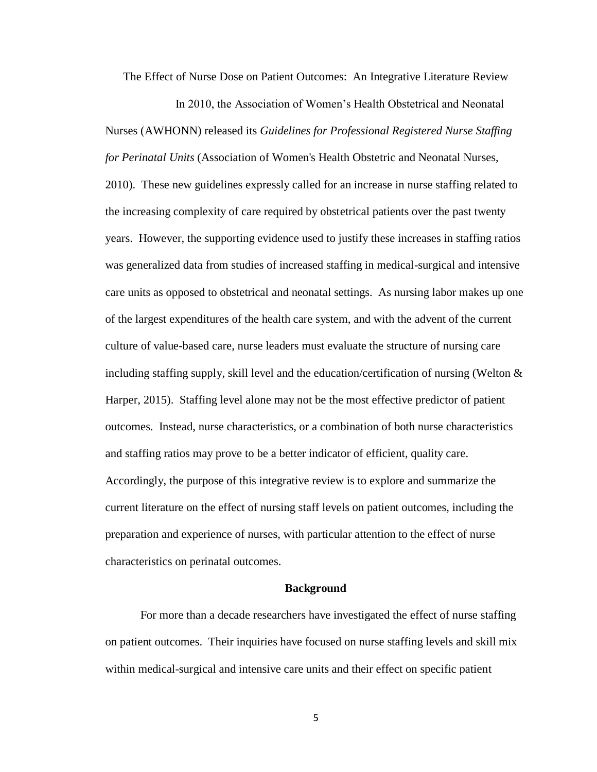The Effect of Nurse Dose on Patient Outcomes: An Integrative Literature Review

In 2010, the Association of Women's Health Obstetrical and Neonatal Nurses (AWHONN) released its *Guidelines for Professional Registered Nurse Staffing for Perinatal Units* (Association of Women's Health Obstetric and Neonatal Nurses, 2010). These new guidelines expressly called for an increase in nurse staffing related to the increasing complexity of care required by obstetrical patients over the past twenty years. However, the supporting evidence used to justify these increases in staffing ratios was generalized data from studies of increased staffing in medical-surgical and intensive care units as opposed to obstetrical and neonatal settings. As nursing labor makes up one of the largest expenditures of the health care system, and with the advent of the current culture of value-based care, nurse leaders must evaluate the structure of nursing care including staffing supply, skill level and the education/certification of nursing (Welton  $\&$ Harper, 2015). Staffing level alone may not be the most effective predictor of patient outcomes. Instead, nurse characteristics, or a combination of both nurse characteristics and staffing ratios may prove to be a better indicator of efficient, quality care. Accordingly, the purpose of this integrative review is to explore and summarize the current literature on the effect of nursing staff levels on patient outcomes, including the preparation and experience of nurses, with particular attention to the effect of nurse characteristics on perinatal outcomes.

#### **Background**

For more than a decade researchers have investigated the effect of nurse staffing on patient outcomes. Their inquiries have focused on nurse staffing levels and skill mix within medical-surgical and intensive care units and their effect on specific patient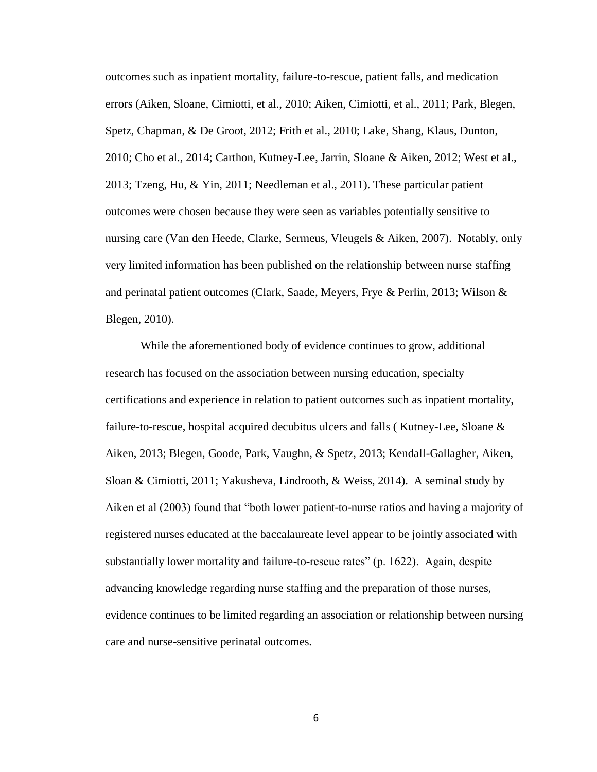outcomes such as inpatient mortality, failure-to-rescue, patient falls, and medication errors (Aiken, Sloane, Cimiotti, et al., 2010; Aiken, Cimiotti, et al., 2011; Park, Blegen, Spetz, Chapman, & De Groot, 2012; Frith et al., 2010; Lake, Shang, Klaus, Dunton, 2010; Cho et al., 2014; Carthon, Kutney-Lee, Jarrin, Sloane & Aiken, 2012; West et al., 2013; Tzeng, Hu, & Yin, 2011; Needleman et al., 2011). These particular patient outcomes were chosen because they were seen as variables potentially sensitive to nursing care (Van den Heede, Clarke, Sermeus, Vleugels & Aiken, 2007). Notably, only very limited information has been published on the relationship between nurse staffing and perinatal patient outcomes (Clark, Saade, Meyers, Frye & Perlin, 2013; Wilson & Blegen, 2010).

While the aforementioned body of evidence continues to grow, additional research has focused on the association between nursing education, specialty certifications and experience in relation to patient outcomes such as inpatient mortality, failure-to-rescue, hospital acquired decubitus ulcers and falls ( Kutney-Lee, Sloane & Aiken, 2013; Blegen, Goode, Park, Vaughn, & Spetz, 2013; Kendall-Gallagher, Aiken, Sloan & Cimiotti, 2011; Yakusheva, Lindrooth, & Weiss, 2014). A seminal study by Aiken et al (2003) found that "both lower patient-to-nurse ratios and having a majority of registered nurses educated at the baccalaureate level appear to be jointly associated with substantially lower mortality and failure-to-rescue rates" (p. 1622). Again, despite advancing knowledge regarding nurse staffing and the preparation of those nurses, evidence continues to be limited regarding an association or relationship between nursing care and nurse-sensitive perinatal outcomes.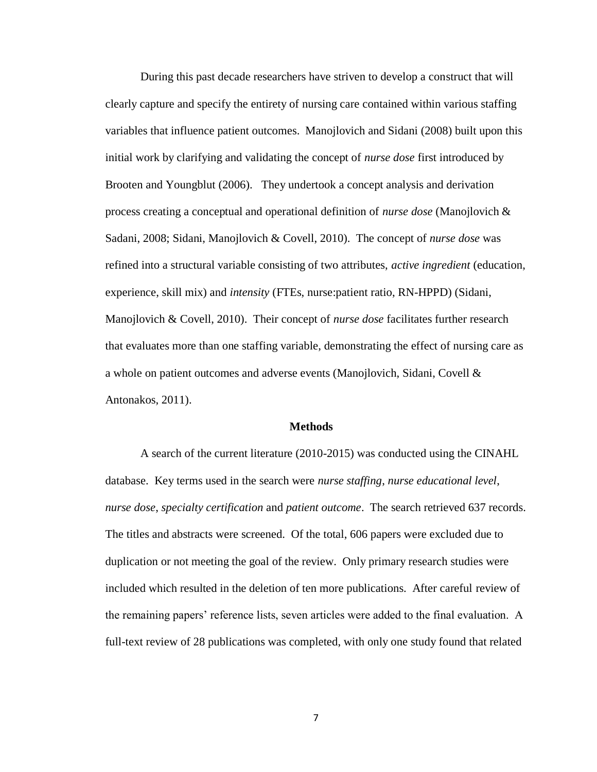During this past decade researchers have striven to develop a construct that will clearly capture and specify the entirety of nursing care contained within various staffing variables that influence patient outcomes. Manojlovich and Sidani (2008) built upon this initial work by clarifying and validating the concept of *nurse dose* first introduced by Brooten and Youngblut (2006). They undertook a concept analysis and derivation process creating a conceptual and operational definition of *nurse dose* (Manojlovich & Sadani, 2008; Sidani, Manojlovich & Covell, 2010). The concept of *nurse dose* was refined into a structural variable consisting of two attributes, *active ingredient* (education, experience, skill mix) and *intensity* (FTEs, nurse:patient ratio, RN-HPPD) (Sidani, Manojlovich & Covell, 2010). Their concept of *nurse dose* facilitates further research that evaluates more than one staffing variable, demonstrating the effect of nursing care as a whole on patient outcomes and adverse events (Manojlovich, Sidani, Covell & Antonakos, 2011).

#### **Methods**

A search of the current literature (2010-2015) was conducted using the CINAHL database. Key terms used in the search were *nurse staffing*, *nurse educational level*, *nurse dose*, *specialty certification* and *patient outcome*. The search retrieved 637 records. The titles and abstracts were screened. Of the total, 606 papers were excluded due to duplication or not meeting the goal of the review. Only primary research studies were included which resulted in the deletion of ten more publications. After careful review of the remaining papers' reference lists, seven articles were added to the final evaluation. A full-text review of 28 publications was completed, with only one study found that related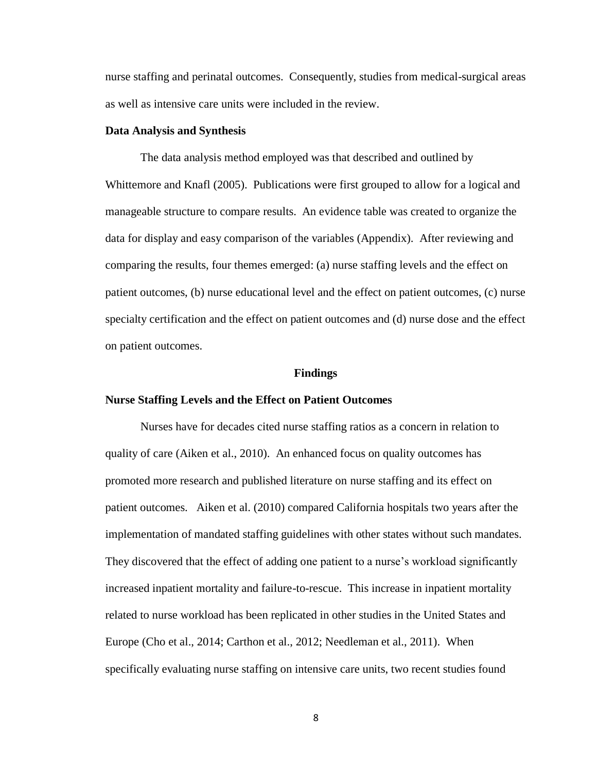nurse staffing and perinatal outcomes. Consequently, studies from medical-surgical areas as well as intensive care units were included in the review.

#### **Data Analysis and Synthesis**

The data analysis method employed was that described and outlined by Whittemore and Knafl (2005). Publications were first grouped to allow for a logical and manageable structure to compare results. An evidence table was created to organize the data for display and easy comparison of the variables (Appendix). After reviewing and comparing the results, four themes emerged: (a) nurse staffing levels and the effect on patient outcomes, (b) nurse educational level and the effect on patient outcomes, (c) nurse specialty certification and the effect on patient outcomes and (d) nurse dose and the effect on patient outcomes.

#### **Findings**

#### **Nurse Staffing Levels and the Effect on Patient Outcomes**

Nurses have for decades cited nurse staffing ratios as a concern in relation to quality of care (Aiken et al., 2010). An enhanced focus on quality outcomes has promoted more research and published literature on nurse staffing and its effect on patient outcomes. Aiken et al. (2010) compared California hospitals two years after the implementation of mandated staffing guidelines with other states without such mandates. They discovered that the effect of adding one patient to a nurse's workload significantly increased inpatient mortality and failure-to-rescue. This increase in inpatient mortality related to nurse workload has been replicated in other studies in the United States and Europe (Cho et al., 2014; Carthon et al., 2012; Needleman et al., 2011). When specifically evaluating nurse staffing on intensive care units, two recent studies found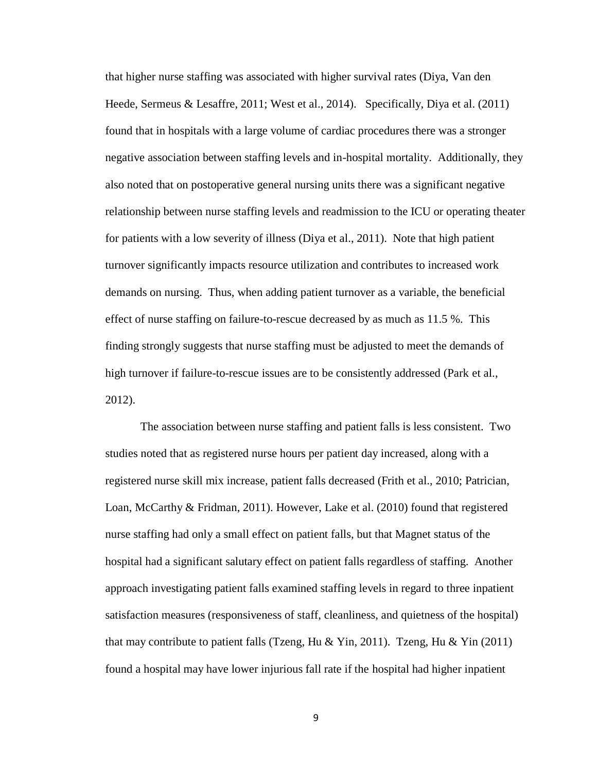that higher nurse staffing was associated with higher survival rates (Diya, Van den Heede, Sermeus & Lesaffre, 2011; West et al., 2014). Specifically, Diya et al. (2011) found that in hospitals with a large volume of cardiac procedures there was a stronger negative association between staffing levels and in-hospital mortality. Additionally, they also noted that on postoperative general nursing units there was a significant negative relationship between nurse staffing levels and readmission to the ICU or operating theater for patients with a low severity of illness (Diya et al., 2011). Note that high patient turnover significantly impacts resource utilization and contributes to increased work demands on nursing. Thus, when adding patient turnover as a variable, the beneficial effect of nurse staffing on failure-to-rescue decreased by as much as 11.5 %. This finding strongly suggests that nurse staffing must be adjusted to meet the demands of high turnover if failure-to-rescue issues are to be consistently addressed (Park et al., 2012).

The association between nurse staffing and patient falls is less consistent. Two studies noted that as registered nurse hours per patient day increased, along with a registered nurse skill mix increase, patient falls decreased (Frith et al., 2010; Patrician, Loan, McCarthy & Fridman, 2011). However, Lake et al. (2010) found that registered nurse staffing had only a small effect on patient falls, but that Magnet status of the hospital had a significant salutary effect on patient falls regardless of staffing. Another approach investigating patient falls examined staffing levels in regard to three inpatient satisfaction measures (responsiveness of staff, cleanliness, and quietness of the hospital) that may contribute to patient falls (Tzeng, Hu & Yin, 2011). Tzeng, Hu & Yin (2011) found a hospital may have lower injurious fall rate if the hospital had higher inpatient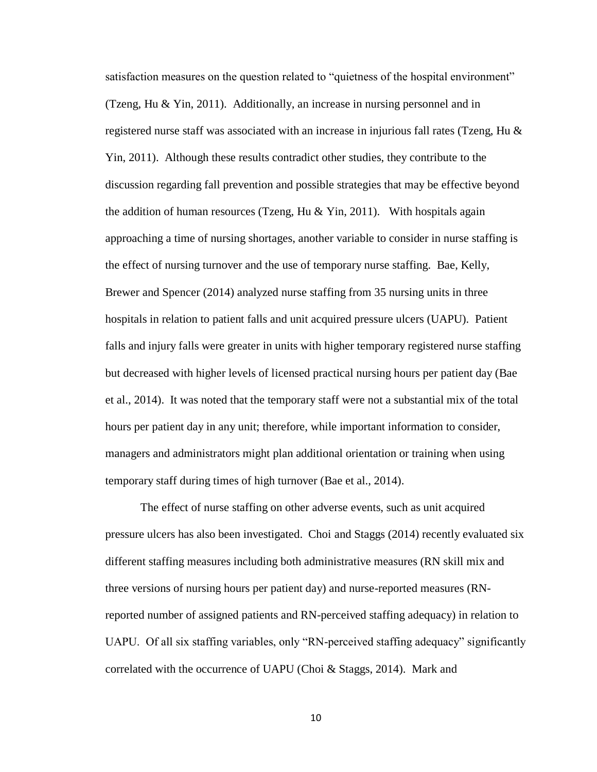satisfaction measures on the question related to "quietness of the hospital environment" (Tzeng, Hu & Yin, 2011). Additionally, an increase in nursing personnel and in registered nurse staff was associated with an increase in injurious fall rates (Tzeng, Hu  $\&$ Yin, 2011). Although these results contradict other studies, they contribute to the discussion regarding fall prevention and possible strategies that may be effective beyond the addition of human resources (Tzeng, Hu  $&$  Yin, 2011). With hospitals again approaching a time of nursing shortages, another variable to consider in nurse staffing is the effect of nursing turnover and the use of temporary nurse staffing. Bae, Kelly, Brewer and Spencer (2014) analyzed nurse staffing from 35 nursing units in three hospitals in relation to patient falls and unit acquired pressure ulcers (UAPU). Patient falls and injury falls were greater in units with higher temporary registered nurse staffing but decreased with higher levels of licensed practical nursing hours per patient day (Bae et al., 2014). It was noted that the temporary staff were not a substantial mix of the total hours per patient day in any unit; therefore, while important information to consider, managers and administrators might plan additional orientation or training when using temporary staff during times of high turnover (Bae et al., 2014).

The effect of nurse staffing on other adverse events, such as unit acquired pressure ulcers has also been investigated. Choi and Staggs (2014) recently evaluated six different staffing measures including both administrative measures (RN skill mix and three versions of nursing hours per patient day) and nurse-reported measures (RNreported number of assigned patients and RN-perceived staffing adequacy) in relation to UAPU. Of all six staffing variables, only "RN-perceived staffing adequacy" significantly correlated with the occurrence of UAPU (Choi & Staggs, 2014). Mark and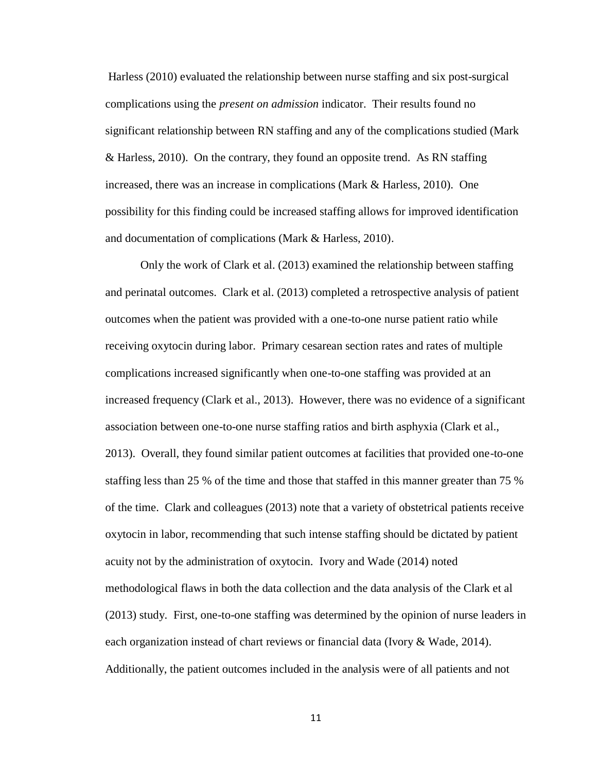Harless (2010) evaluated the relationship between nurse staffing and six post-surgical complications using the *present on admission* indicator. Their results found no significant relationship between RN staffing and any of the complications studied (Mark & Harless, 2010). On the contrary, they found an opposite trend. As RN staffing increased, there was an increase in complications (Mark & Harless, 2010). One possibility for this finding could be increased staffing allows for improved identification and documentation of complications (Mark & Harless, 2010).

Only the work of Clark et al. (2013) examined the relationship between staffing and perinatal outcomes. Clark et al. (2013) completed a retrospective analysis of patient outcomes when the patient was provided with a one-to-one nurse patient ratio while receiving oxytocin during labor. Primary cesarean section rates and rates of multiple complications increased significantly when one-to-one staffing was provided at an increased frequency (Clark et al., 2013). However, there was no evidence of a significant association between one-to-one nurse staffing ratios and birth asphyxia (Clark et al., 2013). Overall, they found similar patient outcomes at facilities that provided one-to-one staffing less than 25 % of the time and those that staffed in this manner greater than 75 % of the time. Clark and colleagues (2013) note that a variety of obstetrical patients receive oxytocin in labor, recommending that such intense staffing should be dictated by patient acuity not by the administration of oxytocin. Ivory and Wade (2014) noted methodological flaws in both the data collection and the data analysis of the Clark et al (2013) study. First, one-to-one staffing was determined by the opinion of nurse leaders in each organization instead of chart reviews or financial data (Ivory & Wade, 2014). Additionally, the patient outcomes included in the analysis were of all patients and not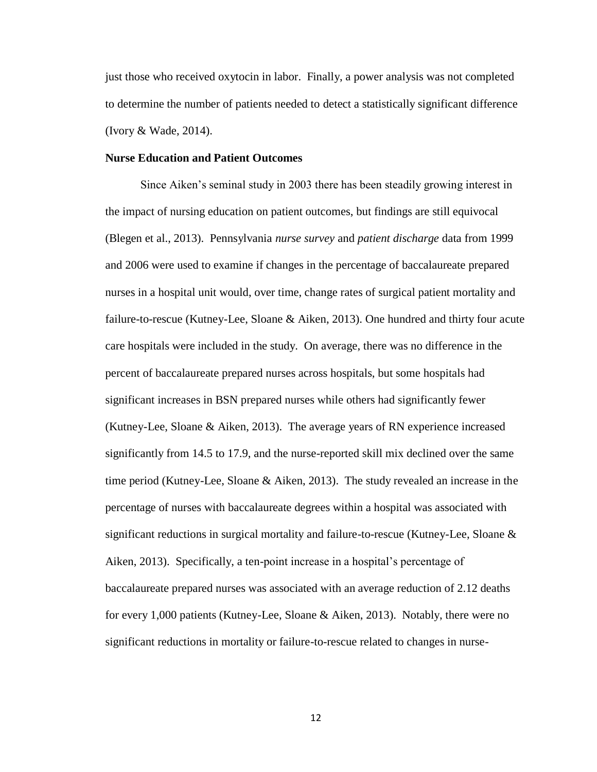just those who received oxytocin in labor. Finally, a power analysis was not completed to determine the number of patients needed to detect a statistically significant difference (Ivory & Wade, 2014).

#### **Nurse Education and Patient Outcomes**

Since Aiken's seminal study in 2003 there has been steadily growing interest in the impact of nursing education on patient outcomes, but findings are still equivocal (Blegen et al., 2013). Pennsylvania *nurse survey* and *patient discharge* data from 1999 and 2006 were used to examine if changes in the percentage of baccalaureate prepared nurses in a hospital unit would, over time, change rates of surgical patient mortality and failure-to-rescue (Kutney-Lee, Sloane & Aiken, 2013). One hundred and thirty four acute care hospitals were included in the study. On average, there was no difference in the percent of baccalaureate prepared nurses across hospitals, but some hospitals had significant increases in BSN prepared nurses while others had significantly fewer (Kutney-Lee, Sloane & Aiken, 2013). The average years of RN experience increased significantly from 14.5 to 17.9, and the nurse-reported skill mix declined over the same time period (Kutney-Lee, Sloane & Aiken, 2013). The study revealed an increase in the percentage of nurses with baccalaureate degrees within a hospital was associated with significant reductions in surgical mortality and failure-to-rescue (Kutney-Lee, Sloane & Aiken, 2013). Specifically, a ten-point increase in a hospital's percentage of baccalaureate prepared nurses was associated with an average reduction of 2.12 deaths for every 1,000 patients (Kutney-Lee, Sloane & Aiken, 2013). Notably, there were no significant reductions in mortality or failure-to-rescue related to changes in nurse-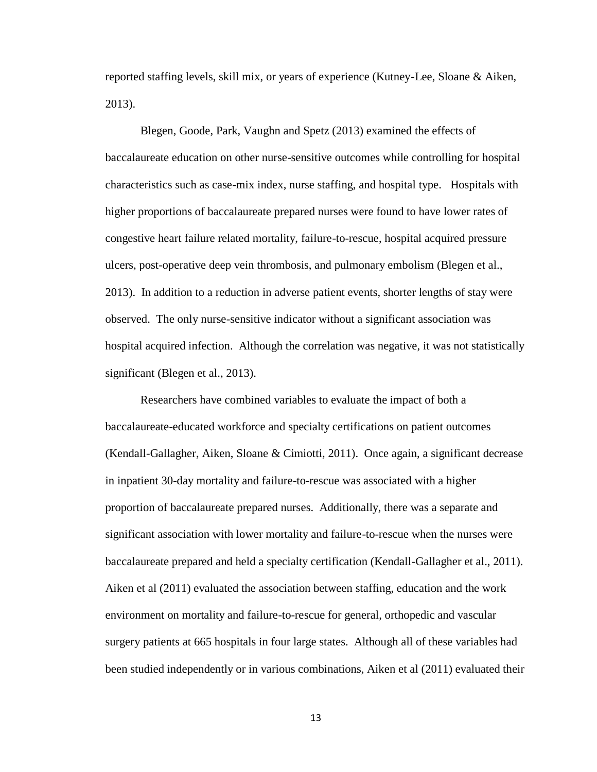reported staffing levels, skill mix, or years of experience (Kutney-Lee, Sloane & Aiken, 2013).

Blegen, Goode, Park, Vaughn and Spetz (2013) examined the effects of baccalaureate education on other nurse-sensitive outcomes while controlling for hospital characteristics such as case-mix index, nurse staffing, and hospital type. Hospitals with higher proportions of baccalaureate prepared nurses were found to have lower rates of congestive heart failure related mortality, failure-to-rescue, hospital acquired pressure ulcers, post-operative deep vein thrombosis, and pulmonary embolism (Blegen et al., 2013). In addition to a reduction in adverse patient events, shorter lengths of stay were observed. The only nurse-sensitive indicator without a significant association was hospital acquired infection. Although the correlation was negative, it was not statistically significant (Blegen et al., 2013).

Researchers have combined variables to evaluate the impact of both a baccalaureate-educated workforce and specialty certifications on patient outcomes (Kendall-Gallagher, Aiken, Sloane & Cimiotti, 2011). Once again, a significant decrease in inpatient 30-day mortality and failure-to-rescue was associated with a higher proportion of baccalaureate prepared nurses. Additionally, there was a separate and significant association with lower mortality and failure-to-rescue when the nurses were baccalaureate prepared and held a specialty certification (Kendall-Gallagher et al., 2011). Aiken et al (2011) evaluated the association between staffing, education and the work environment on mortality and failure-to-rescue for general, orthopedic and vascular surgery patients at 665 hospitals in four large states. Although all of these variables had been studied independently or in various combinations, Aiken et al (2011) evaluated their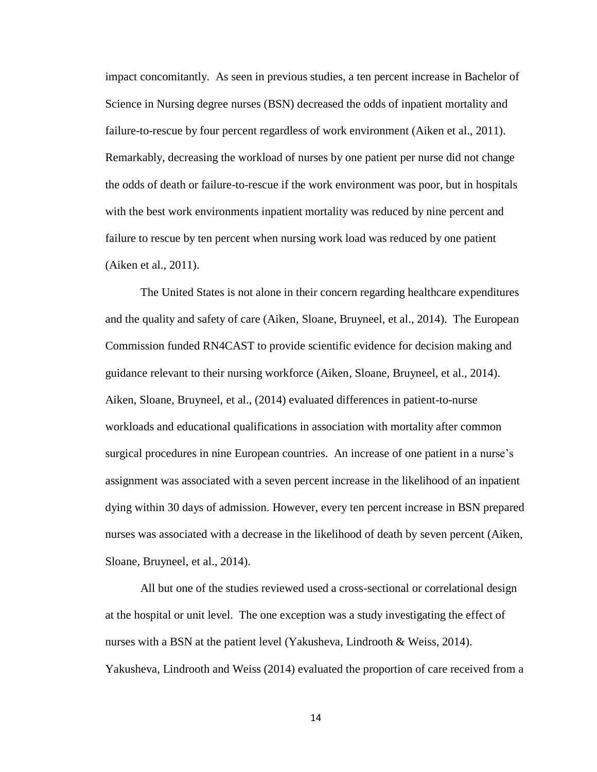impact concomitantly. As seen in previous studies, a ten percent increase in Bachelor of Science in Nursing degree nurses (BSN) decreased the odds of inpatient mortality and failure-to-rescue by four percent regardless of work environment (Aiken et al., 2011). Remarkably, decreasing the workload of nurses by one patient per nurse did not change the odds of death or failure-to-rescue if the work environment was poor, but in hospitals with the best work environments inpatient mortality was reduced by nine percent and failure to rescue by ten percent when nursing work load was reduced by one patient (Aiken et al., 2011).

The United States is not alone in their concern regarding healthcare expenditures and the quality and safety of care (Aiken, Sloane, Bruyneel, et al., 2014). The European Commission funded RN4CAST to provide scientific evidence for decision making and guidance relevant to their nursing workforce (Aiken, Sloane, Bruyneel, et al., 2014). Aiken, Sloane, Bruyneel, et al., (2014) evaluated differences in patient-to-nurse workloads and educational qualifications in association with mortality after common surgical procedures in nine European countries. An increase of one patient in a nurse's assignment was associated with a seven percent increase in the likelihood of an inpatient dying within 30 days of admission. However, every ten percent increase in BSN prepared nurses was associated with a decrease in the likelihood of death by seven percent (Aiken, Sloane, Bruyneel, et al., 2014).

All but one of the studies reviewed used a cross-sectional or correlational design at the hospital or unit level. The one exception was a study investigating the effect of nurses with a BSN at the patient level (Yakusheva, Lindrooth & Weiss, 2014). Yakusheva, Lindrooth and Weiss (2014) evaluated the proportion of care received from a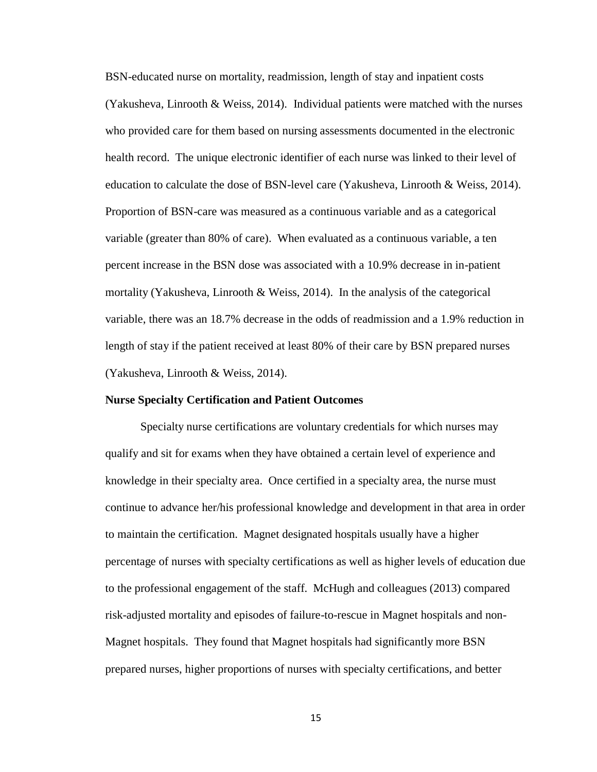BSN-educated nurse on mortality, readmission, length of stay and inpatient costs (Yakusheva, Linrooth & Weiss, 2014). Individual patients were matched with the nurses who provided care for them based on nursing assessments documented in the electronic health record. The unique electronic identifier of each nurse was linked to their level of education to calculate the dose of BSN-level care (Yakusheva, Linrooth & Weiss, 2014). Proportion of BSN-care was measured as a continuous variable and as a categorical variable (greater than 80% of care). When evaluated as a continuous variable, a ten percent increase in the BSN dose was associated with a 10.9% decrease in in-patient mortality (Yakusheva, Linrooth & Weiss, 2014). In the analysis of the categorical variable, there was an 18.7% decrease in the odds of readmission and a 1.9% reduction in length of stay if the patient received at least 80% of their care by BSN prepared nurses (Yakusheva, Linrooth & Weiss, 2014).

#### **Nurse Specialty Certification and Patient Outcomes**

Specialty nurse certifications are voluntary credentials for which nurses may qualify and sit for exams when they have obtained a certain level of experience and knowledge in their specialty area. Once certified in a specialty area, the nurse must continue to advance her/his professional knowledge and development in that area in order to maintain the certification. Magnet designated hospitals usually have a higher percentage of nurses with specialty certifications as well as higher levels of education due to the professional engagement of the staff. McHugh and colleagues (2013) compared risk-adjusted mortality and episodes of failure-to-rescue in Magnet hospitals and non-Magnet hospitals. They found that Magnet hospitals had significantly more BSN prepared nurses, higher proportions of nurses with specialty certifications, and better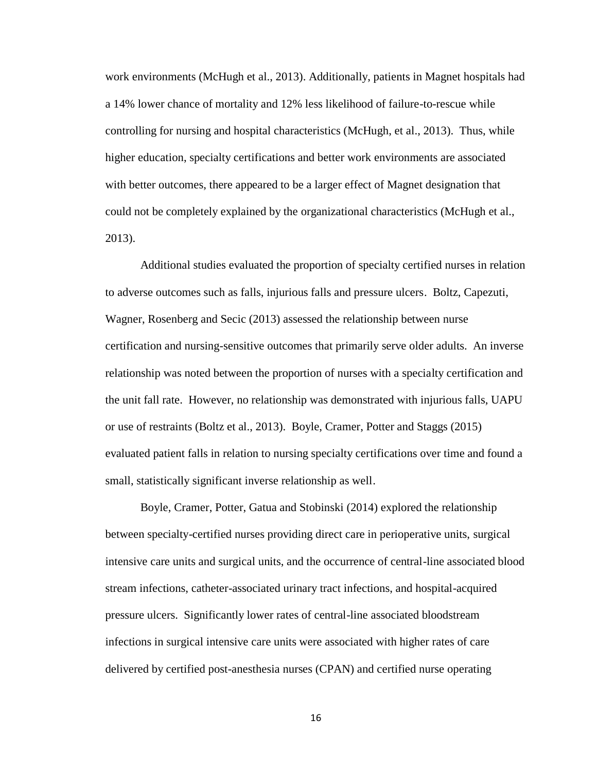work environments (McHugh et al., 2013). Additionally, patients in Magnet hospitals had a 14% lower chance of mortality and 12% less likelihood of failure-to-rescue while controlling for nursing and hospital characteristics (McHugh, et al., 2013). Thus, while higher education, specialty certifications and better work environments are associated with better outcomes, there appeared to be a larger effect of Magnet designation that could not be completely explained by the organizational characteristics (McHugh et al., 2013).

Additional studies evaluated the proportion of specialty certified nurses in relation to adverse outcomes such as falls, injurious falls and pressure ulcers. Boltz, Capezuti, Wagner, Rosenberg and Secic (2013) assessed the relationship between nurse certification and nursing-sensitive outcomes that primarily serve older adults. An inverse relationship was noted between the proportion of nurses with a specialty certification and the unit fall rate. However, no relationship was demonstrated with injurious falls, UAPU or use of restraints (Boltz et al., 2013). Boyle, Cramer, Potter and Staggs (2015) evaluated patient falls in relation to nursing specialty certifications over time and found a small, statistically significant inverse relationship as well.

Boyle, Cramer, Potter, Gatua and Stobinski (2014) explored the relationship between specialty-certified nurses providing direct care in perioperative units, surgical intensive care units and surgical units, and the occurrence of central-line associated blood stream infections, catheter-associated urinary tract infections, and hospital-acquired pressure ulcers. Significantly lower rates of central-line associated bloodstream infections in surgical intensive care units were associated with higher rates of care delivered by certified post-anesthesia nurses (CPAN) and certified nurse operating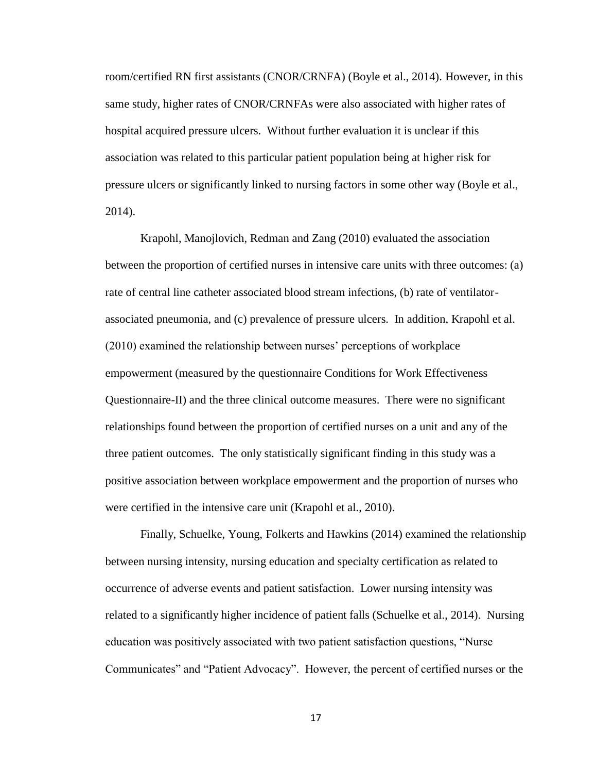room/certified RN first assistants (CNOR/CRNFA) (Boyle et al., 2014). However, in this same study, higher rates of CNOR/CRNFAs were also associated with higher rates of hospital acquired pressure ulcers. Without further evaluation it is unclear if this association was related to this particular patient population being at higher risk for pressure ulcers or significantly linked to nursing factors in some other way (Boyle et al., 2014).

Krapohl, Manojlovich, Redman and Zang (2010) evaluated the association between the proportion of certified nurses in intensive care units with three outcomes: (a) rate of central line catheter associated blood stream infections, (b) rate of ventilatorassociated pneumonia, and (c) prevalence of pressure ulcers. In addition, Krapohl et al. (2010) examined the relationship between nurses' perceptions of workplace empowerment (measured by the questionnaire Conditions for Work Effectiveness Questionnaire-II) and the three clinical outcome measures. There were no significant relationships found between the proportion of certified nurses on a unit and any of the three patient outcomes. The only statistically significant finding in this study was a positive association between workplace empowerment and the proportion of nurses who were certified in the intensive care unit (Krapohl et al., 2010).

Finally, Schuelke, Young, Folkerts and Hawkins (2014) examined the relationship between nursing intensity, nursing education and specialty certification as related to occurrence of adverse events and patient satisfaction. Lower nursing intensity was related to a significantly higher incidence of patient falls (Schuelke et al., 2014). Nursing education was positively associated with two patient satisfaction questions, "Nurse Communicates" and "Patient Advocacy". However, the percent of certified nurses or the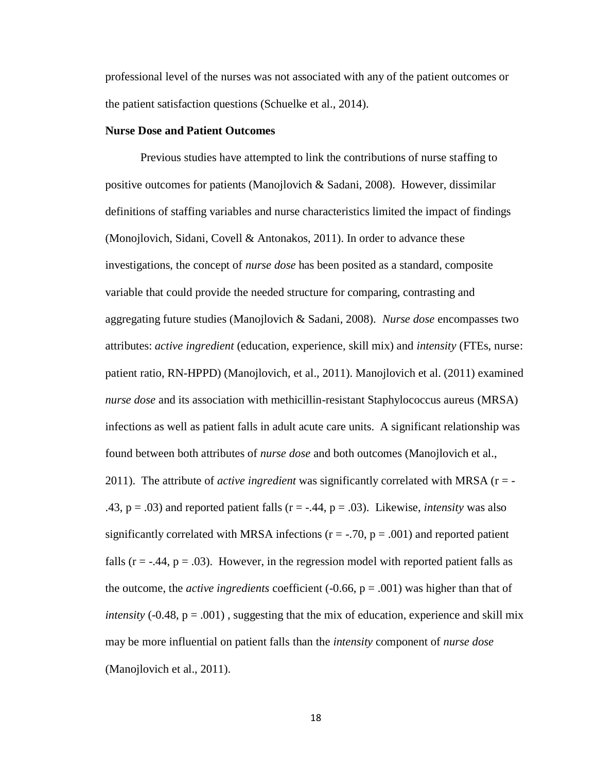professional level of the nurses was not associated with any of the patient outcomes or the patient satisfaction questions (Schuelke et al., 2014).

#### **Nurse Dose and Patient Outcomes**

Previous studies have attempted to link the contributions of nurse staffing to positive outcomes for patients (Manojlovich & Sadani, 2008). However, dissimilar definitions of staffing variables and nurse characteristics limited the impact of findings (Monojlovich, Sidani, Covell & Antonakos, 2011). In order to advance these investigations, the concept of *nurse dose* has been posited as a standard, composite variable that could provide the needed structure for comparing, contrasting and aggregating future studies (Manojlovich & Sadani, 2008). *Nurse dose* encompasses two attributes: *active ingredient* (education, experience, skill mix) and *intensity* (FTEs, nurse: patient ratio, RN-HPPD) (Manojlovich, et al., 2011). Manojlovich et al. (2011) examined *nurse dose* and its association with methicillin-resistant Staphylococcus aureus (MRSA) infections as well as patient falls in adult acute care units. A significant relationship was found between both attributes of *nurse dose* and both outcomes (Manojlovich et al., 2011). The attribute of *active ingredient* was significantly correlated with MRSA (r = - .43,  $p = .03$ ) and reported patient falls ( $r = -.44$ ,  $p = .03$ ). Likewise, *intensity* was also significantly correlated with MRSA infections ( $r = -.70$ ,  $p = .001$ ) and reported patient falls  $(r = -0.44, p = 0.03)$ . However, in the regression model with reported patient falls as the outcome, the *active ingredients* coefficient  $(-0.66, p = .001)$  was higher than that of *intensity* (-0.48,  $p = .001$ ), suggesting that the mix of education, experience and skill mix may be more influential on patient falls than the *intensity* component of *nurse dose* (Manojlovich et al., 2011).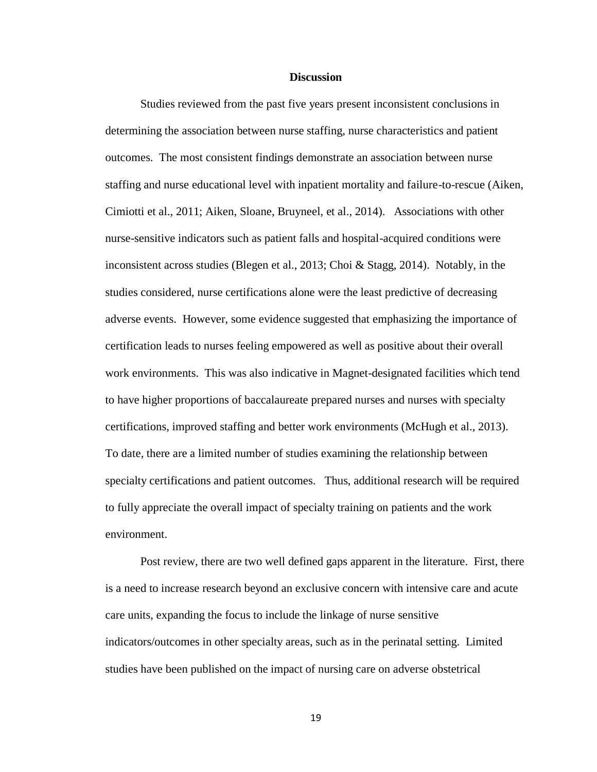#### **Discussion**

Studies reviewed from the past five years present inconsistent conclusions in determining the association between nurse staffing, nurse characteristics and patient outcomes. The most consistent findings demonstrate an association between nurse staffing and nurse educational level with inpatient mortality and failure-to-rescue (Aiken, Cimiotti et al., 2011; Aiken, Sloane, Bruyneel, et al., 2014). Associations with other nurse-sensitive indicators such as patient falls and hospital-acquired conditions were inconsistent across studies (Blegen et al., 2013; Choi & Stagg, 2014). Notably, in the studies considered, nurse certifications alone were the least predictive of decreasing adverse events. However, some evidence suggested that emphasizing the importance of certification leads to nurses feeling empowered as well as positive about their overall work environments. This was also indicative in Magnet-designated facilities which tend to have higher proportions of baccalaureate prepared nurses and nurses with specialty certifications, improved staffing and better work environments (McHugh et al., 2013). To date, there are a limited number of studies examining the relationship between specialty certifications and patient outcomes. Thus, additional research will be required to fully appreciate the overall impact of specialty training on patients and the work environment.

Post review, there are two well defined gaps apparent in the literature. First, there is a need to increase research beyond an exclusive concern with intensive care and acute care units, expanding the focus to include the linkage of nurse sensitive indicators/outcomes in other specialty areas, such as in the perinatal setting. Limited studies have been published on the impact of nursing care on adverse obstetrical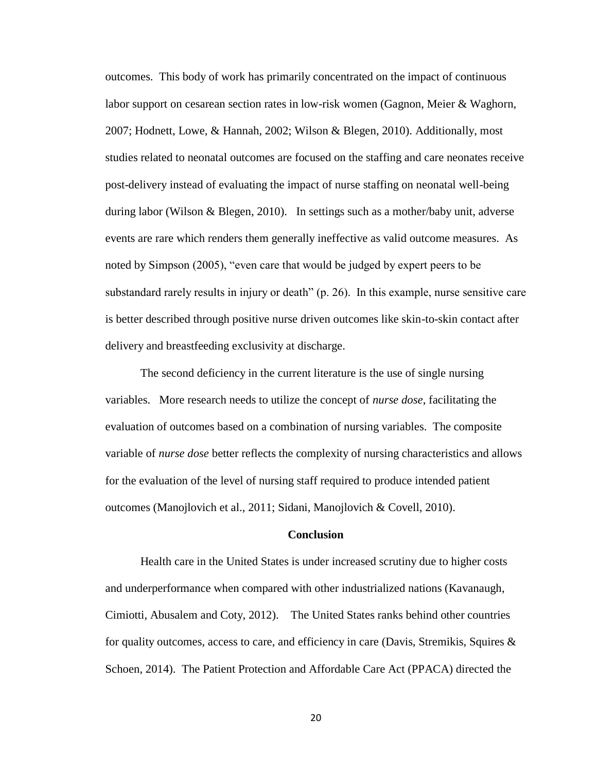outcomes. This body of work has primarily concentrated on the impact of continuous labor support on cesarean section rates in low-risk women (Gagnon, Meier & Waghorn, 2007; Hodnett, Lowe, & Hannah, 2002; Wilson & Blegen, 2010). Additionally, most studies related to neonatal outcomes are focused on the staffing and care neonates receive post-delivery instead of evaluating the impact of nurse staffing on neonatal well-being during labor (Wilson & Blegen, 2010). In settings such as a mother/baby unit, adverse events are rare which renders them generally ineffective as valid outcome measures. As noted by Simpson (2005), "even care that would be judged by expert peers to be substandard rarely results in injury or death" (p. 26). In this example, nurse sensitive care is better described through positive nurse driven outcomes like skin-to-skin contact after delivery and breastfeeding exclusivity at discharge.

The second deficiency in the current literature is the use of single nursing variables. More research needs to utilize the concept of *nurse dose*, facilitating the evaluation of outcomes based on a combination of nursing variables. The composite variable of *nurse dose* better reflects the complexity of nursing characteristics and allows for the evaluation of the level of nursing staff required to produce intended patient outcomes (Manojlovich et al., 2011; Sidani, Manojlovich & Covell, 2010).

#### **Conclusion**

Health care in the United States is under increased scrutiny due to higher costs and underperformance when compared with other industrialized nations (Kavanaugh, Cimiotti, Abusalem and Coty, 2012). The United States ranks behind other countries for quality outcomes, access to care, and efficiency in care (Davis, Stremikis, Squires  $\&$ Schoen, 2014). The Patient Protection and Affordable Care Act (PPACA) directed the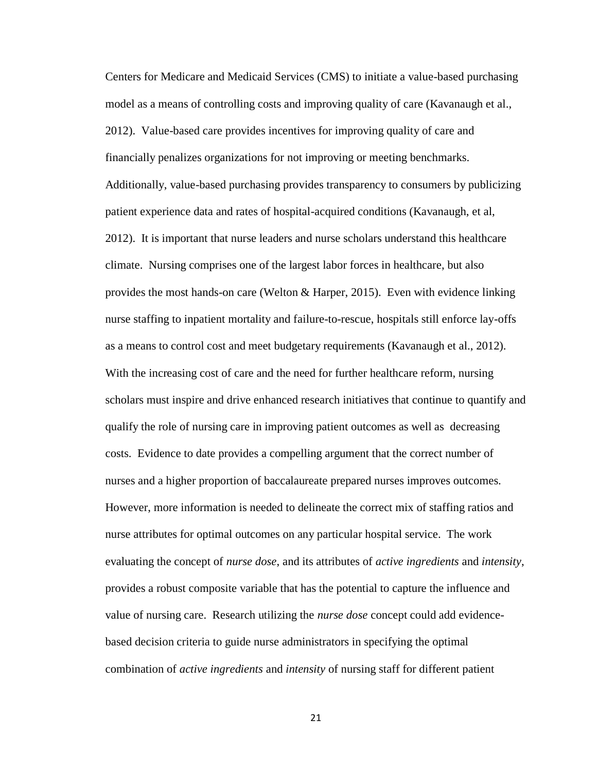Centers for Medicare and Medicaid Services (CMS) to initiate a value-based purchasing model as a means of controlling costs and improving quality of care (Kavanaugh et al., 2012). Value-based care provides incentives for improving quality of care and financially penalizes organizations for not improving or meeting benchmarks. Additionally, value-based purchasing provides transparency to consumers by publicizing patient experience data and rates of hospital-acquired conditions (Kavanaugh, et al, 2012). It is important that nurse leaders and nurse scholars understand this healthcare climate. Nursing comprises one of the largest labor forces in healthcare, but also provides the most hands-on care (Welton & Harper, 2015). Even with evidence linking nurse staffing to inpatient mortality and failure-to-rescue, hospitals still enforce lay-offs as a means to control cost and meet budgetary requirements (Kavanaugh et al., 2012). With the increasing cost of care and the need for further healthcare reform, nursing scholars must inspire and drive enhanced research initiatives that continue to quantify and qualify the role of nursing care in improving patient outcomes as well as decreasing costs. Evidence to date provides a compelling argument that the correct number of nurses and a higher proportion of baccalaureate prepared nurses improves outcomes. However, more information is needed to delineate the correct mix of staffing ratios and nurse attributes for optimal outcomes on any particular hospital service. The work evaluating the concept of *nurse dose*, and its attributes of *active ingredients* and *intensity*, provides a robust composite variable that has the potential to capture the influence and value of nursing care. Research utilizing the *nurse dose* concept could add evidencebased decision criteria to guide nurse administrators in specifying the optimal combination of *active ingredients* and *intensity* of nursing staff for different patient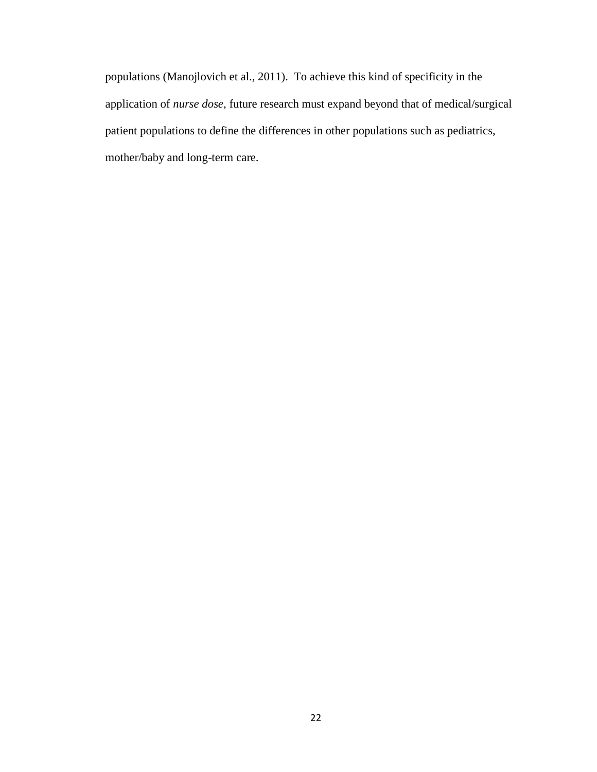populations (Manojlovich et al., 2011). To achieve this kind of specificity in the application of *nurse dose*, future research must expand beyond that of medical/surgical patient populations to define the differences in other populations such as pediatrics, mother/baby and long-term care.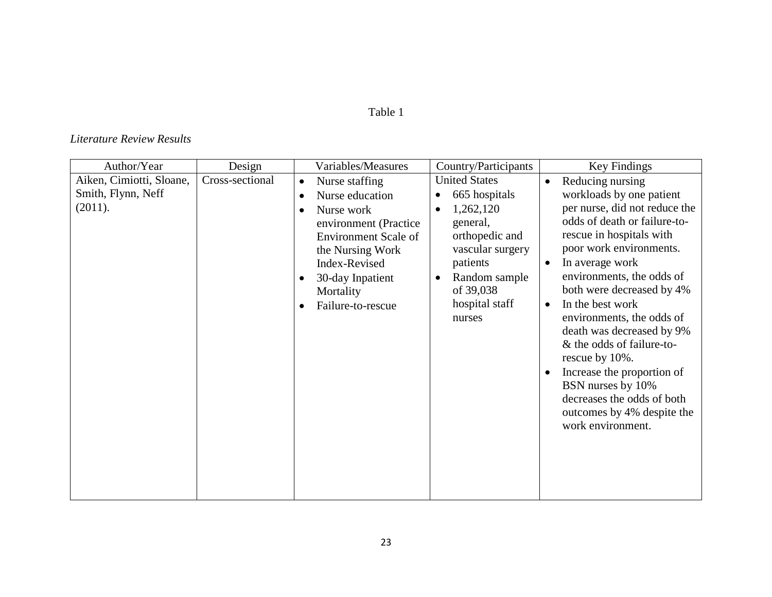# Table 1

## *Literature Review Results*

| Author/Year                                               | Design          | Variables/Measures                                                                                                                                                                                                                                                  | Country/Participants                                                                                                                                                                                 | Key Findings                                                                                                                                                                                                                                                                                                                                                                                                                                                                                                                                                           |
|-----------------------------------------------------------|-----------------|---------------------------------------------------------------------------------------------------------------------------------------------------------------------------------------------------------------------------------------------------------------------|------------------------------------------------------------------------------------------------------------------------------------------------------------------------------------------------------|------------------------------------------------------------------------------------------------------------------------------------------------------------------------------------------------------------------------------------------------------------------------------------------------------------------------------------------------------------------------------------------------------------------------------------------------------------------------------------------------------------------------------------------------------------------------|
| Aiken, Cimiotti, Sloane,<br>Smith, Flynn, Neff<br>(2011). | Cross-sectional | Nurse staffing<br>$\bullet$<br>Nurse education<br>$\bullet$<br>Nurse work<br>$\bullet$<br>environment (Practice<br><b>Environment Scale of</b><br>the Nursing Work<br>Index-Revised<br>30-day Inpatient<br>$\bullet$<br>Mortality<br>Failure-to-rescue<br>$\bullet$ | <b>United States</b><br>665 hospitals<br>1,262,120<br>$\bullet$<br>general,<br>orthopedic and<br>vascular surgery<br>patients<br>Random sample<br>$\bullet$<br>of 39,038<br>hospital staff<br>nurses | Reducing nursing<br>$\bullet$<br>workloads by one patient<br>per nurse, did not reduce the<br>odds of death or failure-to-<br>rescue in hospitals with<br>poor work environments.<br>In average work<br>$\bullet$<br>environments, the odds of<br>both were decreased by 4%<br>In the best work<br>$\bullet$<br>environments, the odds of<br>death was decreased by 9%<br>& the odds of failure-to-<br>rescue by 10%.<br>Increase the proportion of<br>$\bullet$<br>BSN nurses by 10%<br>decreases the odds of both<br>outcomes by 4% despite the<br>work environment. |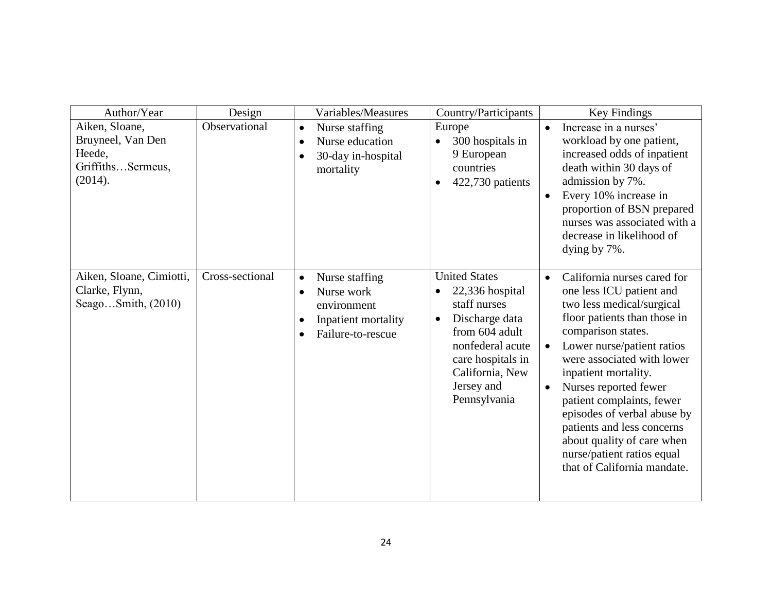| Author/Year                                                                   | Design          | Variables/Measures                                                                                                                          | Country/Participants                                                                                                                                                                                            | Key Findings                                                                                                                                                                                                                                                                                                                                                                                                                                                                        |
|-------------------------------------------------------------------------------|-----------------|---------------------------------------------------------------------------------------------------------------------------------------------|-----------------------------------------------------------------------------------------------------------------------------------------------------------------------------------------------------------------|-------------------------------------------------------------------------------------------------------------------------------------------------------------------------------------------------------------------------------------------------------------------------------------------------------------------------------------------------------------------------------------------------------------------------------------------------------------------------------------|
| Aiken, Sloane,<br>Bruyneel, Van Den<br>Heede,<br>GriffithsSermeus,<br>(2014). | Observational   | Nurse staffing<br>$\bullet$<br>Nurse education<br>$\bullet$<br>30-day in-hospital<br>$\bullet$<br>mortality                                 | Europe<br>300 hospitals in<br>9 European<br>countries<br>422,730 patients<br>$\bullet$                                                                                                                          | Increase in a nurses'<br>$\bullet$<br>workload by one patient,<br>increased odds of inpatient<br>death within 30 days of<br>admission by 7%.<br>Every 10% increase in<br>$\bullet$<br>proportion of BSN prepared<br>nurses was associated with a<br>decrease in likelihood of<br>dying by 7%.                                                                                                                                                                                       |
| Aiken, Sloane, Cimiotti,<br>Clarke, Flynn,<br>Seago $Smith$ , $(2010)$        | Cross-sectional | Nurse staffing<br>$\bullet$<br>Nurse work<br>$\bullet$<br>environment<br>Inpatient mortality<br>$\bullet$<br>Failure-to-rescue<br>$\bullet$ | <b>United States</b><br>22,336 hospital<br>$\bullet$<br>staff nurses<br>Discharge data<br>$\bullet$<br>from 604 adult<br>nonfederal acute<br>care hospitals in<br>California, New<br>Jersey and<br>Pennsylvania | California nurses cared for<br>$\bullet$<br>one less ICU patient and<br>two less medical/surgical<br>floor patients than those in<br>comparison states.<br>Lower nurse/patient ratios<br>$\bullet$<br>were associated with lower<br>inpatient mortality.<br>Nurses reported fewer<br>$\bullet$<br>patient complaints, fewer<br>episodes of verbal abuse by<br>patients and less concerns<br>about quality of care when<br>nurse/patient ratios equal<br>that of California mandate. |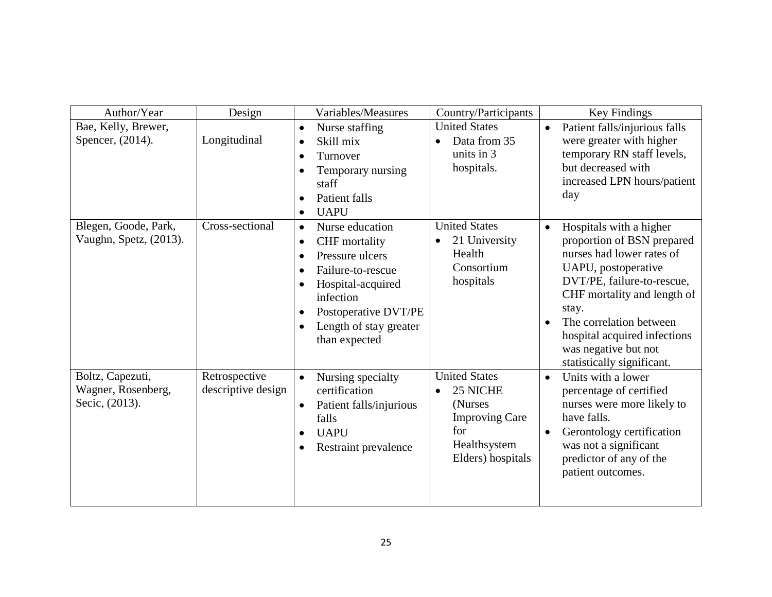| Author/Year                                              | Design                              | Variables/Measures                                                                                                                                                                                                                                                       | Country/Participants                                                                                                           | Key Findings                                                                                                                                                                                                                                                                                                               |
|----------------------------------------------------------|-------------------------------------|--------------------------------------------------------------------------------------------------------------------------------------------------------------------------------------------------------------------------------------------------------------------------|--------------------------------------------------------------------------------------------------------------------------------|----------------------------------------------------------------------------------------------------------------------------------------------------------------------------------------------------------------------------------------------------------------------------------------------------------------------------|
| Bae, Kelly, Brewer,<br>Spencer, (2014).                  | Longitudinal                        | Nurse staffing<br>$\bullet$<br>Skill mix<br>$\bullet$<br>Turnover<br>$\bullet$<br>Temporary nursing<br>$\bullet$<br>staff<br>Patient falls<br>$\bullet$<br><b>UAPU</b><br>$\bullet$                                                                                      | <b>United States</b><br>Data from 35<br>$\bullet$<br>units in 3<br>hospitals.                                                  | Patient falls/injurious falls<br>$\bullet$<br>were greater with higher<br>temporary RN staff levels,<br>but decreased with<br>increased LPN hours/patient<br>day                                                                                                                                                           |
| Blegen, Goode, Park,<br>Vaughn, Spetz, (2013).           | Cross-sectional                     | Nurse education<br>$\bullet$<br>CHF mortality<br>$\bullet$<br>Pressure ulcers<br>$\bullet$<br>Failure-to-rescue<br>$\bullet$<br>Hospital-acquired<br>$\bullet$<br>infection<br>Postoperative DVT/PE<br>$\bullet$<br>Length of stay greater<br>$\bullet$<br>than expected | <b>United States</b><br>21 University<br>$\bullet$<br>Health<br>Consortium<br>hospitals                                        | Hospitals with a higher<br>$\bullet$<br>proportion of BSN prepared<br>nurses had lower rates of<br>UAPU, postoperative<br>DVT/PE, failure-to-rescue,<br>CHF mortality and length of<br>stay.<br>The correlation between<br>$\bullet$<br>hospital acquired infections<br>was negative but not<br>statistically significant. |
| Boltz, Capezuti,<br>Wagner, Rosenberg,<br>Secic, (2013). | Retrospective<br>descriptive design | Nursing specialty<br>$\bullet$<br>certification<br>Patient falls/injurious<br>$\bullet$<br>falls<br><b>UAPU</b><br>$\bullet$<br>Restraint prevalence<br>$\bullet$                                                                                                        | <b>United States</b><br>25 NICHE<br>$\bullet$<br>(Nurses)<br><b>Improving Care</b><br>for<br>Healthsystem<br>Elders) hospitals | Units with a lower<br>$\bullet$<br>percentage of certified<br>nurses were more likely to<br>have falls.<br>Gerontology certification<br>$\bullet$<br>was not a significant<br>predictor of any of the<br>patient outcomes.                                                                                                 |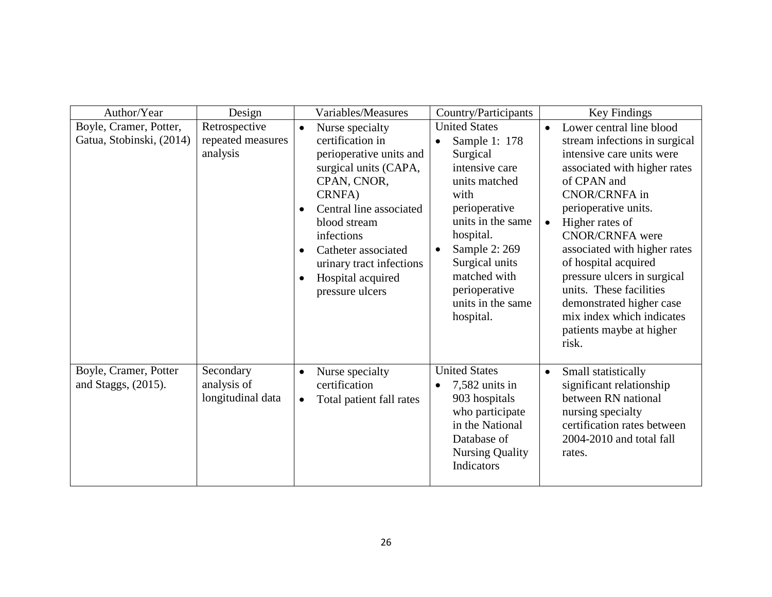| Author/Year                                        | Design                                         |                                                  | Variables/Measures                                                                                                                                                                                                                                                   | Country/Participants                                                                                                                                                                                                                                               |                        | Key Findings                                                                                                                                                                                                                                                                                                                                                                                                                                       |
|----------------------------------------------------|------------------------------------------------|--------------------------------------------------|----------------------------------------------------------------------------------------------------------------------------------------------------------------------------------------------------------------------------------------------------------------------|--------------------------------------------------------------------------------------------------------------------------------------------------------------------------------------------------------------------------------------------------------------------|------------------------|----------------------------------------------------------------------------------------------------------------------------------------------------------------------------------------------------------------------------------------------------------------------------------------------------------------------------------------------------------------------------------------------------------------------------------------------------|
| Boyle, Cramer, Potter,<br>Gatua, Stobinski, (2014) | Retrospective<br>repeated measures<br>analysis | $\bullet$<br>$\bullet$<br>$\bullet$<br>$\bullet$ | Nurse specialty<br>certification in<br>perioperative units and<br>surgical units (CAPA,<br>CPAN, CNOR,<br>CRNFA)<br>Central line associated<br>blood stream<br>infections<br>Catheter associated<br>urinary tract infections<br>Hospital acquired<br>pressure ulcers | <b>United States</b><br>Sample 1: 178<br>$\bullet$<br>Surgical<br>intensive care<br>units matched<br>with<br>perioperative<br>units in the same<br>hospital.<br>Sample 2: 269<br>Surgical units<br>matched with<br>perioperative<br>units in the same<br>hospital. | $\bullet$<br>$\bullet$ | Lower central line blood<br>stream infections in surgical<br>intensive care units were<br>associated with higher rates<br>of CPAN and<br><b>CNOR/CRNFA</b> in<br>perioperative units.<br>Higher rates of<br><b>CNOR/CRNFA</b> were<br>associated with higher rates<br>of hospital acquired<br>pressure ulcers in surgical<br>units. These facilities<br>demonstrated higher case<br>mix index which indicates<br>patients maybe at higher<br>risk. |
| Boyle, Cramer, Potter<br>and Staggs, $(2015)$ .    | Secondary<br>analysis of<br>longitudinal data  | $\bullet$<br>$\bullet$                           | Nurse specialty<br>certification<br>Total patient fall rates                                                                                                                                                                                                         | <b>United States</b><br>$7,582$ units in<br>$\bullet$<br>903 hospitals<br>who participate<br>in the National<br>Database of<br><b>Nursing Quality</b><br>Indicators                                                                                                | $\bullet$              | Small statistically<br>significant relationship<br>between RN national<br>nursing specialty<br>certification rates between<br>2004-2010 and total fall<br>rates.                                                                                                                                                                                                                                                                                   |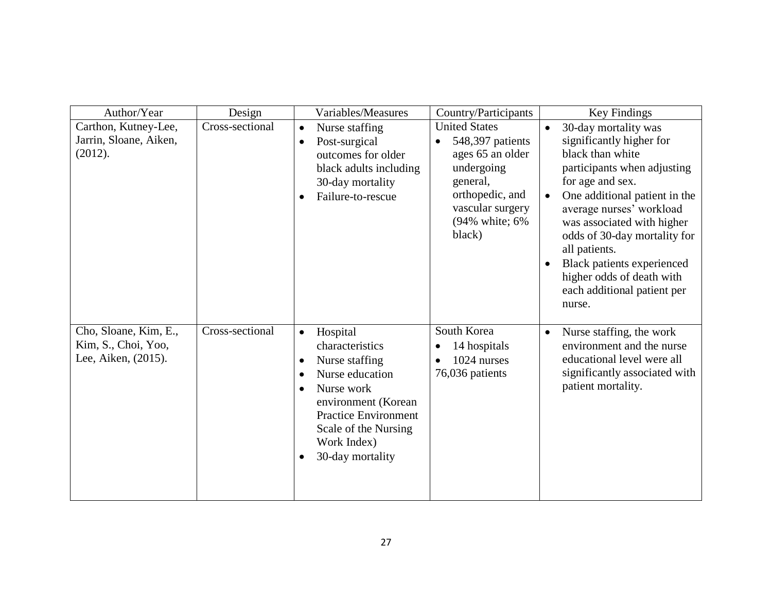| Author/Year                                                         | Design          | Variables/Measures                                                                                                                                                                                                                                               | Country/Participants                                                                                                                                       | Key Findings                                                                                                                                                                                                                                                                                                                                                                                                          |
|---------------------------------------------------------------------|-----------------|------------------------------------------------------------------------------------------------------------------------------------------------------------------------------------------------------------------------------------------------------------------|------------------------------------------------------------------------------------------------------------------------------------------------------------|-----------------------------------------------------------------------------------------------------------------------------------------------------------------------------------------------------------------------------------------------------------------------------------------------------------------------------------------------------------------------------------------------------------------------|
| Carthon, Kutney-Lee,<br>Jarrin, Sloane, Aiken,<br>(2012).           | Cross-sectional | Nurse staffing<br>$\bullet$<br>Post-surgical<br>$\bullet$<br>outcomes for older<br>black adults including<br>30-day mortality<br>Failure-to-rescue<br>$\bullet$                                                                                                  | <b>United States</b><br>548,397 patients<br>ages 65 an older<br>undergoing<br>general,<br>orthopedic, and<br>vascular surgery<br>(94% white; 6%)<br>black) | 30-day mortality was<br>$\bullet$<br>significantly higher for<br>black than white<br>participants when adjusting<br>for age and sex.<br>One additional patient in the<br>$\bullet$<br>average nurses' workload<br>was associated with higher<br>odds of 30-day mortality for<br>all patients.<br><b>Black patients experienced</b><br>$\bullet$<br>higher odds of death with<br>each additional patient per<br>nurse. |
| Cho, Sloane, Kim, E.,<br>Kim, S., Choi, Yoo,<br>Lee, Aiken, (2015). | Cross-sectional | Hospital<br>$\bullet$<br>characteristics<br>Nurse staffing<br>$\bullet$<br>Nurse education<br>$\bullet$<br>Nurse work<br>$\bullet$<br>environment (Korean<br><b>Practice Environment</b><br>Scale of the Nursing<br>Work Index)<br>30-day mortality<br>$\bullet$ | South Korea<br>14 hospitals<br>$\bullet$<br>1024 nurses<br>$\bullet$<br>76,036 patients                                                                    | Nurse staffing, the work<br>$\bullet$<br>environment and the nurse<br>educational level were all<br>significantly associated with<br>patient mortality.                                                                                                                                                                                                                                                               |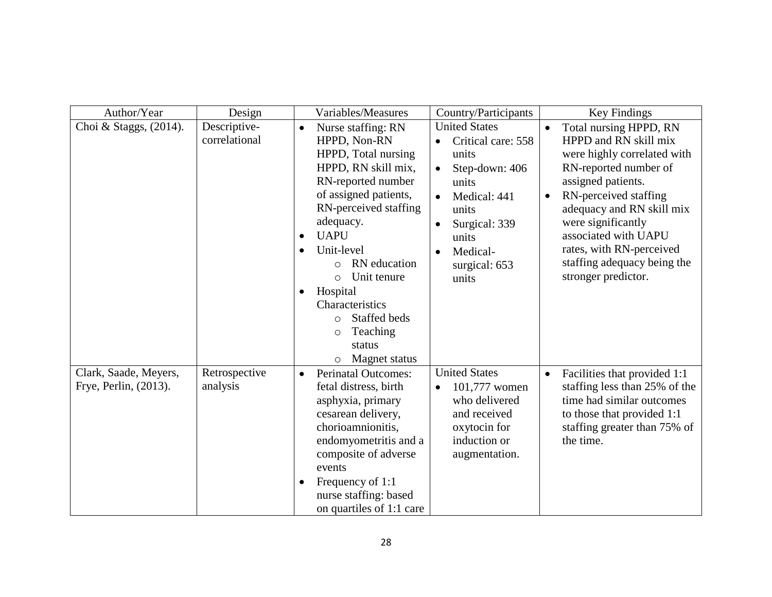| Author/Year                                    | Design                        | Variables/Measures                                                                                                                                                                                                                                                                                                                                                                                                                 | Country/Participants                                                                                                                                                    | Key Findings                                                                                                                                                                                                                                                                                                                                  |
|------------------------------------------------|-------------------------------|------------------------------------------------------------------------------------------------------------------------------------------------------------------------------------------------------------------------------------------------------------------------------------------------------------------------------------------------------------------------------------------------------------------------------------|-------------------------------------------------------------------------------------------------------------------------------------------------------------------------|-----------------------------------------------------------------------------------------------------------------------------------------------------------------------------------------------------------------------------------------------------------------------------------------------------------------------------------------------|
| Choi & Staggs, (2014).                         | Descriptive-<br>correlational | Nurse staffing: RN<br>$\bullet$<br>HPPD, Non-RN<br>HPPD, Total nursing<br>HPPD, RN skill mix,<br>RN-reported number<br>of assigned patients,<br>RN-perceived staffing<br>adequacy.<br><b>UAPU</b><br>$\bullet$<br>Unit-level<br>$\bullet$<br>RN education<br>$\circ$<br>Unit tenure<br>$\circ$<br>Hospital<br>$\bullet$<br>Characteristics<br>Staffed beds<br>$\circ$<br>Teaching<br>$\circ$<br>status<br>Magnet status<br>$\circ$ | <b>United States</b><br>Critical care: 558<br>units<br>Step-down: 406<br>units<br>Medical: 441<br>units<br>Surgical: 339<br>units<br>Medical-<br>surgical: 653<br>units | Total nursing HPPD, RN<br>$\bullet$<br>HPPD and RN skill mix<br>were highly correlated with<br>RN-reported number of<br>assigned patients.<br>RN-perceived staffing<br>$\bullet$<br>adequacy and RN skill mix<br>were significantly<br>associated with UAPU<br>rates, with RN-perceived<br>staffing adequacy being the<br>stronger predictor. |
| Clark, Saade, Meyers,<br>Frye, Perlin, (2013). | Retrospective<br>analysis     | <b>Perinatal Outcomes:</b><br>$\bullet$<br>fetal distress, birth<br>asphyxia, primary<br>cesarean delivery,<br>chorioamnionitis,<br>endomyometritis and a<br>composite of adverse<br>events<br>Frequency of 1:1<br>$\bullet$<br>nurse staffing: based<br>on quartiles of 1:1 care                                                                                                                                                  | <b>United States</b><br>101,777 women<br>$\bullet$<br>who delivered<br>and received<br>oxytocin for<br>induction or<br>augmentation.                                    | Facilities that provided 1:1<br>$\bullet$<br>staffing less than 25% of the<br>time had similar outcomes<br>to those that provided 1:1<br>staffing greater than 75% of<br>the time.                                                                                                                                                            |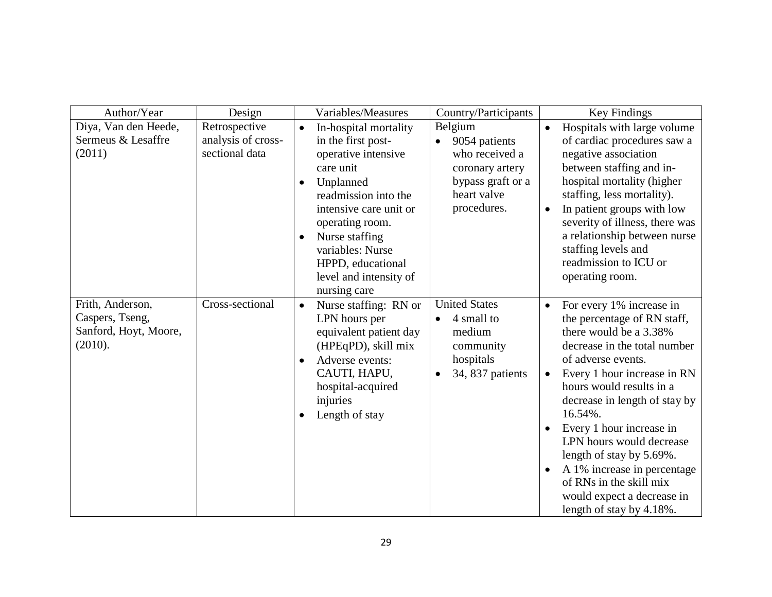| Author/Year                                                             | Design                                                | Variables/Measures                                                                                                                                                                                                                                                                                            | Country/Participants                                                                                             | Key Findings                                                                                                                                                                                                                                                                                                                                                                                                                                                                     |
|-------------------------------------------------------------------------|-------------------------------------------------------|---------------------------------------------------------------------------------------------------------------------------------------------------------------------------------------------------------------------------------------------------------------------------------------------------------------|------------------------------------------------------------------------------------------------------------------|----------------------------------------------------------------------------------------------------------------------------------------------------------------------------------------------------------------------------------------------------------------------------------------------------------------------------------------------------------------------------------------------------------------------------------------------------------------------------------|
| Diya, Van den Heede,<br>Sermeus & Lesaffre<br>(2011)                    | Retrospective<br>analysis of cross-<br>sectional data | In-hospital mortality<br>$\bullet$<br>in the first post-<br>operative intensive<br>care unit<br>Unplanned<br>$\bullet$<br>readmission into the<br>intensive care unit or<br>operating room.<br>Nurse staffing<br>$\bullet$<br>variables: Nurse<br>HPPD, educational<br>level and intensity of<br>nursing care | Belgium<br>9054 patients<br>who received a<br>coronary artery<br>bypass graft or a<br>heart valve<br>procedures. | Hospitals with large volume<br>$\bullet$<br>of cardiac procedures saw a<br>negative association<br>between staffing and in-<br>hospital mortality (higher<br>staffing, less mortality).<br>In patient groups with low<br>$\bullet$<br>severity of illness, there was<br>a relationship between nurse<br>staffing levels and<br>readmission to ICU or<br>operating room.                                                                                                          |
| Frith, Anderson,<br>Caspers, Tseng,<br>Sanford, Hoyt, Moore,<br>(2010). | Cross-sectional                                       | Nurse staffing: RN or<br>$\bullet$<br>LPN hours per<br>equivalent patient day<br>(HPEqPD), skill mix<br>Adverse events:<br>$\bullet$<br>CAUTI, HAPU,<br>hospital-acquired<br>injuries<br>Length of stay<br>$\bullet$                                                                                          | <b>United States</b><br>4 small to<br>medium<br>community<br>hospitals<br>34, 837 patients                       | For every 1% increase in<br>$\bullet$<br>the percentage of RN staff,<br>there would be a 3.38%<br>decrease in the total number<br>of adverse events.<br>Every 1 hour increase in RN<br>hours would results in a<br>decrease in length of stay by<br>16.54%.<br>Every 1 hour increase in<br>LPN hours would decrease<br>length of stay by 5.69%.<br>A 1% increase in percentage<br>$\bullet$<br>of RNs in the skill mix<br>would expect a decrease in<br>length of stay by 4.18%. |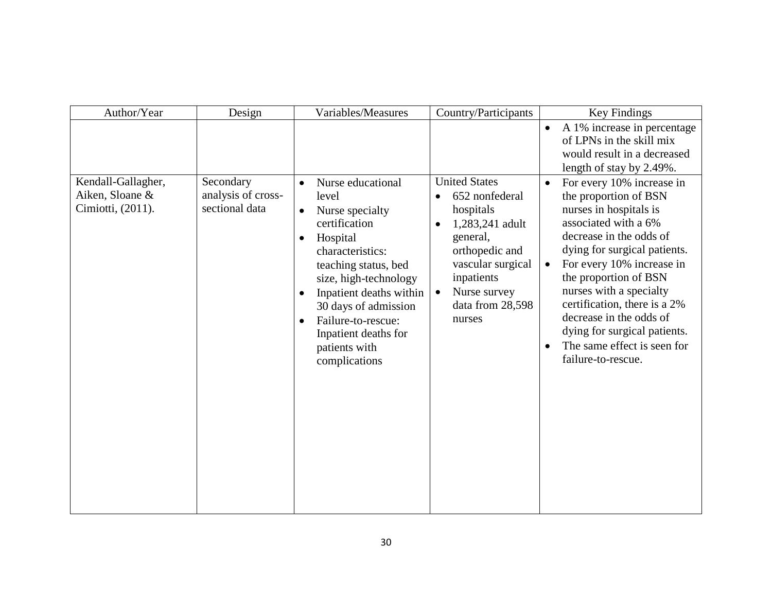| Author/Year                          | Design                               | Variables/Measures                                                                                                                                                                                                                                                                                                | Country/Participants                                                                                                                                                                                 | Key Findings                                                                                                                                                                                                                                                                                                                                                                                  |
|--------------------------------------|--------------------------------------|-------------------------------------------------------------------------------------------------------------------------------------------------------------------------------------------------------------------------------------------------------------------------------------------------------------------|------------------------------------------------------------------------------------------------------------------------------------------------------------------------------------------------------|-----------------------------------------------------------------------------------------------------------------------------------------------------------------------------------------------------------------------------------------------------------------------------------------------------------------------------------------------------------------------------------------------|
| Kendall-Gallagher,                   | Secondary                            | Nurse educational<br>$\bullet$                                                                                                                                                                                                                                                                                    | <b>United States</b>                                                                                                                                                                                 | A 1% increase in percentage<br>$\bullet$<br>of LPNs in the skill mix<br>would result in a decreased<br>length of stay by 2.49%.<br>For every 10% increase in<br>$\bullet$                                                                                                                                                                                                                     |
| Aiken, Sloane &<br>Cimiotti, (2011). | analysis of cross-<br>sectional data | level<br>Nurse specialty<br>$\bullet$<br>certification<br>Hospital<br>$\bullet$<br>characteristics:<br>teaching status, bed<br>size, high-technology<br>Inpatient deaths within<br>$\bullet$<br>30 days of admission<br>Failure-to-rescue:<br>$\bullet$<br>Inpatient deaths for<br>patients with<br>complications | 652 nonfederal<br>$\bullet$<br>hospitals<br>1,283,241 adult<br>$\bullet$<br>general,<br>orthopedic and<br>vascular surgical<br>inpatients<br>Nurse survey<br>$\bullet$<br>data from 28,598<br>nurses | the proportion of BSN<br>nurses in hospitals is<br>associated with a 6%<br>decrease in the odds of<br>dying for surgical patients.<br>For every 10% increase in<br>$\bullet$<br>the proportion of BSN<br>nurses with a specialty<br>certification, there is a 2%<br>decrease in the odds of<br>dying for surgical patients.<br>The same effect is seen for<br>$\bullet$<br>failure-to-rescue. |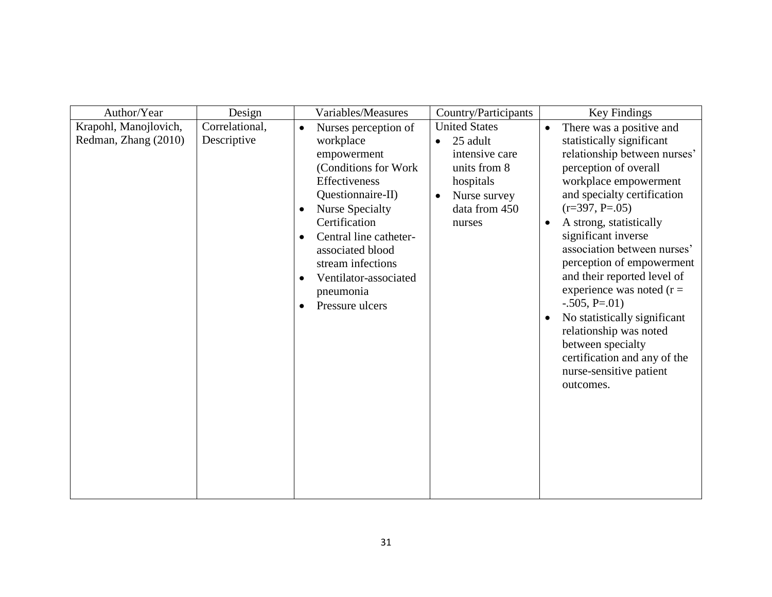| Author/Year                                   | Design                        | Variables/Measures                                                                                                                                                                                                                                                                                                                                     | Country/Participants                                                                                                                                 | Key Findings                                                                                                                                                                                                                                                                                                                                                                                                                                                                                                                                                                            |
|-----------------------------------------------|-------------------------------|--------------------------------------------------------------------------------------------------------------------------------------------------------------------------------------------------------------------------------------------------------------------------------------------------------------------------------------------------------|------------------------------------------------------------------------------------------------------------------------------------------------------|-----------------------------------------------------------------------------------------------------------------------------------------------------------------------------------------------------------------------------------------------------------------------------------------------------------------------------------------------------------------------------------------------------------------------------------------------------------------------------------------------------------------------------------------------------------------------------------------|
| Krapohl, Manojlovich,<br>Redman, Zhang (2010) | Correlational,<br>Descriptive | Nurses perception of<br>$\bullet$<br>workplace<br>empowerment<br>(Conditions for Work<br>Effectiveness<br>Questionnaire-II)<br><b>Nurse Specialty</b><br>$\bullet$<br>Certification<br>Central line catheter-<br>$\bullet$<br>associated blood<br>stream infections<br>Ventilator-associated<br>$\bullet$<br>pneumonia<br>Pressure ulcers<br>$\bullet$ | <b>United States</b><br>25 adult<br>$\bullet$<br>intensive care<br>units from 8<br>hospitals<br>Nurse survey<br>$\bullet$<br>data from 450<br>nurses | There was a positive and<br>$\bullet$<br>statistically significant<br>relationship between nurses'<br>perception of overall<br>workplace empowerment<br>and specialty certification<br>$(r=397, P=.05)$<br>A strong, statistically<br>$\bullet$<br>significant inverse<br>association between nurses'<br>perception of empowerment<br>and their reported level of<br>experience was noted $(r =$<br>$-.505, P=.01)$<br>No statistically significant<br>$\bullet$<br>relationship was noted<br>between specialty<br>certification and any of the<br>nurse-sensitive patient<br>outcomes. |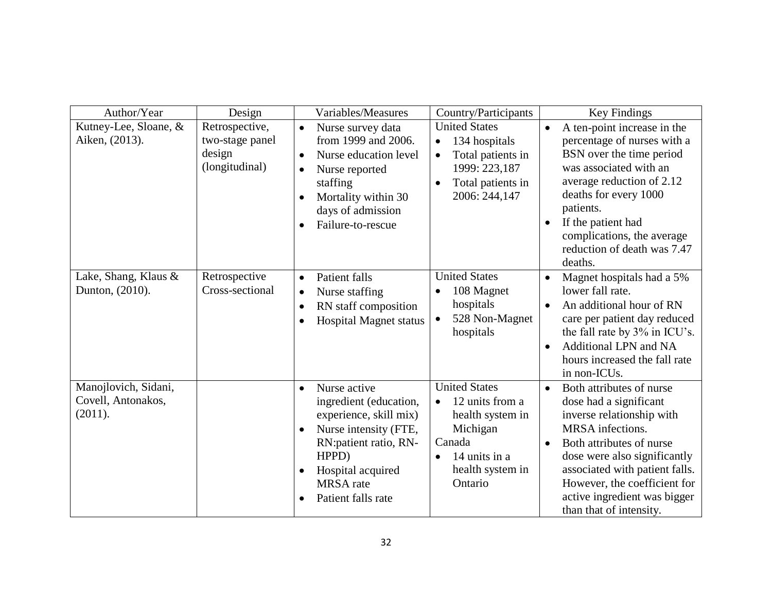| Author/Year                                           | Design                                                        | Variables/Measures                                                                                                                                                                                                                              | Country/Participants                                                                                                                                        | Key Findings                                                                                                                                                                                                                                                                                                           |
|-------------------------------------------------------|---------------------------------------------------------------|-------------------------------------------------------------------------------------------------------------------------------------------------------------------------------------------------------------------------------------------------|-------------------------------------------------------------------------------------------------------------------------------------------------------------|------------------------------------------------------------------------------------------------------------------------------------------------------------------------------------------------------------------------------------------------------------------------------------------------------------------------|
| Kutney-Lee, Sloane, &<br>Aiken, (2013).               | Retrospective,<br>two-stage panel<br>design<br>(longitudinal) | Nurse survey data<br>$\bullet$<br>from 1999 and 2006.<br>Nurse education level<br>$\bullet$<br>Nurse reported<br>$\bullet$<br>staffing<br>Mortality within 30<br>days of admission<br>Failure-to-rescue<br>$\bullet$                            | <b>United States</b><br>134 hospitals<br>$\bullet$<br>Total patients in<br>$\bullet$<br>1999: 223,187<br>Total patients in<br>$\bullet$<br>2006: 244,147    | A ten-point increase in the<br>$\bullet$<br>percentage of nurses with a<br>BSN over the time period<br>was associated with an<br>average reduction of 2.12<br>deaths for every 1000<br>patients.<br>If the patient had<br>$\bullet$<br>complications, the average<br>reduction of death was 7.47<br>deaths.            |
| Lake, Shang, Klaus &<br>Dunton, (2010).               | Retrospective<br>Cross-sectional                              | Patient falls<br>$\bullet$<br>Nurse staffing<br>$\bullet$<br>RN staff composition<br>$\bullet$<br><b>Hospital Magnet status</b><br>$\bullet$                                                                                                    | <b>United States</b><br>108 Magnet<br>$\bullet$<br>hospitals<br>528 Non-Magnet<br>hospitals                                                                 | Magnet hospitals had a 5%<br>$\bullet$<br>lower fall rate.<br>An additional hour of RN<br>$\bullet$<br>care per patient day reduced<br>the fall rate by 3% in ICU's.<br>Additional LPN and NA<br>$\bullet$<br>hours increased the fall rate<br>in non-ICUs.                                                            |
| Manojlovich, Sidani,<br>Covell, Antonakos,<br>(2011). |                                                               | Nurse active<br>$\bullet$<br>ingredient (education,<br>experience, skill mix)<br>Nurse intensity (FTE,<br>$\bullet$<br>RN: patient ratio, RN-<br>HPPD)<br>Hospital acquired<br>$\bullet$<br><b>MRSA</b> rate<br>Patient falls rate<br>$\bullet$ | <b>United States</b><br>12 units from a<br>$\bullet$<br>health system in<br>Michigan<br>Canada<br>14 units in a<br>$\bullet$<br>health system in<br>Ontario | Both attributes of nurse<br>$\bullet$<br>dose had a significant<br>inverse relationship with<br>MRSA infections.<br>Both attributes of nurse<br>$\bullet$<br>dose were also significantly<br>associated with patient falls.<br>However, the coefficient for<br>active ingredient was bigger<br>than that of intensity. |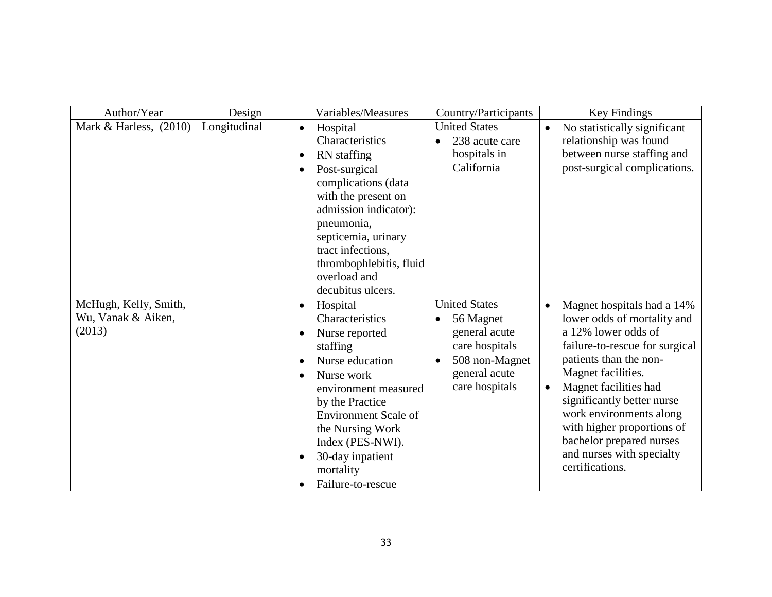| Author/Year                                           | Design       | Variables/Measures                                                                                                                                                                                                                                                                                                                               | Country/Participants                                                                                                                                | Key Findings                                                                                                                                                                                                                                                                                                                                                                             |
|-------------------------------------------------------|--------------|--------------------------------------------------------------------------------------------------------------------------------------------------------------------------------------------------------------------------------------------------------------------------------------------------------------------------------------------------|-----------------------------------------------------------------------------------------------------------------------------------------------------|------------------------------------------------------------------------------------------------------------------------------------------------------------------------------------------------------------------------------------------------------------------------------------------------------------------------------------------------------------------------------------------|
| Mark & Harless, $(2010)$                              | Longitudinal | Hospital<br>$\bullet$<br>Characteristics<br><b>RN</b> staffing<br>$\bullet$<br>Post-surgical<br>$\bullet$<br>complications (data<br>with the present on<br>admission indicator):<br>pneumonia,<br>septicemia, urinary<br>tract infections.<br>thrombophlebitis, fluid<br>overload and<br>decubitus ulcers.                                       | <b>United States</b><br>238 acute care<br>hospitals in<br>California                                                                                | No statistically significant<br>$\bullet$<br>relationship was found<br>between nurse staffing and<br>post-surgical complications.                                                                                                                                                                                                                                                        |
| McHugh, Kelly, Smith,<br>Wu, Vanak & Aiken,<br>(2013) |              | Hospital<br>$\bullet$<br>Characteristics<br>Nurse reported<br>$\bullet$<br>staffing<br>Nurse education<br>$\bullet$<br>Nurse work<br>$\bullet$<br>environment measured<br>by the Practice<br><b>Environment Scale of</b><br>the Nursing Work<br>Index (PES-NWI).<br>30-day inpatient<br>$\bullet$<br>mortality<br>Failure-to-rescue<br>$\bullet$ | <b>United States</b><br>56 Magnet<br>$\bullet$<br>general acute<br>care hospitals<br>508 non-Magnet<br>$\bullet$<br>general acute<br>care hospitals | Magnet hospitals had a 14%<br>$\bullet$<br>lower odds of mortality and<br>a 12% lower odds of<br>failure-to-rescue for surgical<br>patients than the non-<br>Magnet facilities.<br>Magnet facilities had<br>$\bullet$<br>significantly better nurse<br>work environments along<br>with higher proportions of<br>bachelor prepared nurses<br>and nurses with specialty<br>certifications. |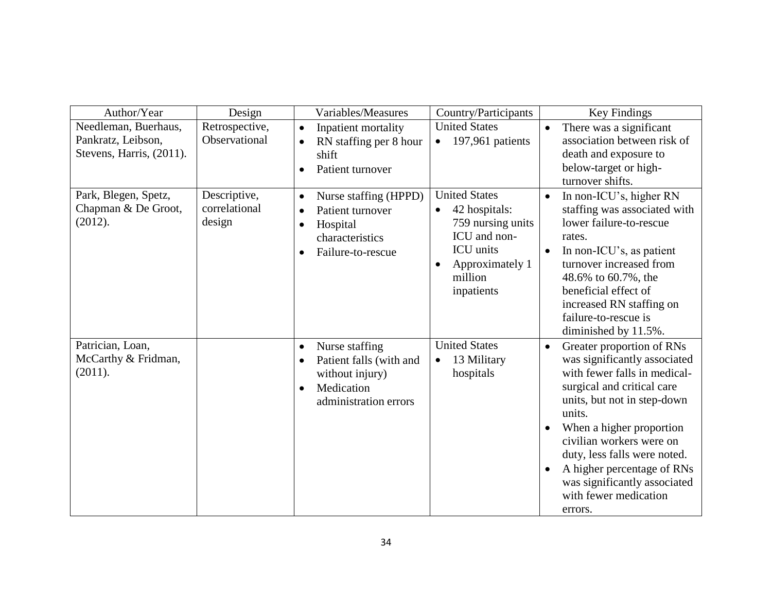| Author/Year                                                            | Design                                  | Variables/Measures                                                                                                                                | Country/Participants                                                                                                                                          | Key Findings                                                                                                                                                                                                                                                                                                                                                                         |
|------------------------------------------------------------------------|-----------------------------------------|---------------------------------------------------------------------------------------------------------------------------------------------------|---------------------------------------------------------------------------------------------------------------------------------------------------------------|--------------------------------------------------------------------------------------------------------------------------------------------------------------------------------------------------------------------------------------------------------------------------------------------------------------------------------------------------------------------------------------|
| Needleman, Buerhaus,<br>Pankratz, Leibson,<br>Stevens, Harris, (2011). | Retrospective,<br>Observational         | Inpatient mortality<br>$\bullet$<br>RN staffing per 8 hour<br>$\bullet$<br>shift<br>Patient turnover<br>$\bullet$                                 | <b>United States</b><br>197,961 patients<br>$\bullet$                                                                                                         | There was a significant<br>$\bullet$<br>association between risk of<br>death and exposure to<br>below-target or high-<br>turnover shifts.                                                                                                                                                                                                                                            |
| Park, Blegen, Spetz,<br>Chapman & De Groot,<br>(2012).                 | Descriptive,<br>correlational<br>design | Nurse staffing (HPPD)<br>$\bullet$<br>Patient turnover<br>$\bullet$<br>Hospital<br>$\bullet$<br>characteristics<br>Failure-to-rescue<br>$\bullet$ | <b>United States</b><br>42 hospitals:<br>$\bullet$<br>759 nursing units<br>ICU and non-<br>ICU units<br>Approximately 1<br>$\bullet$<br>million<br>inpatients | In non-ICU's, higher RN<br>$\bullet$<br>staffing was associated with<br>lower failure-to-rescue<br>rates.<br>In non-ICU's, as patient<br>$\bullet$<br>turnover increased from<br>48.6% to 60.7%, the<br>beneficial effect of<br>increased RN staffing on<br>failure-to-rescue is<br>diminished by 11.5%.                                                                             |
| Patrician, Loan,<br>McCarthy & Fridman,<br>(2011).                     |                                         | Nurse staffing<br>$\bullet$<br>Patient falls (with and<br>$\bullet$<br>without injury)<br>Medication<br>$\bullet$<br>administration errors        | <b>United States</b><br>13 Military<br>$\bullet$<br>hospitals                                                                                                 | Greater proportion of RNs<br>$\bullet$<br>was significantly associated<br>with fewer falls in medical-<br>surgical and critical care<br>units, but not in step-down<br>units.<br>When a higher proportion<br>civilian workers were on<br>duty, less falls were noted.<br>A higher percentage of RNs<br>$\bullet$<br>was significantly associated<br>with fewer medication<br>errors. |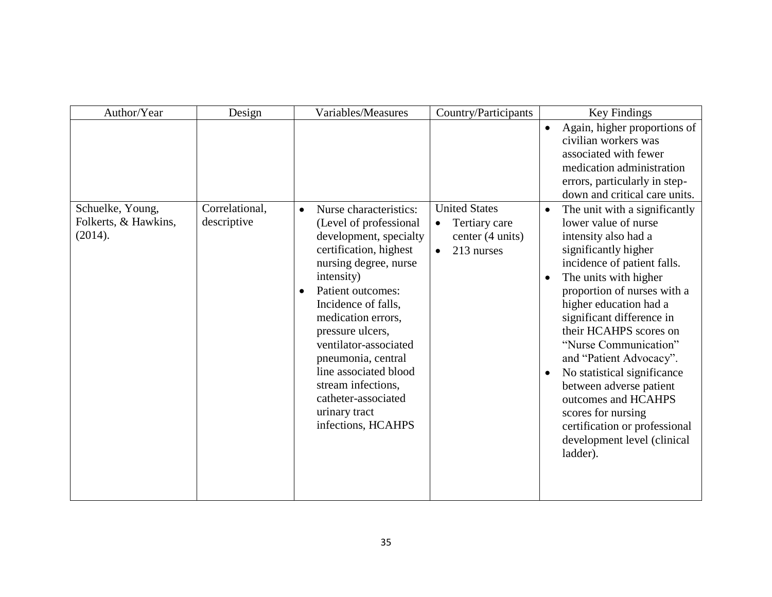| Author/Year                                         | Design                        | Variables/Measures                                                                                                                                                                                                                                                                                                                                                                                                      | Country/Participants                                                                              | Key Findings                                                                                                                                                                                                                                                                                                                                                                                                                                                                                                                                                |
|-----------------------------------------------------|-------------------------------|-------------------------------------------------------------------------------------------------------------------------------------------------------------------------------------------------------------------------------------------------------------------------------------------------------------------------------------------------------------------------------------------------------------------------|---------------------------------------------------------------------------------------------------|-------------------------------------------------------------------------------------------------------------------------------------------------------------------------------------------------------------------------------------------------------------------------------------------------------------------------------------------------------------------------------------------------------------------------------------------------------------------------------------------------------------------------------------------------------------|
|                                                     |                               |                                                                                                                                                                                                                                                                                                                                                                                                                         |                                                                                                   | Again, higher proportions of<br>$\bullet$<br>civilian workers was<br>associated with fewer<br>medication administration<br>errors, particularly in step-<br>down and critical care units.                                                                                                                                                                                                                                                                                                                                                                   |
| Schuelke, Young,<br>Folkerts, & Hawkins,<br>(2014). | Correlational,<br>descriptive | Nurse characteristics:<br>$\bullet$<br>(Level of professional<br>development, specialty<br>certification, highest<br>nursing degree, nurse<br>intensity)<br>Patient outcomes:<br>$\bullet$<br>Incidence of falls,<br>medication errors,<br>pressure ulcers,<br>ventilator-associated<br>pneumonia, central<br>line associated blood<br>stream infections,<br>catheter-associated<br>urinary tract<br>infections, HCAHPS | <b>United States</b><br>Tertiary care<br>$\bullet$<br>center (4 units)<br>213 nurses<br>$\bullet$ | The unit with a significantly<br>$\bullet$<br>lower value of nurse<br>intensity also had a<br>significantly higher<br>incidence of patient falls.<br>The units with higher<br>$\bullet$<br>proportion of nurses with a<br>higher education had a<br>significant difference in<br>their HCAHPS scores on<br>"Nurse Communication"<br>and "Patient Advocacy".<br>No statistical significance<br>$\bullet$<br>between adverse patient<br>outcomes and HCAHPS<br>scores for nursing<br>certification or professional<br>development level (clinical<br>ladder). |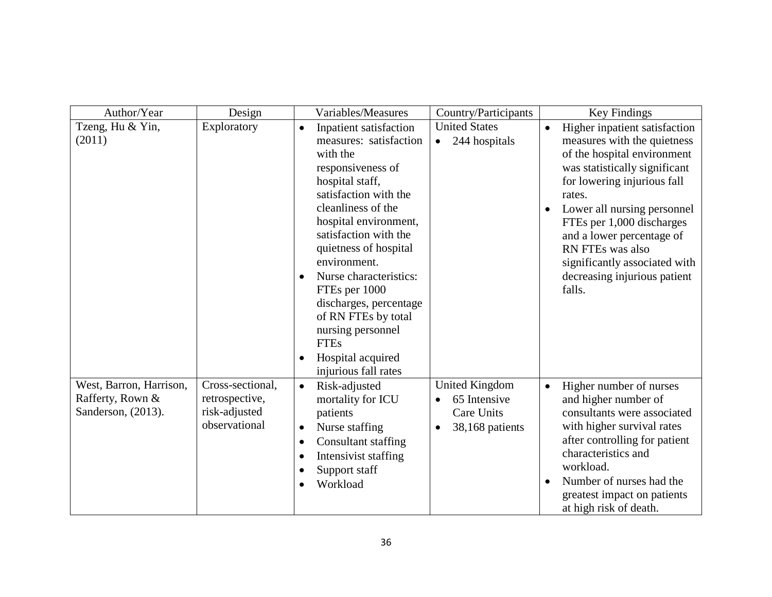| Author/Year                                                       | Design                                                               | Variables/Measures                                                                                                                                                                                                                                                                                                                                                                                                                                                 | Country/Participants                                                                             | Key Findings                                                                                                                                                                                                                                                                                                                                                               |
|-------------------------------------------------------------------|----------------------------------------------------------------------|--------------------------------------------------------------------------------------------------------------------------------------------------------------------------------------------------------------------------------------------------------------------------------------------------------------------------------------------------------------------------------------------------------------------------------------------------------------------|--------------------------------------------------------------------------------------------------|----------------------------------------------------------------------------------------------------------------------------------------------------------------------------------------------------------------------------------------------------------------------------------------------------------------------------------------------------------------------------|
| Tzeng, Hu & Yin,<br>(2011)                                        | Exploratory                                                          | Inpatient satisfaction<br>$\bullet$<br>measures: satisfaction<br>with the<br>responsiveness of<br>hospital staff,<br>satisfaction with the<br>cleanliness of the<br>hospital environment,<br>satisfaction with the<br>quietness of hospital<br>environment.<br>Nurse characteristics:<br>$\bullet$<br>FTEs per 1000<br>discharges, percentage<br>of RN FTEs by total<br>nursing personnel<br><b>FTEs</b><br>Hospital acquired<br>$\bullet$<br>injurious fall rates | <b>United States</b><br>244 hospitals<br>$\bullet$                                               | Higher inpatient satisfaction<br>$\bullet$<br>measures with the quietness<br>of the hospital environment<br>was statistically significant<br>for lowering injurious fall<br>rates.<br>Lower all nursing personnel<br>FTEs per 1,000 discharges<br>and a lower percentage of<br>RN FTEs was also<br>significantly associated with<br>decreasing injurious patient<br>falls. |
| West, Barron, Harrison,<br>Rafferty, Rown &<br>Sanderson, (2013). | Cross-sectional,<br>retrospective,<br>risk-adjusted<br>observational | Risk-adjusted<br>$\bullet$<br>mortality for ICU<br>patients<br>Nurse staffing<br>$\bullet$<br>Consultant staffing<br>$\bullet$<br>Intensivist staffing<br>$\bullet$<br>Support staff<br>$\bullet$<br>Workload<br>$\bullet$                                                                                                                                                                                                                                         | <b>United Kingdom</b><br>65 Intensive<br>$\bullet$<br>Care Units<br>38,168 patients<br>$\bullet$ | Higher number of nurses<br>$\bullet$<br>and higher number of<br>consultants were associated<br>with higher survival rates<br>after controlling for patient<br>characteristics and<br>workload.<br>Number of nurses had the<br>greatest impact on patients<br>at high risk of death.                                                                                        |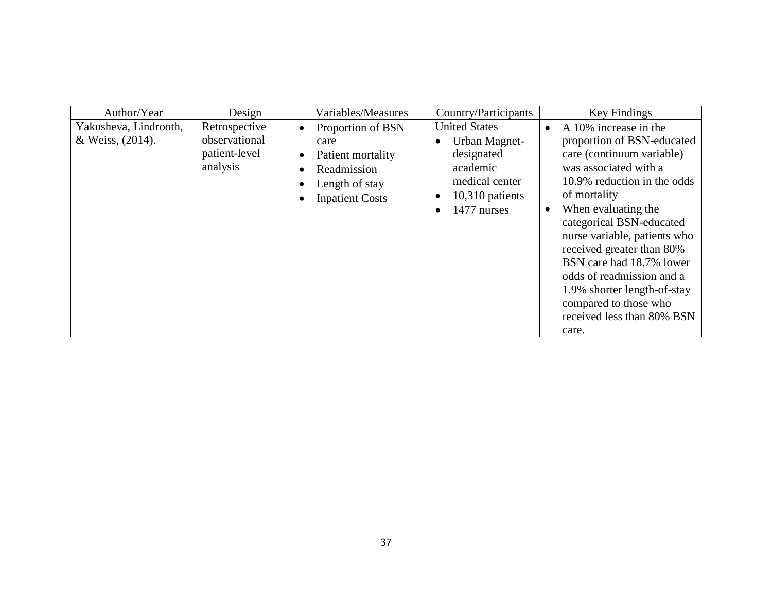| Author/Year                               | Design                                                      | Variables/Measures                                                                                                                                                         | Country/Participants                                                                                                                    | Key Findings                                                                                                                                                                                                                                                                                                                                                                                                                                               |
|-------------------------------------------|-------------------------------------------------------------|----------------------------------------------------------------------------------------------------------------------------------------------------------------------------|-----------------------------------------------------------------------------------------------------------------------------------------|------------------------------------------------------------------------------------------------------------------------------------------------------------------------------------------------------------------------------------------------------------------------------------------------------------------------------------------------------------------------------------------------------------------------------------------------------------|
| Yakusheva, Lindrooth,<br>& Weiss, (2014). | Retrospective<br>observational<br>patient-level<br>analysis | Proportion of BSN<br>$\bullet$<br>care<br>Patient mortality<br>$\bullet$<br>Readmission<br>$\bullet$<br>Length of stay<br>$\bullet$<br><b>Inpatient Costs</b><br>$\bullet$ | <b>United States</b><br>Urban Magnet-<br>designated<br>academic<br>medical center<br>$10,310$ patients<br>c<br>1477 nurses<br>$\bullet$ | A 10% increase in the<br>$\bullet$<br>proportion of BSN-educated<br>care (continuum variable)<br>was associated with a<br>10.9% reduction in the odds<br>of mortality<br>When evaluating the<br>$\bullet$<br>categorical BSN-educated<br>nurse variable, patients who<br>received greater than 80%<br>BSN care had 18.7% lower<br>odds of readmission and a<br>1.9% shorter length-of-stay<br>compared to those who<br>received less than 80% BSN<br>care. |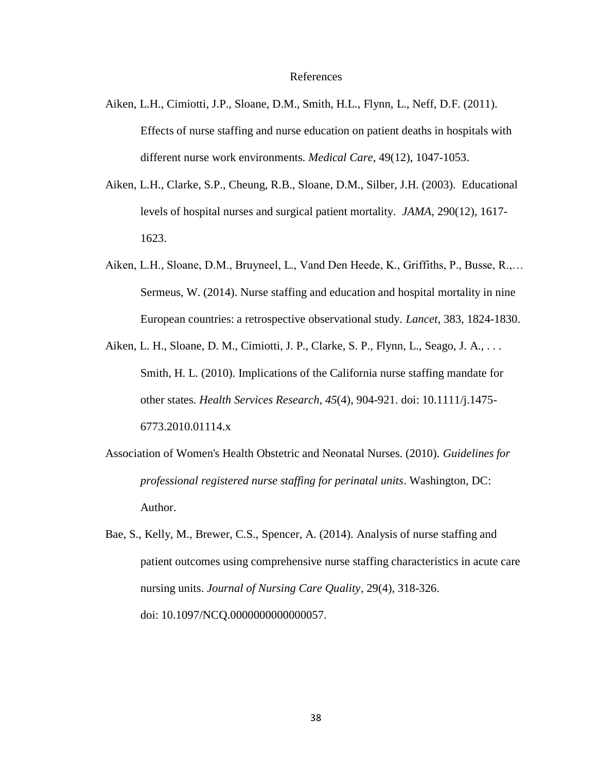#### References

- Aiken, L.H., Cimiotti, J.P., Sloane, D.M., Smith, H.L., Flynn, L., Neff, D.F. (2011). Effects of nurse staffing and nurse education on patient deaths in hospitals with different nurse work environments. *Medical Care*, 49(12), 1047-1053.
- Aiken, L.H., Clarke, S.P., Cheung, R.B., Sloane, D.M., Silber, J.H. (2003). Educational levels of hospital nurses and surgical patient mortality. *JAMA,* 290(12), 1617- 1623.
- Aiken, L.H., Sloane, D.M., Bruyneel, L., Vand Den Heede, K., Griffiths, P., Busse, R.,… Sermeus, W. (2014). Nurse staffing and education and hospital mortality in nine European countries: a retrospective observational study. *Lancet*, 383, 1824-1830.
- Aiken, L. H., Sloane, D. M., Cimiotti, J. P., Clarke, S. P., Flynn, L., Seago, J. A., . . . Smith, H. L. (2010). Implications of the California nurse staffing mandate for other states. *Health Services Research, 45*(4), 904-921. doi: 10.1111/j.1475- 6773.2010.01114.x
- Association of Women's Health Obstetric and Neonatal Nurses. (2010). *Guidelines for professional registered nurse staffing for perinatal units*. Washington, DC: Author.
- Bae, S., Kelly, M., Brewer, C.S., Spencer, A. (2014). Analysis of nurse staffing and patient outcomes using comprehensive nurse staffing characteristics in acute care nursing units. *Journal of Nursing Care Quality*, 29(4), 318-326. doi: 10.1097/NCQ.0000000000000057.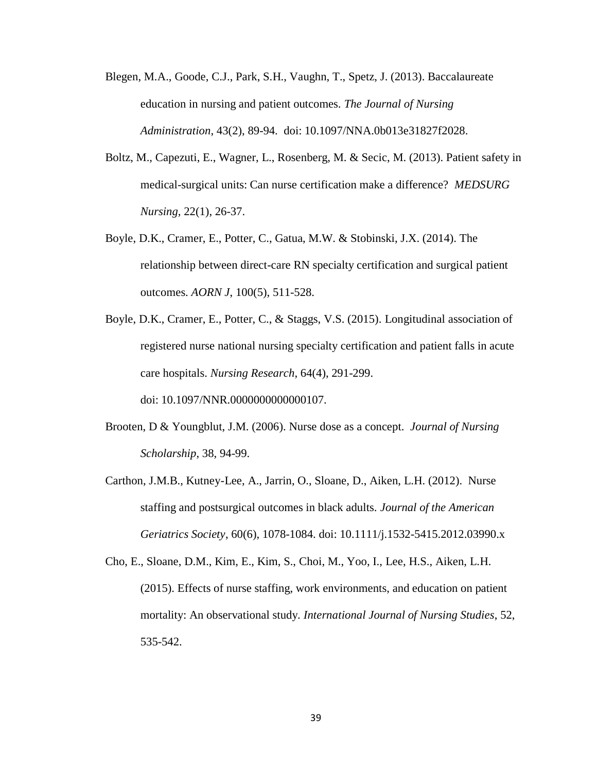- Blegen, M.A., Goode, C.J., Park, S.H., Vaughn, T., Spetz, J. (2013). Baccalaureate education in nursing and patient outcomes. *The Journal of Nursing Administration*, 43(2), 89-94. doi: 10.1097/NNA.0b013e31827f2028.
- Boltz, M., Capezuti, E., Wagner, L., Rosenberg, M. & Secic, M. (2013). Patient safety in medical-surgical units: Can nurse certification make a difference? *MEDSURG Nursing,* 22(1), 26-37.
- Boyle, D.K., Cramer, E., Potter, C., Gatua, M.W. & Stobinski, J.X. (2014). The relationship between direct-care RN specialty certification and surgical patient outcomes. *AORN J*, 100(5), 511-528.
- Boyle, D.K., Cramer, E., Potter, C., & Staggs, V.S. (2015). Longitudinal association of registered nurse national nursing specialty certification and patient falls in acute care hospitals. *Nursing Research*, 64(4), 291-299. doi: 10.1097/NNR.0000000000000107.
- Brooten, D & Youngblut, J.M. (2006). Nurse dose as a concept. *Journal of Nursing Scholarship*, 38, 94-99.
- Carthon, J.M.B., Kutney-Lee, A., Jarrin, O., Sloane, D., Aiken, L.H. (2012). Nurse staffing and postsurgical outcomes in black adults. *Journal of the American Geriatrics Society*, 60(6), 1078-1084. doi: 10.1111/j.1532-5415.2012.03990.x
- Cho, E., Sloane, D.M., Kim, E., Kim, S., Choi, M., Yoo, I., Lee, H.S., Aiken, L.H. (2015). Effects of nurse staffing, work environments, and education on patient mortality: An observational study. *International Journal of Nursing Studies*, 52, 535-542.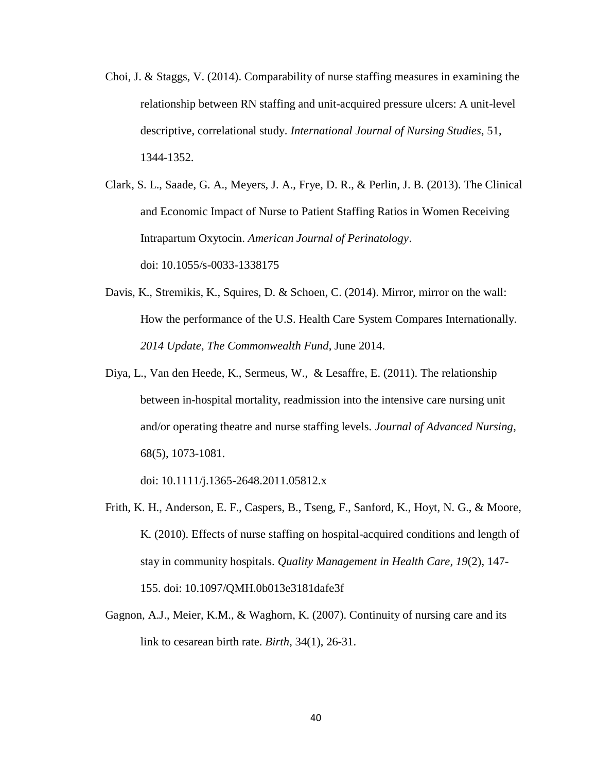- Choi, J. & Staggs, V. (2014). Comparability of nurse staffing measures in examining the relationship between RN staffing and unit-acquired pressure ulcers: A unit-level descriptive, correlational study. *International Journal of Nursing Studies*, 51, 1344-1352.
- Clark, S. L., Saade, G. A., Meyers, J. A., Frye, D. R., & Perlin, J. B. (2013). The Clinical and Economic Impact of Nurse to Patient Staffing Ratios in Women Receiving Intrapartum Oxytocin. *American Journal of Perinatology*. doi: 10.1055/s-0033-1338175
- Davis, K., Stremikis, K., Squires, D. & Schoen, C. (2014). Mirror, mirror on the wall: How the performance of the U.S. Health Care System Compares Internationally. *2014 Update*, *The Commonwealth Fund*, June 2014.
- Diya, L., Van den Heede, K., Sermeus, W., & Lesaffre, E. (2011). The relationship between in-hospital mortality, readmission into the intensive care nursing unit and/or operating theatre and nurse staffing levels. *Journal of Advanced Nursing*, 68(5), 1073-1081.

doi: 10.1111/j.1365-2648.2011.05812.x

- Frith, K. H., Anderson, E. F., Caspers, B., Tseng, F., Sanford, K., Hoyt, N. G., & Moore, K. (2010). Effects of nurse staffing on hospital-acquired conditions and length of stay in community hospitals. *Quality Management in Health Care, 19*(2), 147- 155. doi: 10.1097/QMH.0b013e3181dafe3f
- Gagnon, A.J., Meier, K.M., & Waghorn, K. (2007). Continuity of nursing care and its link to cesarean birth rate. *Birth*, 34(1), 26-31.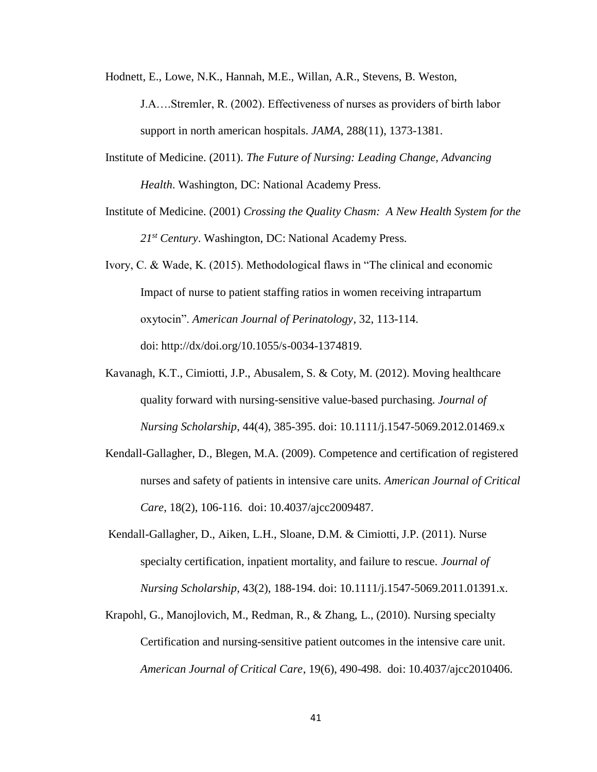Hodnett, E., Lowe, N.K., Hannah, M.E., Willan, A.R., Stevens, B. Weston,

J.A….Stremler, R. (2002). Effectiveness of nurses as providers of birth labor support in north american hospitals. *JAMA*, 288(11), 1373-1381.

- Institute of Medicine. (2011). *The Future of Nursing: Leading Change, Advancing Health*. Washington, DC: National Academy Press.
- Institute of Medicine. (2001) *Crossing the Quality Chasm: A New Health System for the 21st Century*. Washington, DC: National Academy Press.
- Ivory, C. & Wade, K. (2015). Methodological flaws in "The clinical and economic Impact of nurse to patient staffing ratios in women receiving intrapartum oxytocin". *American Journal of Perinatology*, 32, 113-114. doi: http://dx/doi.org/10.1055/s-0034-1374819.
- Kavanagh, K.T., Cimiotti, J.P., Abusalem, S. & Coty, M. (2012). Moving healthcare quality forward with nursing-sensitive value-based purchasing. *Journal of Nursing Scholarship*, 44(4), 385-395. doi: 10.1111/j.1547-5069.2012.01469.x
- Kendall-Gallagher, D., Blegen, M.A. (2009). Competence and certification of registered nurses and safety of patients in intensive care units. *American Journal of Critical Care*, 18(2), 106-116. doi: 10.4037/ajcc2009487.
- Kendall-Gallagher, D., Aiken, L.H., Sloane, D.M. & Cimiotti, J.P. (2011). Nurse specialty certification, inpatient mortality, and failure to rescue. *Journal of Nursing Scholarship*, 43(2), 188-194. doi: 10.1111/j.1547-5069.2011.01391.x.
- Krapohl, G., Manojlovich, M., Redman, R., & Zhang, L., (2010). Nursing specialty Certification and nursing-sensitive patient outcomes in the intensive care unit. *American Journal of Critical Care*, 19(6), 490-498. doi: 10.4037/ajcc2010406.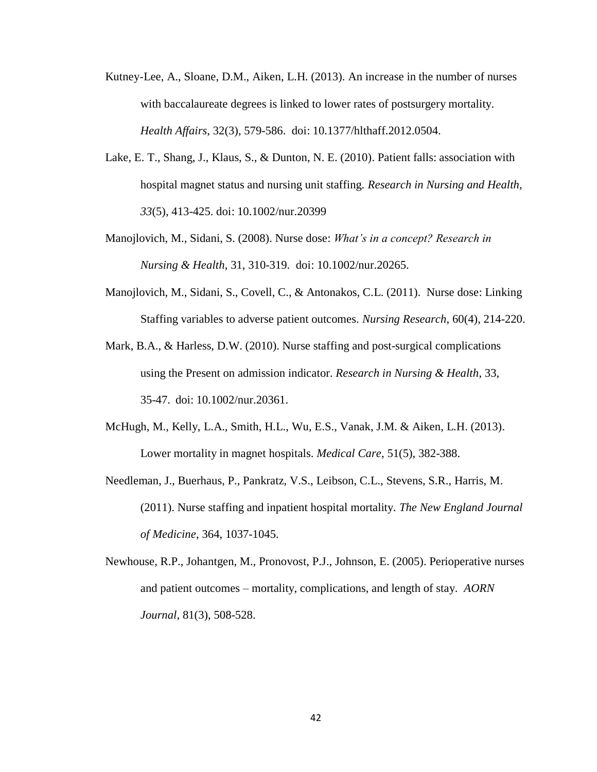- Kutney-Lee, A., Sloane, D.M., Aiken, L.H. (2013). An increase in the number of nurses with baccalaureate degrees is linked to lower rates of postsurgery mortality. *Health Affairs*, 32(3), 579-586. doi: 10.1377/hlthaff.2012.0504.
- Lake, E. T., Shang, J., Klaus, S., & Dunton, N. E. (2010). Patient falls: association with hospital magnet status and nursing unit staffing. *Research in Nursing and Health, 33*(5), 413-425. doi: 10.1002/nur.20399
- Manojlovich, M., Sidani, S. (2008). Nurse dose: *What's in a concept? Research in Nursing & Health*, 31, 310-319. doi: 10.1002/nur.20265.
- Manojlovich, M., Sidani, S., Covell, C., & Antonakos, C.L. (2011). Nurse dose: Linking Staffing variables to adverse patient outcomes. *Nursing Research*, 60(4), 214-220.
- Mark, B.A., & Harless, D.W. (2010). Nurse staffing and post-surgical complications using the Present on admission indicator. *Research in Nursing & Health*, 33, 35-47. doi: 10.1002/nur.20361.
- McHugh, M., Kelly, L.A., Smith, H.L., Wu, E.S., Vanak, J.M. & Aiken, L.H. (2013). Lower mortality in magnet hospitals. *Medical Care*, 51(5), 382-388.
- Needleman, J., Buerhaus, P., Pankratz, V.S., Leibson, C.L., Stevens, S.R., Harris, M. (2011). Nurse staffing and inpatient hospital mortality. *The New England Journal of Medicine*, 364, 1037-1045.
- Newhouse, R.P., Johantgen, M., Pronovost, P.J., Johnson, E. (2005). Perioperative nurses and patient outcomes – mortality, complications, and length of stay. *AORN Journal*, 81(3), 508-528.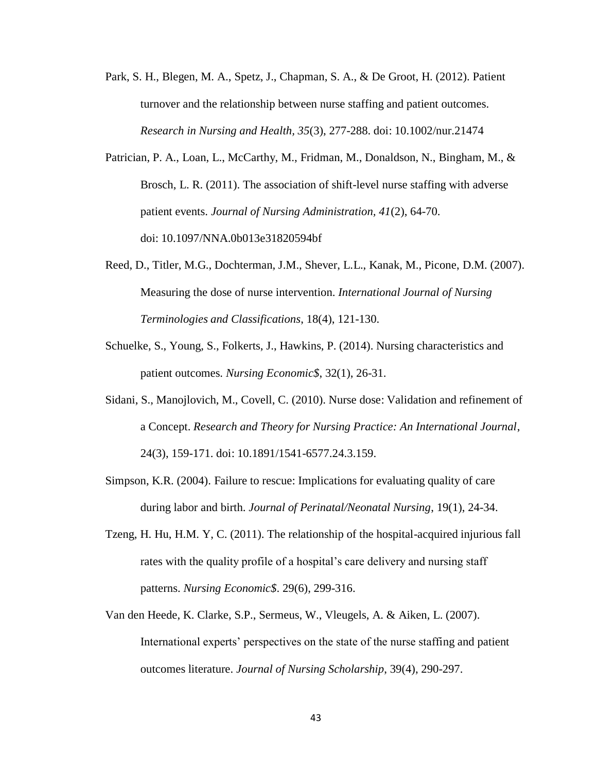- Park, S. H., Blegen, M. A., Spetz, J., Chapman, S. A., & De Groot, H. (2012). Patient turnover and the relationship between nurse staffing and patient outcomes. *Research in Nursing and Health, 35*(3), 277-288. doi: 10.1002/nur.21474
- Patrician, P. A., Loan, L., McCarthy, M., Fridman, M., Donaldson, N., Bingham, M., & Brosch, L. R. (2011). The association of shift-level nurse staffing with adverse patient events. *Journal of Nursing Administration, 41*(2), 64-70. doi: 10.1097/NNA.0b013e31820594bf
- Reed, D., Titler, M.G., Dochterman, J.M., Shever, L.L., Kanak, M., Picone, D.M. (2007). Measuring the dose of nurse intervention. *International Journal of Nursing Terminologies and Classifications*, 18(4), 121-130.
- Schuelke, S., Young, S., Folkerts, J., Hawkins, P. (2014). Nursing characteristics and patient outcomes. *Nursing Economic\$*, 32(1), 26-31.
- Sidani, S., Manojlovich, M., Covell, C. (2010). Nurse dose: Validation and refinement of a Concept. *Research and Theory for Nursing Practice: An International Journal*, 24(3), 159-171. doi: 10.1891/1541-6577.24.3.159.
- Simpson, K.R. (2004). Failure to rescue: Implications for evaluating quality of care during labor and birth. *Journal of Perinatal/Neonatal Nursing*, 19(1), 24-34.
- Tzeng, H. Hu, H.M. Y, C. (2011). The relationship of the hospital-acquired injurious fall rates with the quality profile of a hospital's care delivery and nursing staff patterns. *Nursing Economic\$*. 29(6), 299-316.
- Van den Heede, K. Clarke, S.P., Sermeus, W., Vleugels, A. & Aiken, L. (2007). International experts' perspectives on the state of the nurse staffing and patient outcomes literature. *Journal of Nursing Scholarship*, 39(4), 290-297.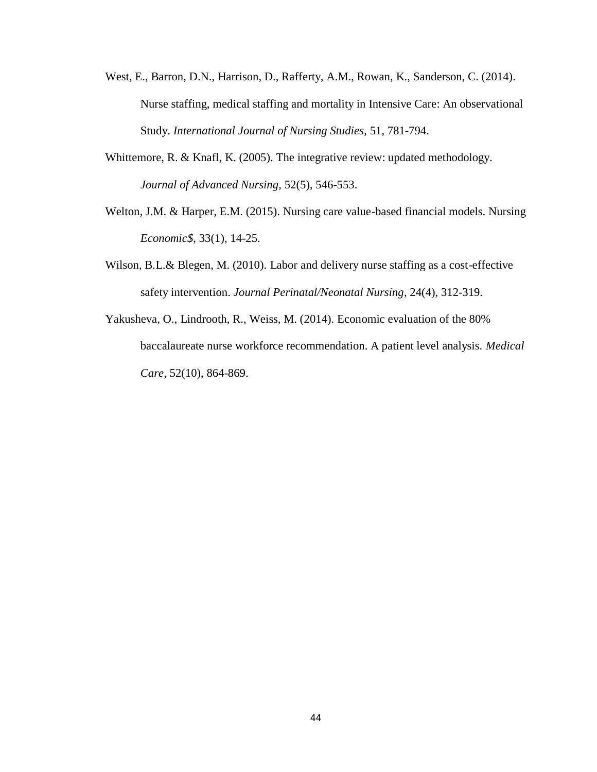- West, E., Barron, D.N., Harrison, D., Rafferty, A.M., Rowan, K., Sanderson, C. (2014). Nurse staffing, medical staffing and mortality in Intensive Care: An observational Study. *International Journal of Nursing Studies*, 51, 781-794.
- Whittemore, R. & Knafl, K. (2005). The integrative review: updated methodology. *Journal of Advanced Nursing*, 52(5), 546-553.
- Welton, J.M. & Harper, E.M. (2015). Nursing care value-based financial models. Nursing *Economic\$,* 33(1), 14-25.
- Wilson, B.L.& Blegen, M. (2010). Labor and delivery nurse staffing as a cost-effective safety intervention. *Journal Perinatal/Neonatal Nursing*, 24(4), 312-319.
- Yakusheva, O., Lindrooth, R., Weiss, M. (2014). Economic evaluation of the 80% baccalaureate nurse workforce recommendation. A patient level analysis. *Medical Care*, 52(10), 864-869.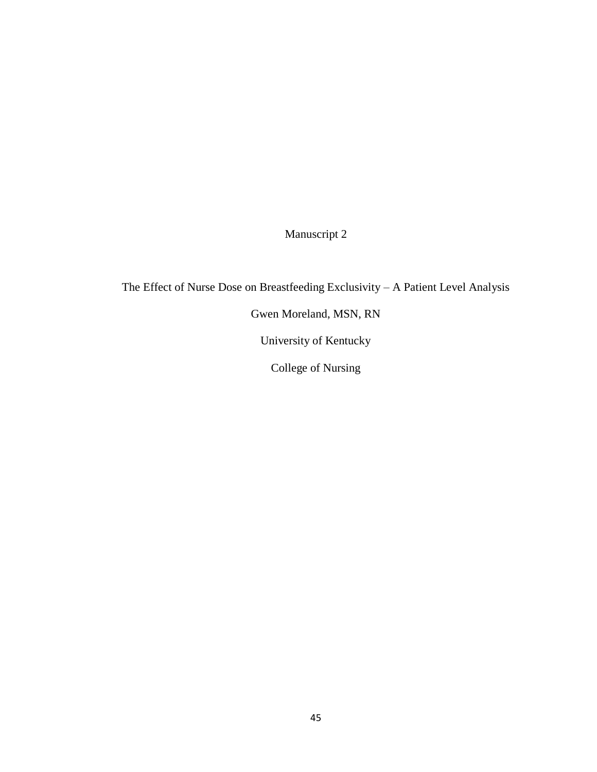Manuscript 2

The Effect of Nurse Dose on Breastfeeding Exclusivity – A Patient Level Analysis Gwen Moreland, MSN, RN University of Kentucky College of Nursing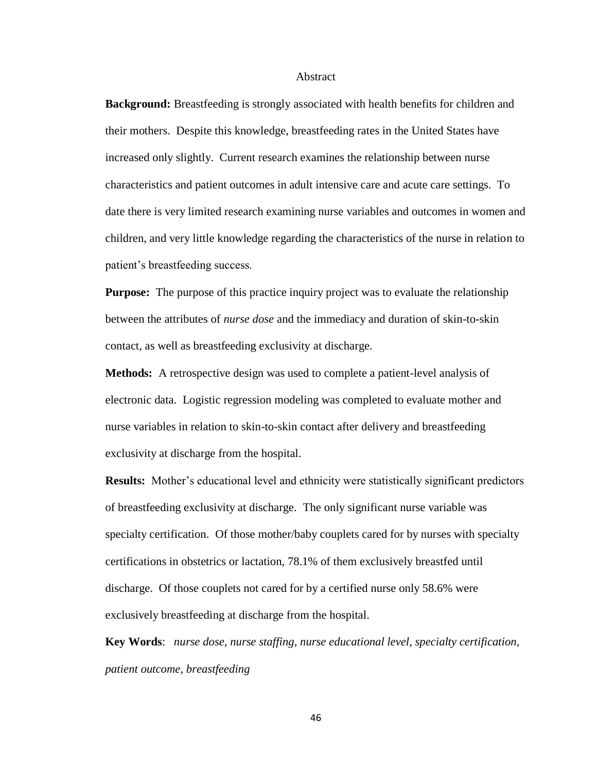#### Abstract

**Background:** Breastfeeding is strongly associated with health benefits for children and their mothers. Despite this knowledge, breastfeeding rates in the United States have increased only slightly. Current research examines the relationship between nurse characteristics and patient outcomes in adult intensive care and acute care settings. To date there is very limited research examining nurse variables and outcomes in women and children, and very little knowledge regarding the characteristics of the nurse in relation to patient's breastfeeding success.

**Purpose:** The purpose of this practice inquiry project was to evaluate the relationship between the attributes of *nurse dose* and the immediacy and duration of skin-to-skin contact, as well as breastfeeding exclusivity at discharge.

**Methods:** A retrospective design was used to complete a patient-level analysis of electronic data. Logistic regression modeling was completed to evaluate mother and nurse variables in relation to skin-to-skin contact after delivery and breastfeeding exclusivity at discharge from the hospital.

**Results:** Mother's educational level and ethnicity were statistically significant predictors of breastfeeding exclusivity at discharge. The only significant nurse variable was specialty certification. Of those mother/baby couplets cared for by nurses with specialty certifications in obstetrics or lactation, 78.1% of them exclusively breastfed until discharge. Of those couplets not cared for by a certified nurse only 58.6% were exclusively breastfeeding at discharge from the hospital.

**Key Words**: *nurse dose, nurse staffing, nurse educational level, specialty certification, patient outcome, breastfeeding*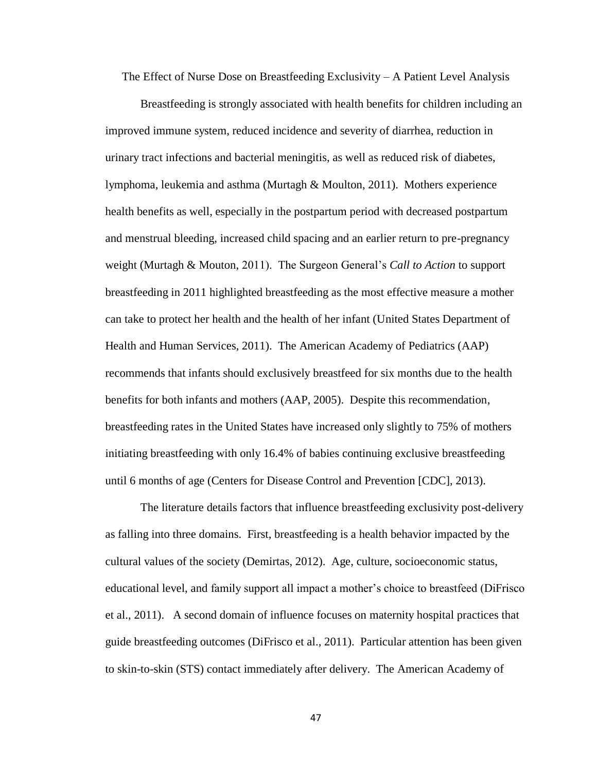The Effect of Nurse Dose on Breastfeeding Exclusivity – A Patient Level Analysis

Breastfeeding is strongly associated with health benefits for children including an improved immune system, reduced incidence and severity of diarrhea, reduction in urinary tract infections and bacterial meningitis, as well as reduced risk of diabetes, lymphoma, leukemia and asthma (Murtagh & Moulton, 2011). Mothers experience health benefits as well, especially in the postpartum period with decreased postpartum and menstrual bleeding, increased child spacing and an earlier return to pre-pregnancy weight (Murtagh & Mouton, 2011). The Surgeon General's *Call to Action* to support breastfeeding in 2011 highlighted breastfeeding as the most effective measure a mother can take to protect her health and the health of her infant (United States Department of Health and Human Services, 2011). The American Academy of Pediatrics (AAP) recommends that infants should exclusively breastfeed for six months due to the health benefits for both infants and mothers (AAP, 2005). Despite this recommendation, breastfeeding rates in the United States have increased only slightly to 75% of mothers initiating breastfeeding with only 16.4% of babies continuing exclusive breastfeeding until 6 months of age (Centers for Disease Control and Prevention [CDC], 2013).

The literature details factors that influence breastfeeding exclusivity post-delivery as falling into three domains. First, breastfeeding is a health behavior impacted by the cultural values of the society (Demirtas, 2012). Age, culture, socioeconomic status, educational level, and family support all impact a mother's choice to breastfeed (DiFrisco et al., 2011). A second domain of influence focuses on maternity hospital practices that guide breastfeeding outcomes (DiFrisco et al., 2011). Particular attention has been given to skin-to-skin (STS) contact immediately after delivery. The American Academy of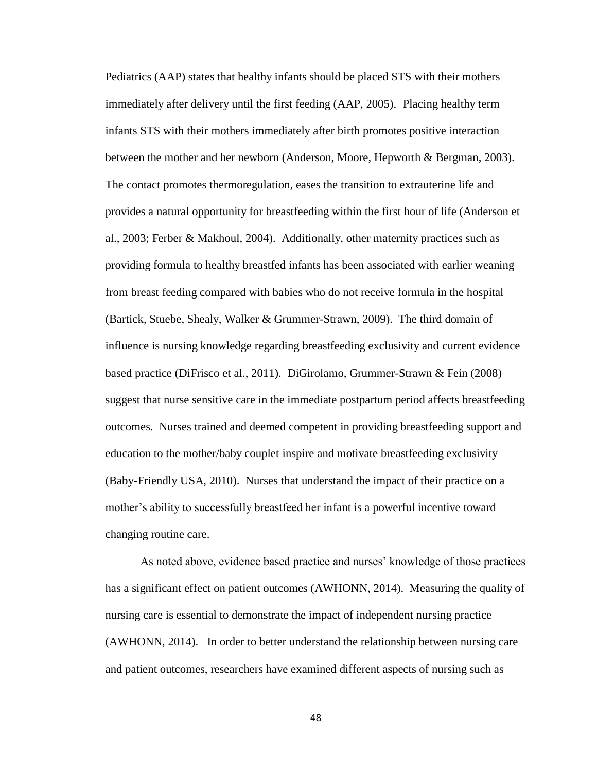Pediatrics (AAP) states that healthy infants should be placed STS with their mothers immediately after delivery until the first feeding (AAP, 2005). Placing healthy term infants STS with their mothers immediately after birth promotes positive interaction between the mother and her newborn (Anderson, Moore, Hepworth & Bergman, 2003). The contact promotes thermoregulation, eases the transition to extrauterine life and provides a natural opportunity for breastfeeding within the first hour of life (Anderson et al., 2003; Ferber & Makhoul, 2004). Additionally, other maternity practices such as providing formula to healthy breastfed infants has been associated with earlier weaning from breast feeding compared with babies who do not receive formula in the hospital (Bartick, Stuebe, Shealy, Walker & Grummer-Strawn, 2009). The third domain of influence is nursing knowledge regarding breastfeeding exclusivity and current evidence based practice (DiFrisco et al., 2011). DiGirolamo, Grummer-Strawn & Fein (2008) suggest that nurse sensitive care in the immediate postpartum period affects breastfeeding outcomes. Nurses trained and deemed competent in providing breastfeeding support and education to the mother/baby couplet inspire and motivate breastfeeding exclusivity (Baby-Friendly USA, 2010). Nurses that understand the impact of their practice on a mother's ability to successfully breastfeed her infant is a powerful incentive toward changing routine care.

As noted above, evidence based practice and nurses' knowledge of those practices has a significant effect on patient outcomes (AWHONN, 2014). Measuring the quality of nursing care is essential to demonstrate the impact of independent nursing practice (AWHONN, 2014). In order to better understand the relationship between nursing care and patient outcomes, researchers have examined different aspects of nursing such as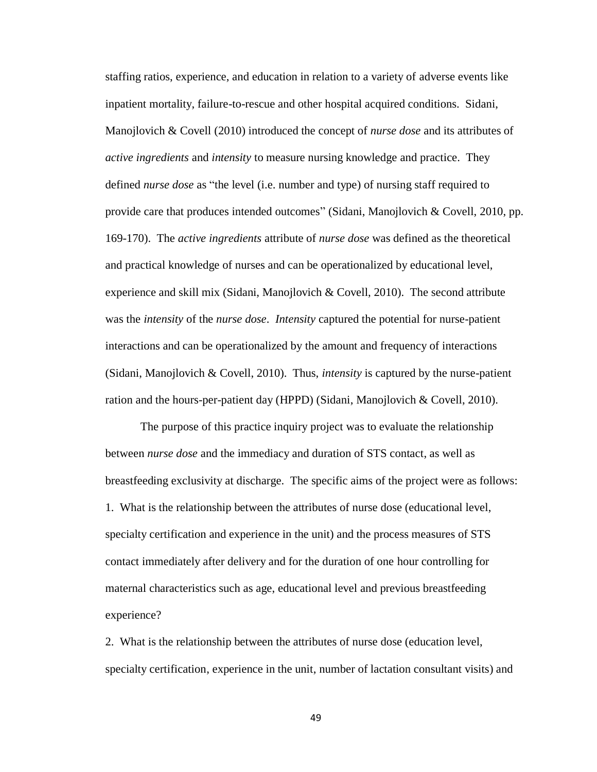staffing ratios, experience, and education in relation to a variety of adverse events like inpatient mortality, failure-to-rescue and other hospital acquired conditions. Sidani, Manojlovich & Covell (2010) introduced the concept of *nurse dose* and its attributes of *active ingredients* and *intensity* to measure nursing knowledge and practice. They defined *nurse dose* as "the level (i.e. number and type) of nursing staff required to provide care that produces intended outcomes" (Sidani, Manojlovich & Covell, 2010, pp. 169-170). The *active ingredients* attribute of *nurse dose* was defined as the theoretical and practical knowledge of nurses and can be operationalized by educational level, experience and skill mix (Sidani, Manojlovich  $& \text{Covell}, 2010$ ). The second attribute was the *intensity* of the *nurse dose*. *Intensity* captured the potential for nurse-patient interactions and can be operationalized by the amount and frequency of interactions (Sidani, Manojlovich & Covell, 2010). Thus, *intensity* is captured by the nurse-patient ration and the hours-per-patient day (HPPD) (Sidani, Manojlovich & Covell, 2010).

The purpose of this practice inquiry project was to evaluate the relationship between *nurse dose* and the immediacy and duration of STS contact, as well as breastfeeding exclusivity at discharge. The specific aims of the project were as follows: 1. What is the relationship between the attributes of nurse dose (educational level, specialty certification and experience in the unit) and the process measures of STS contact immediately after delivery and for the duration of one hour controlling for maternal characteristics such as age, educational level and previous breastfeeding experience?

2. What is the relationship between the attributes of nurse dose (education level, specialty certification, experience in the unit, number of lactation consultant visits) and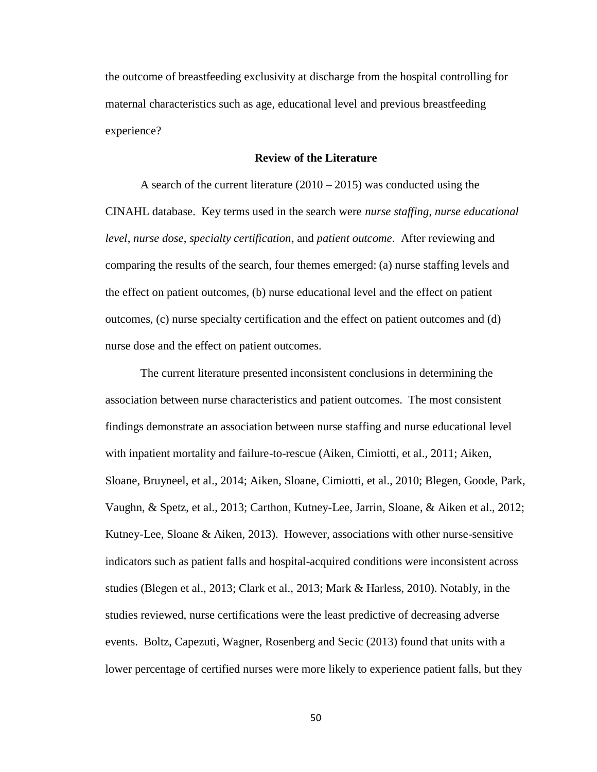the outcome of breastfeeding exclusivity at discharge from the hospital controlling for maternal characteristics such as age, educational level and previous breastfeeding experience?

## **Review of the Literature**

A search of the current literature  $(2010 - 2015)$  was conducted using the CINAHL database. Key terms used in the search were *nurse staffing*, *nurse educational level*, *nurse dose*, *specialty certification*, and *patient outcome*. After reviewing and comparing the results of the search, four themes emerged: (a) nurse staffing levels and the effect on patient outcomes, (b) nurse educational level and the effect on patient outcomes, (c) nurse specialty certification and the effect on patient outcomes and (d) nurse dose and the effect on patient outcomes.

The current literature presented inconsistent conclusions in determining the association between nurse characteristics and patient outcomes. The most consistent findings demonstrate an association between nurse staffing and nurse educational level with inpatient mortality and failure-to-rescue (Aiken, Cimiotti, et al., 2011; Aiken, Sloane, Bruyneel, et al., 2014; Aiken, Sloane, Cimiotti, et al., 2010; Blegen, Goode, Park, Vaughn, & Spetz, et al., 2013; Carthon, Kutney-Lee, Jarrin, Sloane, & Aiken et al., 2012; Kutney-Lee, Sloane & Aiken, 2013). However, associations with other nurse-sensitive indicators such as patient falls and hospital-acquired conditions were inconsistent across studies (Blegen et al., 2013; Clark et al., 2013; Mark & Harless, 2010). Notably, in the studies reviewed, nurse certifications were the least predictive of decreasing adverse events. Boltz, Capezuti, Wagner, Rosenberg and Secic (2013) found that units with a lower percentage of certified nurses were more likely to experience patient falls, but they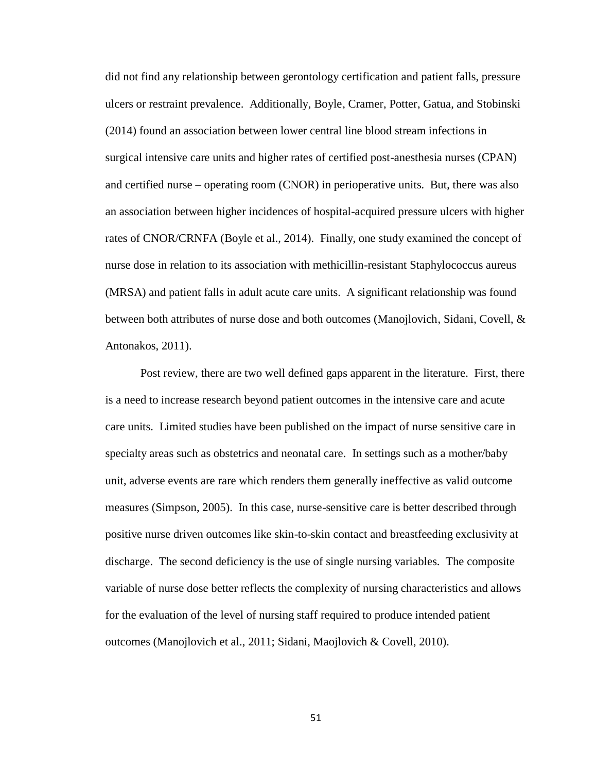did not find any relationship between gerontology certification and patient falls, pressure ulcers or restraint prevalence. Additionally, Boyle, Cramer, Potter, Gatua, and Stobinski (2014) found an association between lower central line blood stream infections in surgical intensive care units and higher rates of certified post-anesthesia nurses (CPAN) and certified nurse – operating room (CNOR) in perioperative units. But, there was also an association between higher incidences of hospital-acquired pressure ulcers with higher rates of CNOR/CRNFA (Boyle et al., 2014). Finally, one study examined the concept of nurse dose in relation to its association with methicillin-resistant Staphylococcus aureus (MRSA) and patient falls in adult acute care units. A significant relationship was found between both attributes of nurse dose and both outcomes (Manojlovich, Sidani, Covell, & Antonakos, 2011).

Post review, there are two well defined gaps apparent in the literature. First, there is a need to increase research beyond patient outcomes in the intensive care and acute care units. Limited studies have been published on the impact of nurse sensitive care in specialty areas such as obstetrics and neonatal care. In settings such as a mother/baby unit, adverse events are rare which renders them generally ineffective as valid outcome measures (Simpson, 2005). In this case, nurse-sensitive care is better described through positive nurse driven outcomes like skin-to-skin contact and breastfeeding exclusivity at discharge. The second deficiency is the use of single nursing variables. The composite variable of nurse dose better reflects the complexity of nursing characteristics and allows for the evaluation of the level of nursing staff required to produce intended patient outcomes (Manojlovich et al., 2011; Sidani, Maojlovich & Covell, 2010).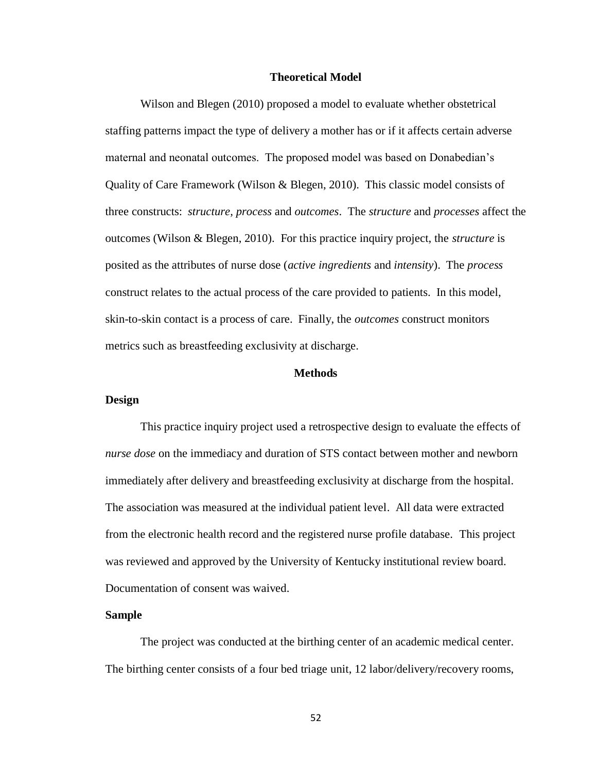## **Theoretical Model**

Wilson and Blegen (2010) proposed a model to evaluate whether obstetrical staffing patterns impact the type of delivery a mother has or if it affects certain adverse maternal and neonatal outcomes. The proposed model was based on Donabedian's Quality of Care Framework (Wilson & Blegen, 2010). This classic model consists of three constructs: *structure, process* and *outcomes*. The *structure* and *processes* affect the outcomes (Wilson & Blegen, 2010). For this practice inquiry project, the *structure* is posited as the attributes of nurse dose (*active ingredients* and *intensity*). The *process* construct relates to the actual process of the care provided to patients. In this model, skin-to-skin contact is a process of care. Finally, the *outcomes* construct monitors metrics such as breastfeeding exclusivity at discharge.

## **Methods**

#### **Design**

This practice inquiry project used a retrospective design to evaluate the effects of *nurse dose* on the immediacy and duration of STS contact between mother and newborn immediately after delivery and breastfeeding exclusivity at discharge from the hospital. The association was measured at the individual patient level. All data were extracted from the electronic health record and the registered nurse profile database. This project was reviewed and approved by the University of Kentucky institutional review board. Documentation of consent was waived.

## **Sample**

The project was conducted at the birthing center of an academic medical center. The birthing center consists of a four bed triage unit, 12 labor/delivery/recovery rooms,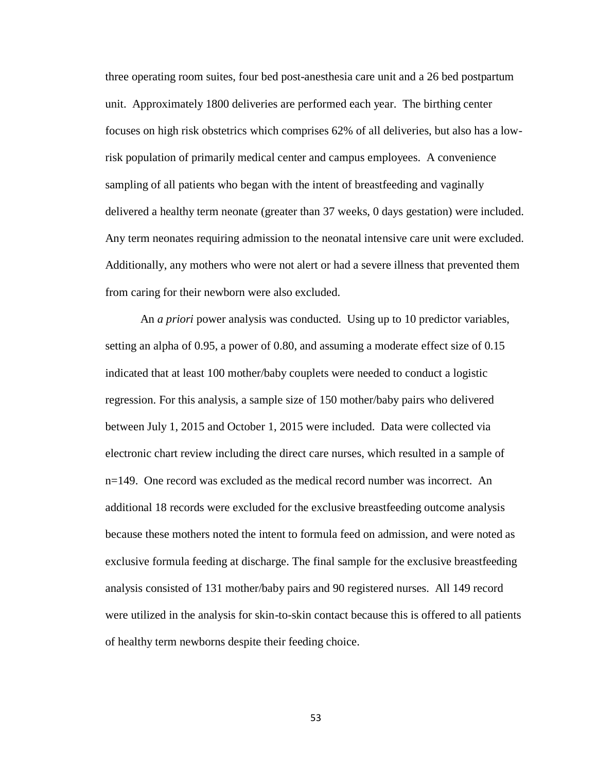three operating room suites, four bed post-anesthesia care unit and a 26 bed postpartum unit. Approximately 1800 deliveries are performed each year. The birthing center focuses on high risk obstetrics which comprises 62% of all deliveries, but also has a lowrisk population of primarily medical center and campus employees. A convenience sampling of all patients who began with the intent of breastfeeding and vaginally delivered a healthy term neonate (greater than 37 weeks, 0 days gestation) were included. Any term neonates requiring admission to the neonatal intensive care unit were excluded. Additionally, any mothers who were not alert or had a severe illness that prevented them from caring for their newborn were also excluded.

An *a priori* power analysis was conducted. Using up to 10 predictor variables, setting an alpha of 0.95, a power of 0.80, and assuming a moderate effect size of 0.15 indicated that at least 100 mother/baby couplets were needed to conduct a logistic regression. For this analysis, a sample size of 150 mother/baby pairs who delivered between July 1, 2015 and October 1, 2015 were included. Data were collected via electronic chart review including the direct care nurses, which resulted in a sample of n=149. One record was excluded as the medical record number was incorrect. An additional 18 records were excluded for the exclusive breastfeeding outcome analysis because these mothers noted the intent to formula feed on admission, and were noted as exclusive formula feeding at discharge. The final sample for the exclusive breastfeeding analysis consisted of 131 mother/baby pairs and 90 registered nurses. All 149 record were utilized in the analysis for skin-to-skin contact because this is offered to all patients of healthy term newborns despite their feeding choice.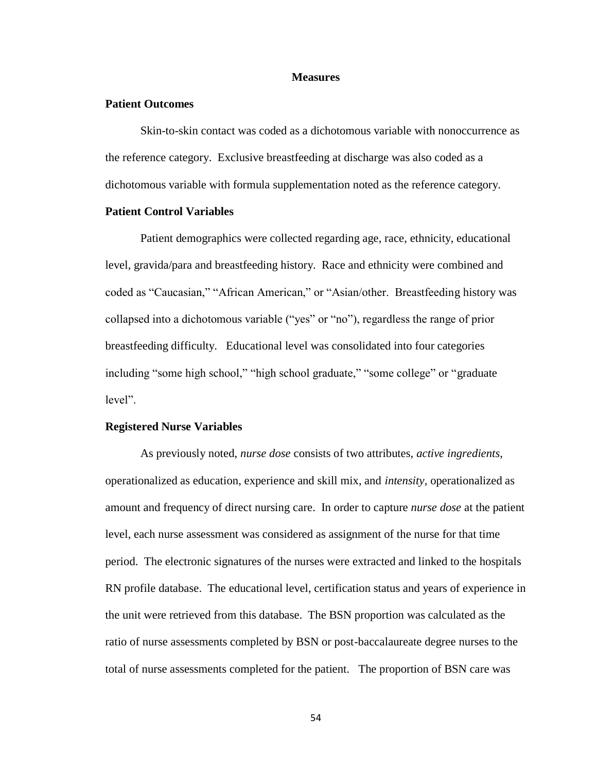## **Measures**

## **Patient Outcomes**

Skin-to-skin contact was coded as a dichotomous variable with nonoccurrence as the reference category. Exclusive breastfeeding at discharge was also coded as a dichotomous variable with formula supplementation noted as the reference category.

# **Patient Control Variables**

Patient demographics were collected regarding age, race, ethnicity, educational level, gravida/para and breastfeeding history. Race and ethnicity were combined and coded as "Caucasian," "African American," or "Asian/other. Breastfeeding history was collapsed into a dichotomous variable ("yes" or "no"), regardless the range of prior breastfeeding difficulty. Educational level was consolidated into four categories including "some high school," "high school graduate," "some college" or "graduate level".

#### **Registered Nurse Variables**

As previously noted, *nurse dose* consists of two attributes, *active ingredients*, operationalized as education, experience and skill mix, and *intensity,* operationalized as amount and frequency of direct nursing care. In order to capture *nurse dose* at the patient level, each nurse assessment was considered as assignment of the nurse for that time period. The electronic signatures of the nurses were extracted and linked to the hospitals RN profile database. The educational level, certification status and years of experience in the unit were retrieved from this database. The BSN proportion was calculated as the ratio of nurse assessments completed by BSN or post-baccalaureate degree nurses to the total of nurse assessments completed for the patient. The proportion of BSN care was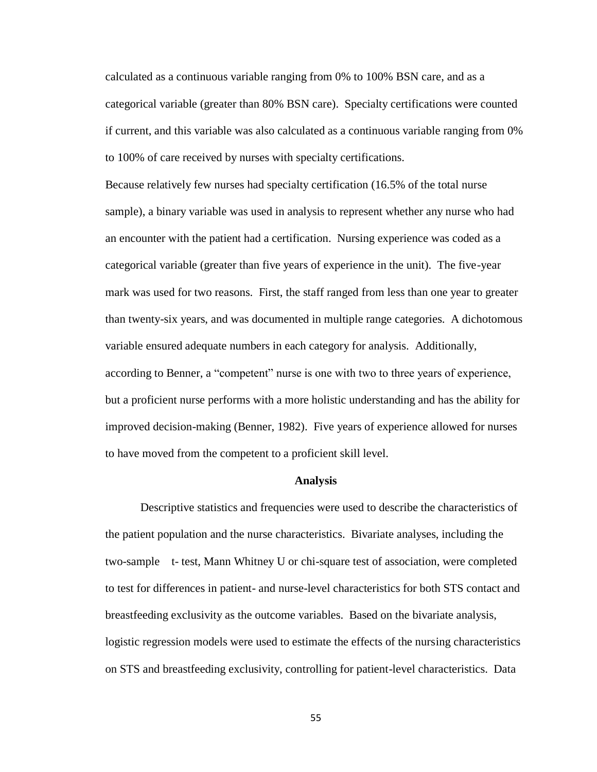calculated as a continuous variable ranging from 0% to 100% BSN care, and as a categorical variable (greater than 80% BSN care). Specialty certifications were counted if current, and this variable was also calculated as a continuous variable ranging from 0% to 100% of care received by nurses with specialty certifications.

Because relatively few nurses had specialty certification (16.5% of the total nurse sample), a binary variable was used in analysis to represent whether any nurse who had an encounter with the patient had a certification. Nursing experience was coded as a categorical variable (greater than five years of experience in the unit). The five-year mark was used for two reasons. First, the staff ranged from less than one year to greater than twenty-six years, and was documented in multiple range categories. A dichotomous variable ensured adequate numbers in each category for analysis. Additionally, according to Benner, a "competent" nurse is one with two to three years of experience, but a proficient nurse performs with a more holistic understanding and has the ability for improved decision-making (Benner, 1982). Five years of experience allowed for nurses to have moved from the competent to a proficient skill level.

#### **Analysis**

Descriptive statistics and frequencies were used to describe the characteristics of the patient population and the nurse characteristics. Bivariate analyses, including the two-sample t- test, Mann Whitney U or chi-square test of association, were completed to test for differences in patient- and nurse-level characteristics for both STS contact and breastfeeding exclusivity as the outcome variables. Based on the bivariate analysis, logistic regression models were used to estimate the effects of the nursing characteristics on STS and breastfeeding exclusivity, controlling for patient-level characteristics. Data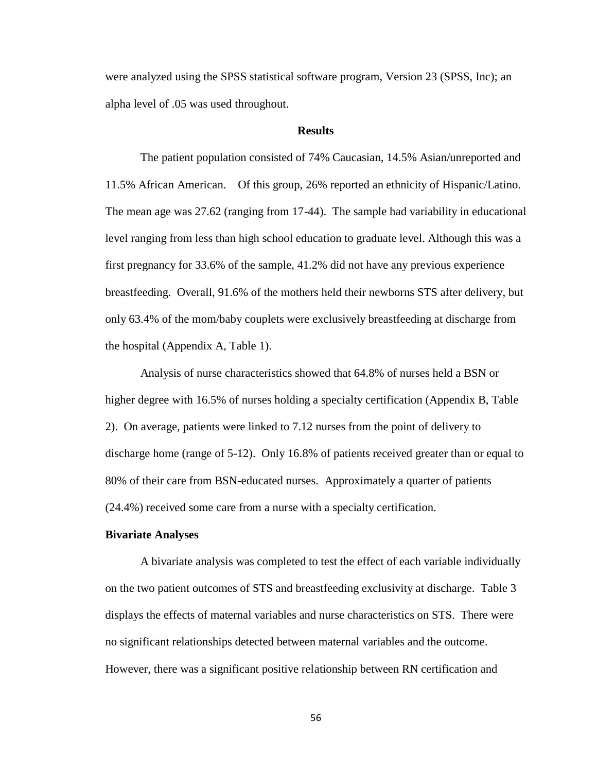were analyzed using the SPSS statistical software program, Version 23 (SPSS, Inc); an alpha level of .05 was used throughout.

# **Results**

The patient population consisted of 74% Caucasian, 14.5% Asian/unreported and 11.5% African American. Of this group, 26% reported an ethnicity of Hispanic/Latino. The mean age was 27.62 (ranging from 17-44). The sample had variability in educational level ranging from less than high school education to graduate level. Although this was a first pregnancy for 33.6% of the sample, 41.2% did not have any previous experience breastfeeding. Overall, 91.6% of the mothers held their newborns STS after delivery, but only 63.4% of the mom/baby couplets were exclusively breastfeeding at discharge from the hospital (Appendix A, Table 1).

Analysis of nurse characteristics showed that 64.8% of nurses held a BSN or higher degree with 16.5% of nurses holding a specialty certification (Appendix B, Table 2). On average, patients were linked to 7.12 nurses from the point of delivery to discharge home (range of 5-12). Only 16.8% of patients received greater than or equal to 80% of their care from BSN-educated nurses. Approximately a quarter of patients (24.4%) received some care from a nurse with a specialty certification.

#### **Bivariate Analyses**

A bivariate analysis was completed to test the effect of each variable individually on the two patient outcomes of STS and breastfeeding exclusivity at discharge. Table 3 displays the effects of maternal variables and nurse characteristics on STS. There were no significant relationships detected between maternal variables and the outcome. However, there was a significant positive relationship between RN certification and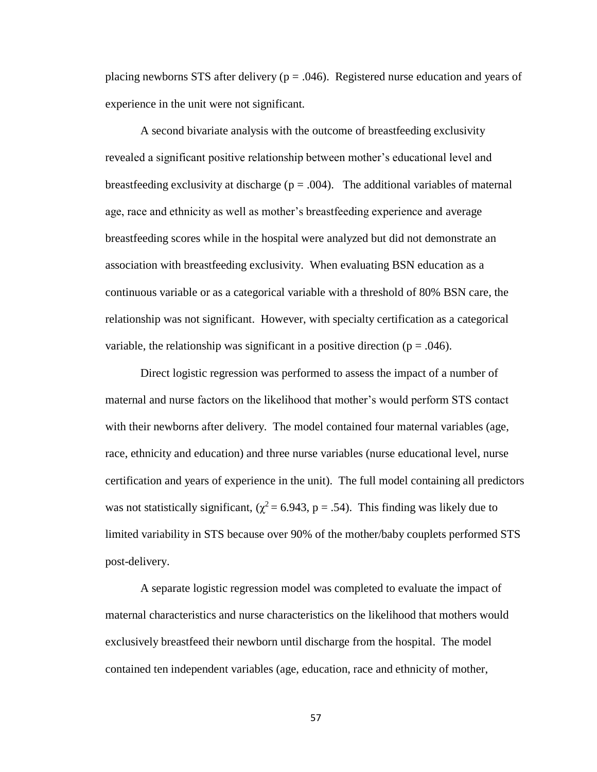placing newborns STS after delivery ( $p = .046$ ). Registered nurse education and years of experience in the unit were not significant.

A second bivariate analysis with the outcome of breastfeeding exclusivity revealed a significant positive relationship between mother's educational level and breastfeeding exclusivity at discharge ( $p = .004$ ). The additional variables of maternal age, race and ethnicity as well as mother's breastfeeding experience and average breastfeeding scores while in the hospital were analyzed but did not demonstrate an association with breastfeeding exclusivity. When evaluating BSN education as a continuous variable or as a categorical variable with a threshold of 80% BSN care, the relationship was not significant. However, with specialty certification as a categorical variable, the relationship was significant in a positive direction ( $p = .046$ ).

Direct logistic regression was performed to assess the impact of a number of maternal and nurse factors on the likelihood that mother's would perform STS contact with their newborns after delivery. The model contained four maternal variables (age, race, ethnicity and education) and three nurse variables (nurse educational level, nurse certification and years of experience in the unit). The full model containing all predictors was not statistically significant, ( $\chi^2$  = 6.943, p = .54). This finding was likely due to limited variability in STS because over 90% of the mother/baby couplets performed STS post-delivery.

A separate logistic regression model was completed to evaluate the impact of maternal characteristics and nurse characteristics on the likelihood that mothers would exclusively breastfeed their newborn until discharge from the hospital. The model contained ten independent variables (age, education, race and ethnicity of mother,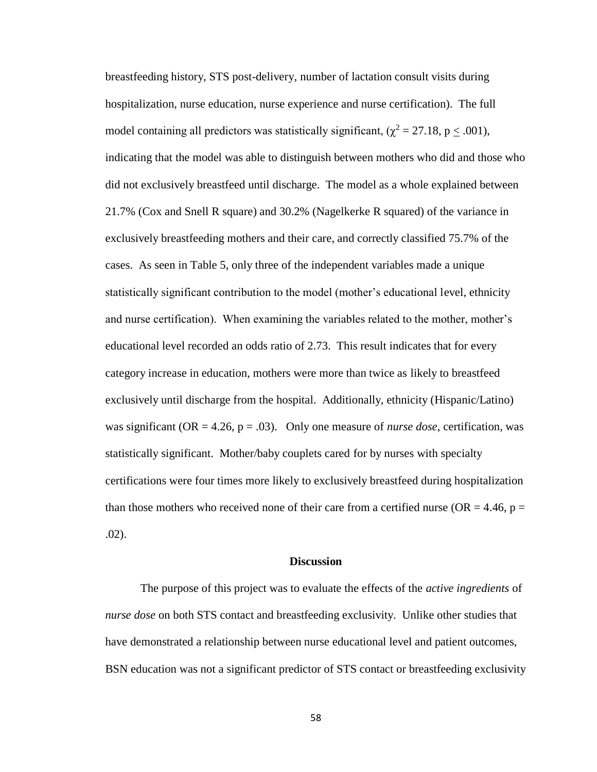breastfeeding history, STS post-delivery, number of lactation consult visits during hospitalization, nurse education, nurse experience and nurse certification). The full model containing all predictors was statistically significant, ( $\chi^2 = 27.18$ , p < .001), indicating that the model was able to distinguish between mothers who did and those who did not exclusively breastfeed until discharge. The model as a whole explained between 21.7% (Cox and Snell R square) and 30.2% (Nagelkerke R squared) of the variance in exclusively breastfeeding mothers and their care, and correctly classified 75.7% of the cases. As seen in Table 5, only three of the independent variables made a unique statistically significant contribution to the model (mother's educational level, ethnicity and nurse certification). When examining the variables related to the mother, mother's educational level recorded an odds ratio of 2.73. This result indicates that for every category increase in education, mothers were more than twice as likely to breastfeed exclusively until discharge from the hospital. Additionally, ethnicity (Hispanic/Latino) was significant ( $OR = 4.26$ ,  $p = .03$ ). Only one measure of *nurse dose*, certification, was statistically significant. Mother/baby couplets cared for by nurses with specialty certifications were four times more likely to exclusively breastfeed during hospitalization than those mothers who received none of their care from a certified nurse (OR = 4.46,  $p =$ .02).

## **Discussion**

The purpose of this project was to evaluate the effects of the *active ingredients* of *nurse dose* on both STS contact and breastfeeding exclusivity. Unlike other studies that have demonstrated a relationship between nurse educational level and patient outcomes, BSN education was not a significant predictor of STS contact or breastfeeding exclusivity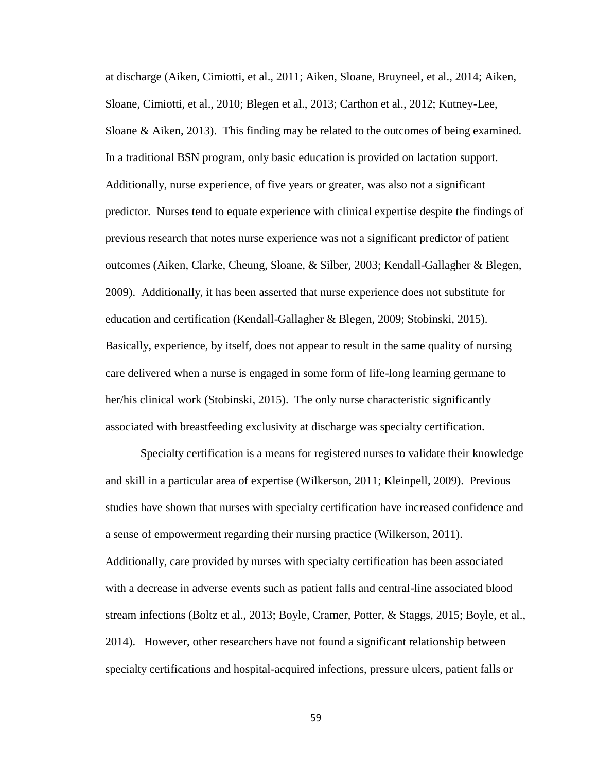at discharge (Aiken, Cimiotti, et al., 2011; Aiken, Sloane, Bruyneel, et al., 2014; Aiken, Sloane, Cimiotti, et al., 2010; Blegen et al., 2013; Carthon et al., 2012; Kutney-Lee, Sloane & Aiken, 2013). This finding may be related to the outcomes of being examined. In a traditional BSN program, only basic education is provided on lactation support. Additionally, nurse experience, of five years or greater, was also not a significant predictor. Nurses tend to equate experience with clinical expertise despite the findings of previous research that notes nurse experience was not a significant predictor of patient outcomes (Aiken, Clarke, Cheung, Sloane, & Silber, 2003; Kendall-Gallagher & Blegen, 2009). Additionally, it has been asserted that nurse experience does not substitute for education and certification (Kendall-Gallagher & Blegen, 2009; Stobinski, 2015). Basically, experience, by itself, does not appear to result in the same quality of nursing care delivered when a nurse is engaged in some form of life-long learning germane to her/his clinical work (Stobinski, 2015). The only nurse characteristic significantly associated with breastfeeding exclusivity at discharge was specialty certification.

Specialty certification is a means for registered nurses to validate their knowledge and skill in a particular area of expertise (Wilkerson, 2011; Kleinpell, 2009). Previous studies have shown that nurses with specialty certification have increased confidence and a sense of empowerment regarding their nursing practice (Wilkerson, 2011). Additionally, care provided by nurses with specialty certification has been associated with a decrease in adverse events such as patient falls and central-line associated blood stream infections (Boltz et al., 2013; Boyle, Cramer, Potter, & Staggs, 2015; Boyle, et al., 2014). However, other researchers have not found a significant relationship between specialty certifications and hospital-acquired infections, pressure ulcers, patient falls or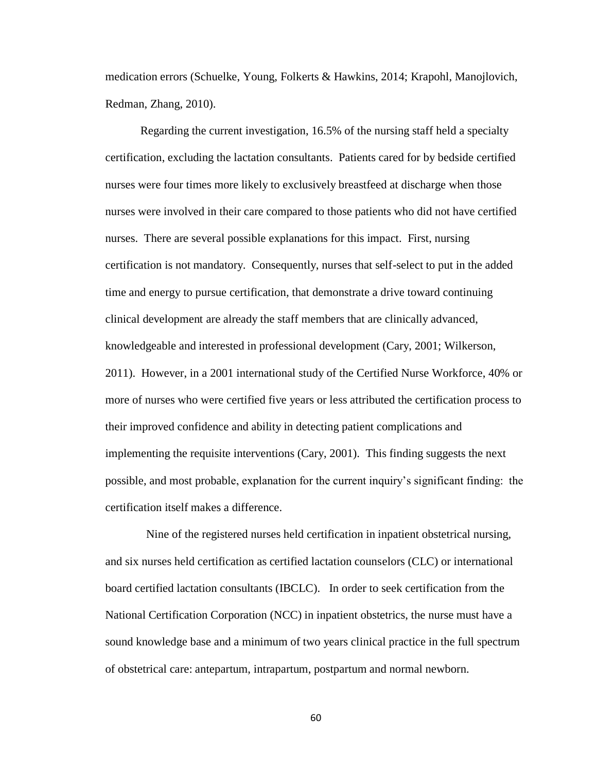medication errors (Schuelke, Young, Folkerts & Hawkins, 2014; Krapohl, Manojlovich, Redman, Zhang, 2010).

Regarding the current investigation, 16.5% of the nursing staff held a specialty certification, excluding the lactation consultants. Patients cared for by bedside certified nurses were four times more likely to exclusively breastfeed at discharge when those nurses were involved in their care compared to those patients who did not have certified nurses. There are several possible explanations for this impact. First, nursing certification is not mandatory. Consequently, nurses that self-select to put in the added time and energy to pursue certification, that demonstrate a drive toward continuing clinical development are already the staff members that are clinically advanced, knowledgeable and interested in professional development (Cary, 2001; Wilkerson, 2011). However, in a 2001 international study of the Certified Nurse Workforce, 40% or more of nurses who were certified five years or less attributed the certification process to their improved confidence and ability in detecting patient complications and implementing the requisite interventions (Cary, 2001). This finding suggests the next possible, and most probable, explanation for the current inquiry's significant finding: the certification itself makes a difference.

 Nine of the registered nurses held certification in inpatient obstetrical nursing, and six nurses held certification as certified lactation counselors (CLC) or international board certified lactation consultants (IBCLC). In order to seek certification from the National Certification Corporation (NCC) in inpatient obstetrics, the nurse must have a sound knowledge base and a minimum of two years clinical practice in the full spectrum of obstetrical care: antepartum, intrapartum, postpartum and normal newborn.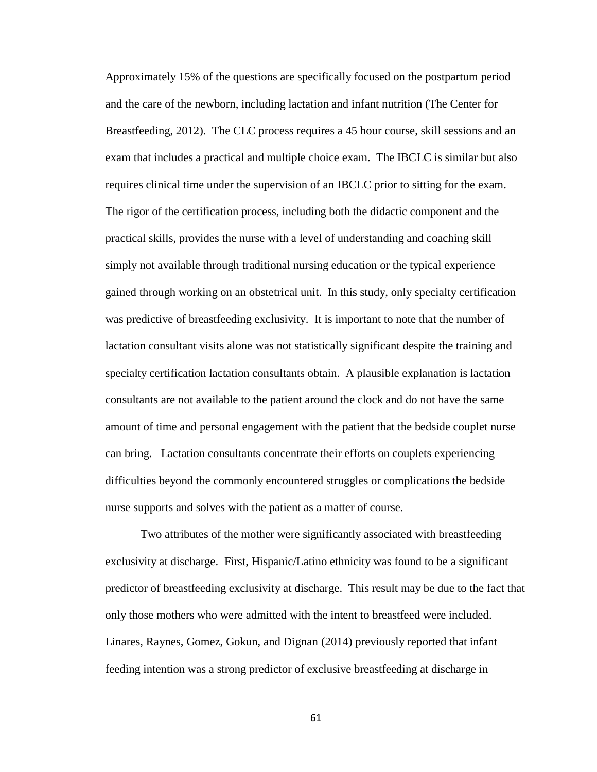Approximately 15% of the questions are specifically focused on the postpartum period and the care of the newborn, including lactation and infant nutrition (The Center for Breastfeeding, 2012). The CLC process requires a 45 hour course, skill sessions and an exam that includes a practical and multiple choice exam. The IBCLC is similar but also requires clinical time under the supervision of an IBCLC prior to sitting for the exam. The rigor of the certification process, including both the didactic component and the practical skills, provides the nurse with a level of understanding and coaching skill simply not available through traditional nursing education or the typical experience gained through working on an obstetrical unit. In this study, only specialty certification was predictive of breastfeeding exclusivity. It is important to note that the number of lactation consultant visits alone was not statistically significant despite the training and specialty certification lactation consultants obtain. A plausible explanation is lactation consultants are not available to the patient around the clock and do not have the same amount of time and personal engagement with the patient that the bedside couplet nurse can bring. Lactation consultants concentrate their efforts on couplets experiencing difficulties beyond the commonly encountered struggles or complications the bedside nurse supports and solves with the patient as a matter of course.

Two attributes of the mother were significantly associated with breastfeeding exclusivity at discharge. First, Hispanic/Latino ethnicity was found to be a significant predictor of breastfeeding exclusivity at discharge. This result may be due to the fact that only those mothers who were admitted with the intent to breastfeed were included. Linares, Raynes, Gomez, Gokun, and Dignan (2014) previously reported that infant feeding intention was a strong predictor of exclusive breastfeeding at discharge in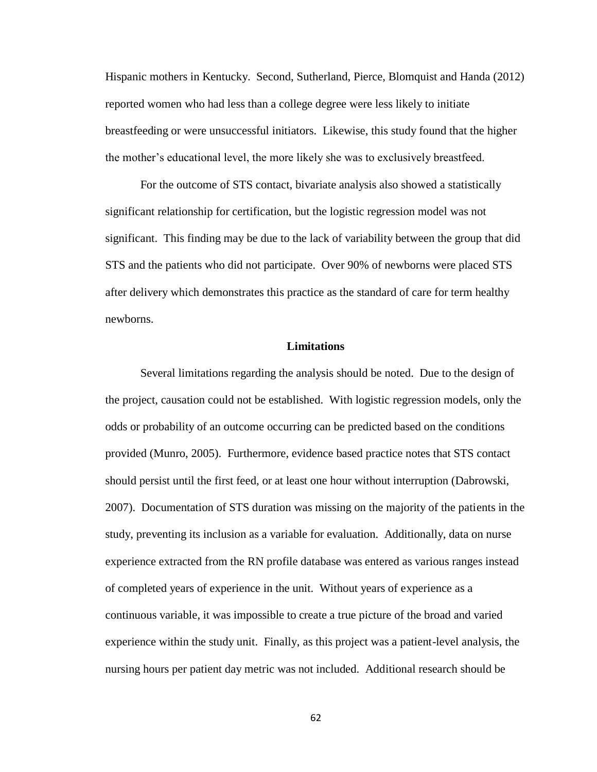Hispanic mothers in Kentucky. Second, Sutherland, Pierce, Blomquist and Handa (2012) reported women who had less than a college degree were less likely to initiate breastfeeding or were unsuccessful initiators. Likewise, this study found that the higher the mother's educational level, the more likely she was to exclusively breastfeed.

For the outcome of STS contact, bivariate analysis also showed a statistically significant relationship for certification, but the logistic regression model was not significant. This finding may be due to the lack of variability between the group that did STS and the patients who did not participate. Over 90% of newborns were placed STS after delivery which demonstrates this practice as the standard of care for term healthy newborns.

## **Limitations**

Several limitations regarding the analysis should be noted. Due to the design of the project, causation could not be established. With logistic regression models, only the odds or probability of an outcome occurring can be predicted based on the conditions provided (Munro, 2005). Furthermore, evidence based practice notes that STS contact should persist until the first feed, or at least one hour without interruption (Dabrowski, 2007). Documentation of STS duration was missing on the majority of the patients in the study, preventing its inclusion as a variable for evaluation. Additionally, data on nurse experience extracted from the RN profile database was entered as various ranges instead of completed years of experience in the unit. Without years of experience as a continuous variable, it was impossible to create a true picture of the broad and varied experience within the study unit. Finally, as this project was a patient-level analysis, the nursing hours per patient day metric was not included. Additional research should be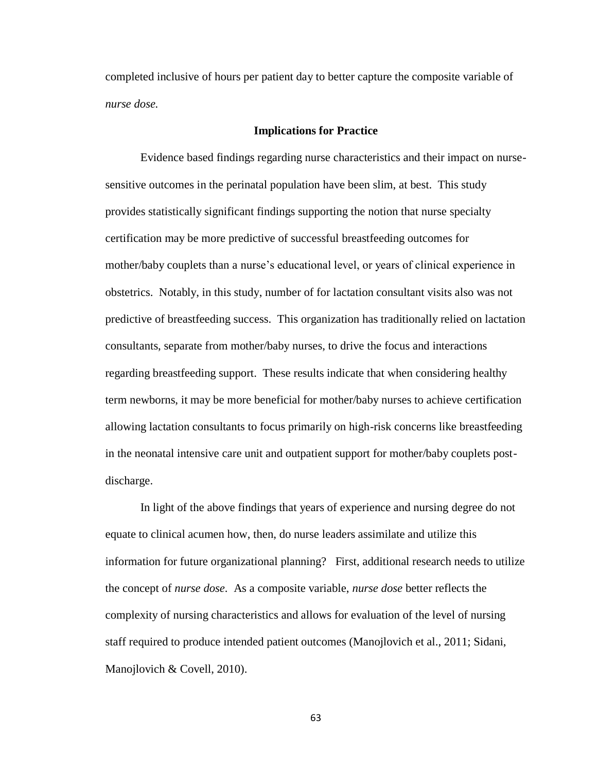completed inclusive of hours per patient day to better capture the composite variable of *nurse dose.*

## **Implications for Practice**

Evidence based findings regarding nurse characteristics and their impact on nursesensitive outcomes in the perinatal population have been slim, at best. This study provides statistically significant findings supporting the notion that nurse specialty certification may be more predictive of successful breastfeeding outcomes for mother/baby couplets than a nurse's educational level, or years of clinical experience in obstetrics. Notably, in this study, number of for lactation consultant visits also was not predictive of breastfeeding success. This organization has traditionally relied on lactation consultants, separate from mother/baby nurses, to drive the focus and interactions regarding breastfeeding support. These results indicate that when considering healthy term newborns, it may be more beneficial for mother/baby nurses to achieve certification allowing lactation consultants to focus primarily on high-risk concerns like breastfeeding in the neonatal intensive care unit and outpatient support for mother/baby couplets postdischarge.

In light of the above findings that years of experience and nursing degree do not equate to clinical acumen how, then, do nurse leaders assimilate and utilize this information for future organizational planning? First, additional research needs to utilize the concept of *nurse dose.* As a composite variable, *nurse dose* better reflects the complexity of nursing characteristics and allows for evaluation of the level of nursing staff required to produce intended patient outcomes (Manojlovich et al., 2011; Sidani, Manojlovich & Covell, 2010).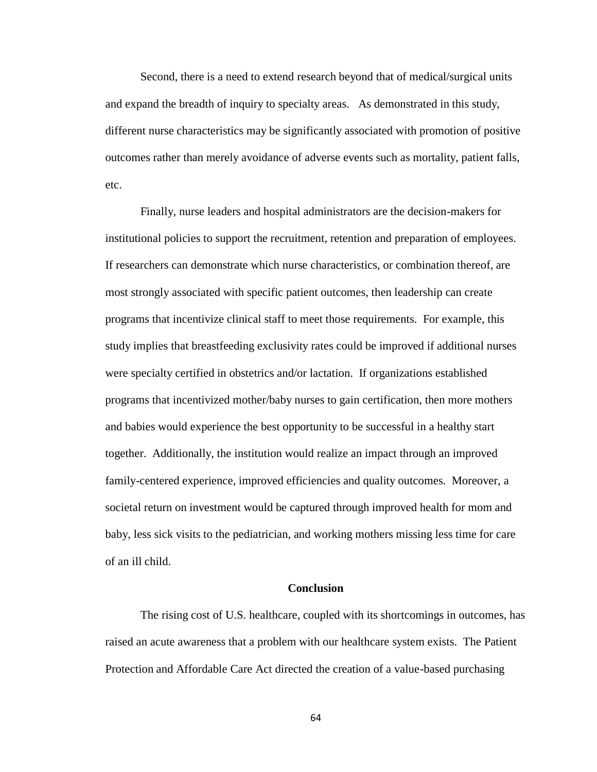Second, there is a need to extend research beyond that of medical/surgical units and expand the breadth of inquiry to specialty areas. As demonstrated in this study, different nurse characteristics may be significantly associated with promotion of positive outcomes rather than merely avoidance of adverse events such as mortality, patient falls, etc.

Finally, nurse leaders and hospital administrators are the decision-makers for institutional policies to support the recruitment, retention and preparation of employees. If researchers can demonstrate which nurse characteristics, or combination thereof, are most strongly associated with specific patient outcomes, then leadership can create programs that incentivize clinical staff to meet those requirements. For example, this study implies that breastfeeding exclusivity rates could be improved if additional nurses were specialty certified in obstetrics and/or lactation. If organizations established programs that incentivized mother/baby nurses to gain certification, then more mothers and babies would experience the best opportunity to be successful in a healthy start together. Additionally, the institution would realize an impact through an improved family-centered experience, improved efficiencies and quality outcomes. Moreover, a societal return on investment would be captured through improved health for mom and baby, less sick visits to the pediatrician, and working mothers missing less time for care of an ill child.

# **Conclusion**

The rising cost of U.S. healthcare, coupled with its shortcomings in outcomes, has raised an acute awareness that a problem with our healthcare system exists. The Patient Protection and Affordable Care Act directed the creation of a value-based purchasing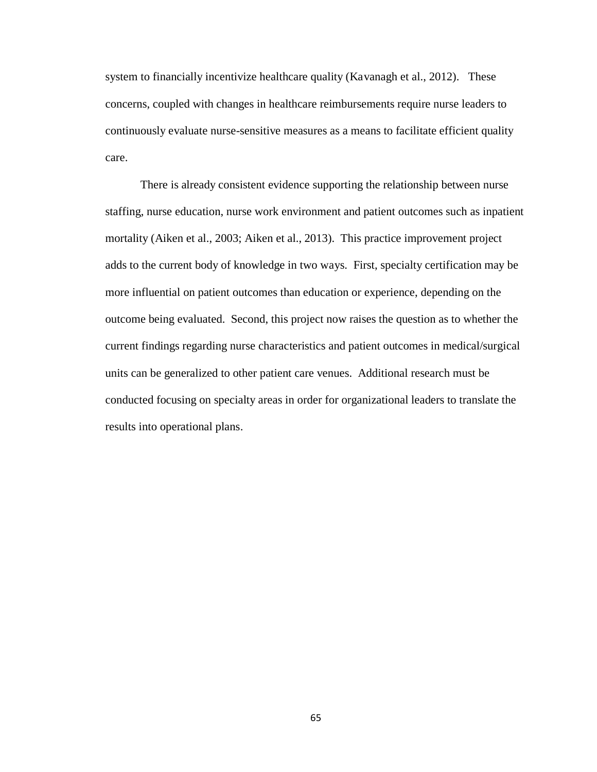system to financially incentivize healthcare quality (Kavanagh et al., 2012). These concerns, coupled with changes in healthcare reimbursements require nurse leaders to continuously evaluate nurse-sensitive measures as a means to facilitate efficient quality care.

There is already consistent evidence supporting the relationship between nurse staffing, nurse education, nurse work environment and patient outcomes such as inpatient mortality (Aiken et al., 2003; Aiken et al., 2013). This practice improvement project adds to the current body of knowledge in two ways. First, specialty certification may be more influential on patient outcomes than education or experience, depending on the outcome being evaluated. Second, this project now raises the question as to whether the current findings regarding nurse characteristics and patient outcomes in medical/surgical units can be generalized to other patient care venues. Additional research must be conducted focusing on specialty areas in order for organizational leaders to translate the results into operational plans.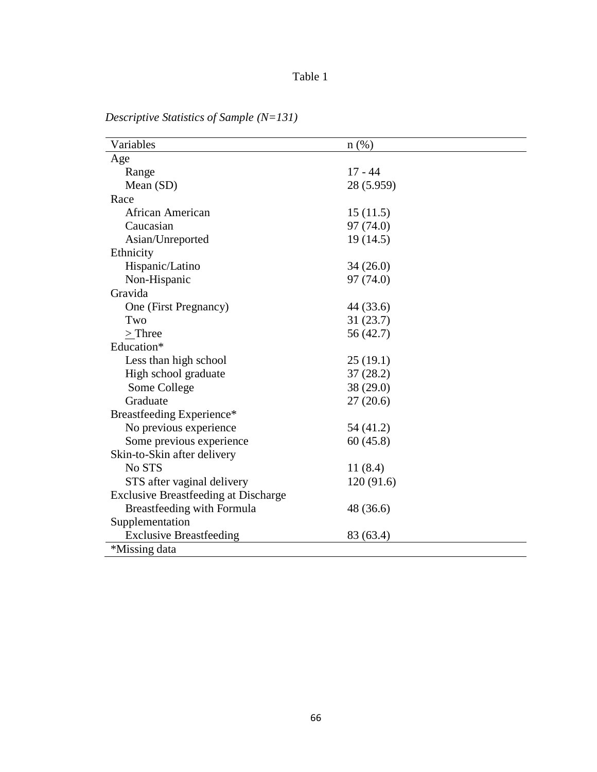# Table 1

| Variables                                   | $n(\%)$    |  |
|---------------------------------------------|------------|--|
| Age                                         |            |  |
| Range                                       | $17 - 44$  |  |
| Mean (SD)                                   | 28 (5.959) |  |
| Race                                        |            |  |
| African American                            | 15(11.5)   |  |
| Caucasian                                   | 97 (74.0)  |  |
| Asian/Unreported                            | 19(14.5)   |  |
| Ethnicity                                   |            |  |
| Hispanic/Latino                             | 34(26.0)   |  |
| Non-Hispanic                                | 97 (74.0)  |  |
| Gravida                                     |            |  |
| One (First Pregnancy)                       | 44 (33.6)  |  |
| Two                                         | 31(23.7)   |  |
| $>$ Three                                   | 56 (42.7)  |  |
| Education*                                  |            |  |
| Less than high school                       | 25(19.1)   |  |
| High school graduate                        | 37(28.2)   |  |
| Some College                                | 38 (29.0)  |  |
| Graduate                                    | 27(20.6)   |  |
| Breastfeeding Experience*                   |            |  |
| No previous experience                      | 54 (41.2)  |  |
| Some previous experience                    | 60(45.8)   |  |
| Skin-to-Skin after delivery                 |            |  |
| No STS                                      | 11(8.4)    |  |
| STS after vaginal delivery                  | 120(91.6)  |  |
| <b>Exclusive Breastfeeding at Discharge</b> |            |  |
| Breastfeeding with Formula                  | 48 (36.6)  |  |
| Supplementation                             |            |  |
| <b>Exclusive Breastfeeding</b>              | 83 (63.4)  |  |
| *Missing data                               |            |  |

*Descriptive Statistics of Sample (N=131)*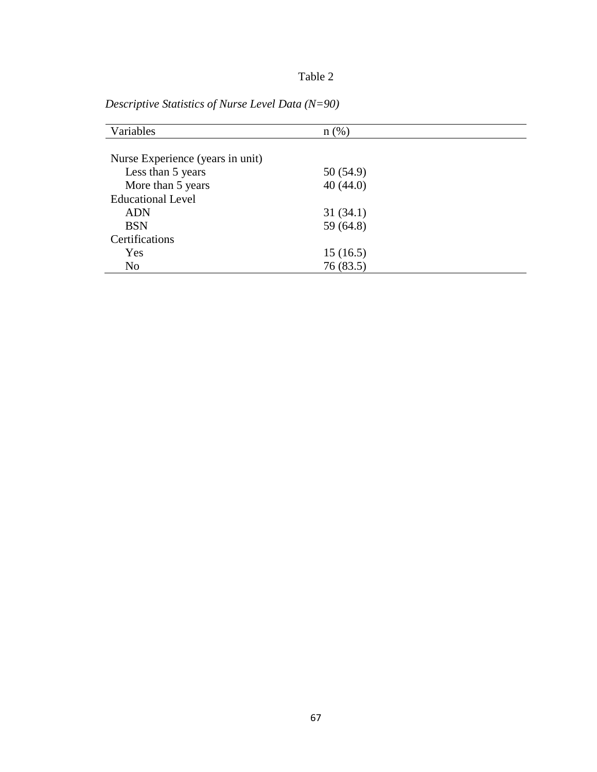| Variables                        | $n(\%)$   |  |
|----------------------------------|-----------|--|
|                                  |           |  |
| Nurse Experience (years in unit) |           |  |
| Less than 5 years                | 50 (54.9) |  |
| More than 5 years                | 40(44.0)  |  |
| <b>Educational Level</b>         |           |  |
| <b>ADN</b>                       | 31(34.1)  |  |
| <b>BSN</b>                       | 59 (64.8) |  |
| Certifications                   |           |  |
| Yes                              | 15(16.5)  |  |
| N <sub>o</sub>                   | 76 (83.5) |  |

*Descriptive Statistics of Nurse Level Data (N=90)*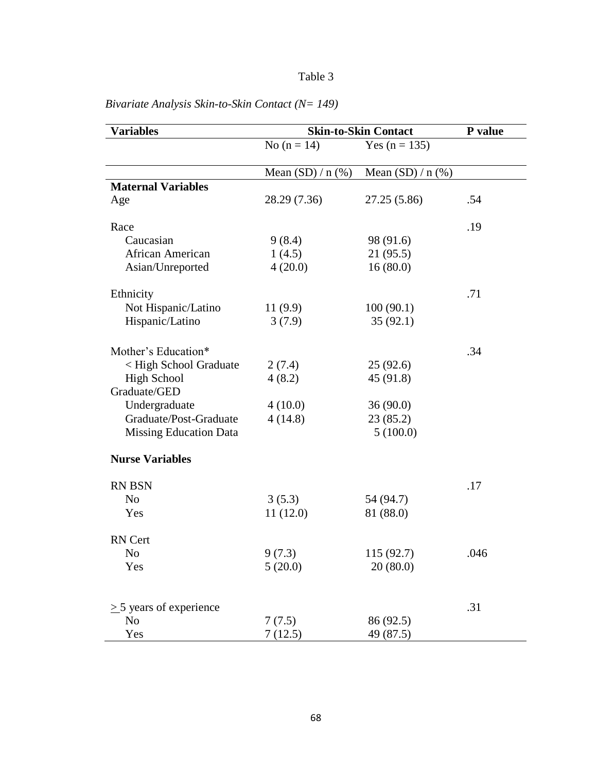| <b>Variables</b>              | <b>Skin-to-Skin Contact</b> |                     | P value |
|-------------------------------|-----------------------------|---------------------|---------|
|                               | No $(n = 14)$               | Yes $(n = 135)$     |         |
|                               | Mean $(SD) / n$ (%)         | Mean $(SD) / n$ (%) |         |
| <b>Maternal Variables</b>     |                             |                     |         |
| Age                           | 28.29 (7.36)                | 27.25 (5.86)        | .54     |
| Race                          |                             |                     | .19     |
| Caucasian                     | 9(8.4)                      | 98 (91.6)           |         |
| African American              | 1(4.5)                      | 21 (95.5)           |         |
| Asian/Unreported              | 4(20.0)                     | 16(80.0)            |         |
| Ethnicity                     |                             |                     | .71     |
| Not Hispanic/Latino           | 11(9.9)                     | 100(90.1)           |         |
| Hispanic/Latino               | 3(7.9)                      | 35(92.1)            |         |
| Mother's Education*           |                             |                     | .34     |
| < High School Graduate        |                             | 25(92.6)            |         |
| <b>High School</b>            | 2(7.4)                      |                     |         |
| Graduate/GED                  | 4(8.2)                      | 45 (91.8)           |         |
| Undergraduate                 | 4(10.0)                     | 36(90.0)            |         |
| Graduate/Post-Graduate        | 4(14.8)                     | 23 (85.2)           |         |
| <b>Missing Education Data</b> |                             | 5(100.0)            |         |
| <b>Nurse Variables</b>        |                             |                     |         |
| <b>RN BSN</b>                 |                             |                     | .17     |
| N <sub>o</sub>                | 3(5.3)                      | 54 (94.7)           |         |
| Yes                           | 11(12.0)                    | 81 (88.0)           |         |
| RN Cert                       |                             |                     |         |
| No                            | 9(7.3)                      | 115 (92.7)          | .046    |
| Yes                           | 5(20.0)                     | 20(80.0)            |         |
|                               |                             |                     |         |
| $>$ 5 years of experience     |                             |                     | .31     |
| No                            | 7(7.5)                      | 86 (92.5)           |         |
| Yes                           | 7(12.5)                     | 49 (87.5)           |         |

*Bivariate Analysis Skin-to-Skin Contact (N= 149)*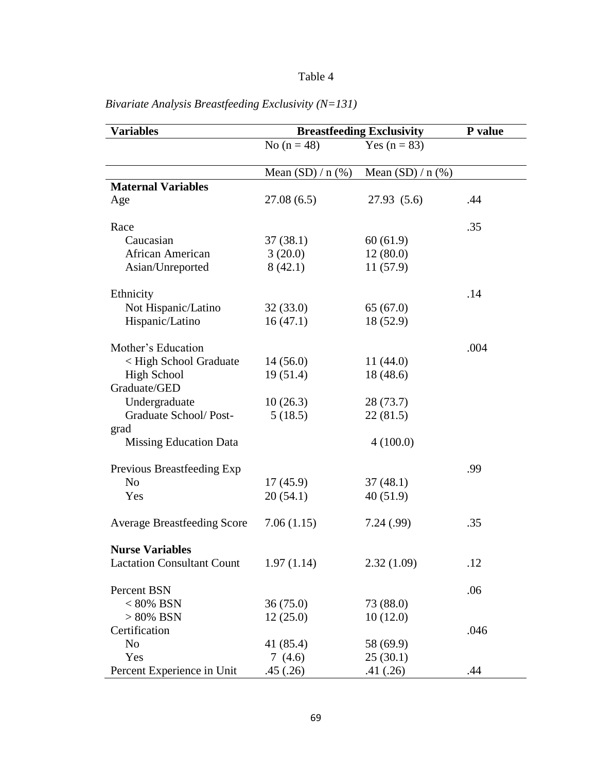| <b>Variables</b>                   | <b>Breastfeeding Exclusivity</b> | P value             |      |
|------------------------------------|----------------------------------|---------------------|------|
|                                    | No $(n = 48)$                    | Yes $(n = 83)$      |      |
|                                    | Mean $(SD) / n$ (%)              | Mean $(SD) / n$ (%) |      |
| <b>Maternal Variables</b>          |                                  |                     |      |
| Age                                | 27.08(6.5)                       | 27.93(5.6)          | .44  |
| Race                               |                                  |                     | .35  |
| Caucasian                          | 37(38.1)                         | 60(61.9)            |      |
| African American                   | 3(20.0)                          | 12(80.0)            |      |
| Asian/Unreported                   | 8(42.1)                          | 11(57.9)            |      |
| Ethnicity                          |                                  |                     | .14  |
| Not Hispanic/Latino                | 32(33.0)                         | 65(67.0)            |      |
| Hispanic/Latino                    | 16(47.1)                         | 18 (52.9)           |      |
| Mother's Education                 |                                  |                     | .004 |
| < High School Graduate             | 14(56.0)                         | 11(44.0)            |      |
| <b>High School</b>                 | 19(51.4)                         | 18 (48.6)           |      |
| Graduate/GED                       |                                  |                     |      |
| Undergraduate                      | 10(26.3)                         | 28 (73.7)           |      |
| Graduate School/Post-              | 5(18.5)                          | 22 (81.5)           |      |
| grad                               |                                  |                     |      |
| <b>Missing Education Data</b>      |                                  | 4(100.0)            |      |
| Previous Breastfeeding Exp         |                                  |                     | .99  |
| N <sub>o</sub>                     | 17(45.9)                         | 37(48.1)            |      |
| Yes                                | 20(54.1)                         | 40(51.9)            |      |
| <b>Average Breastfeeding Score</b> | 7.06(1.15)                       | 7.24(.99)           | .35  |
| <b>Nurse Variables</b>             |                                  |                     |      |
| <b>Lactation Consultant Count</b>  | 1.97(1.14)                       | 2.32(1.09)          | .12  |
| Percent BSN                        |                                  |                     | .06  |
| $<80\%$ BSN                        | 36(75.0)                         | 73 (88.0)           |      |
| $> 80\%$ BSN                       | 12(25.0)                         | 10(12.0)            |      |
| Certification                      |                                  |                     | .046 |
| N <sub>o</sub>                     | 41 (85.4)                        | 58 (69.9)           |      |
| Yes                                | 7(4.6)                           | 25(30.1)            |      |
| Percent Experience in Unit         | .45(.26)                         | .41(.26)            | .44  |

*Bivariate Analysis Breastfeeding Exclusivity (N=131)*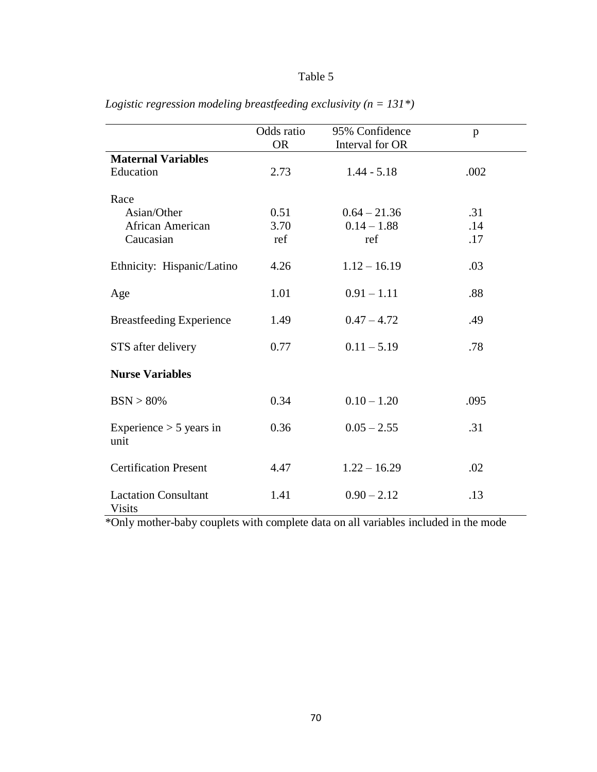|                                              | Odds ratio<br><b>OR</b> | 95% Confidence<br>Interval for OR | p    |
|----------------------------------------------|-------------------------|-----------------------------------|------|
| <b>Maternal Variables</b>                    |                         |                                   |      |
| Education                                    | 2.73                    | $1.44 - 5.18$                     | .002 |
| Race                                         |                         |                                   |      |
| Asian/Other                                  | 0.51                    | $0.64 - 21.36$                    | .31  |
| African American                             | 3.70                    | $0.14 - 1.88$                     | .14  |
| Caucasian                                    | ref                     | ref                               | .17  |
| Ethnicity: Hispanic/Latino                   | 4.26                    | $1.12 - 16.19$                    | .03  |
| Age                                          | 1.01                    | $0.91 - 1.11$                     | .88  |
| <b>Breastfeeding Experience</b>              | 1.49                    | $0.47 - 4.72$                     | .49  |
| STS after delivery                           | 0.77                    | $0.11 - 5.19$                     | .78  |
| <b>Nurse Variables</b>                       |                         |                                   |      |
| BSN > 80%                                    | 0.34                    | $0.10 - 1.20$                     | .095 |
| Experience $> 5$ years in<br>unit            | 0.36                    | $0.05 - 2.55$                     | .31  |
| <b>Certification Present</b>                 | 4.47                    | $1.22 - 16.29$                    | .02  |
| <b>Lactation Consultant</b><br><b>Visits</b> | 1.41                    | $0.90 - 2.12$                     | .13  |

*Logistic regression modeling breastfeeding exclusivity (n = 131\*)*

\*Only mother-baby couplets with complete data on all variables included in the mode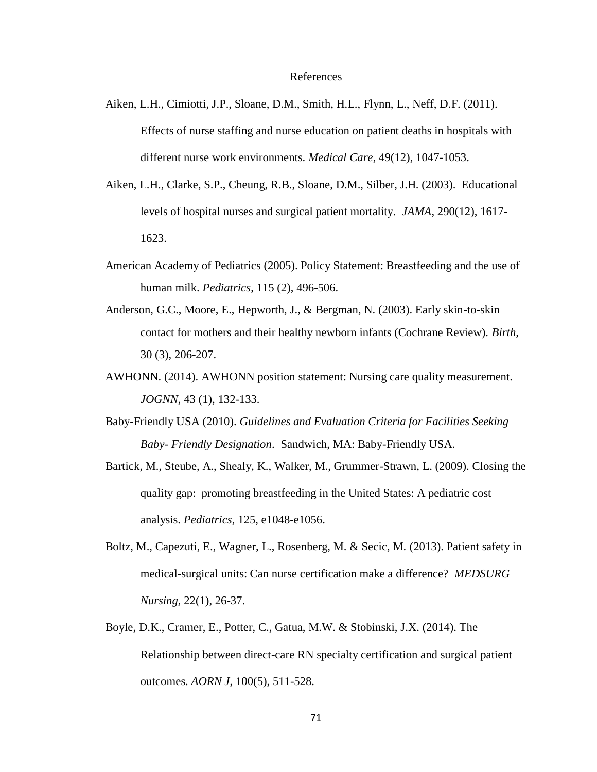- Aiken, L.H., Cimiotti, J.P., Sloane, D.M., Smith, H.L., Flynn, L., Neff, D.F. (2011). Effects of nurse staffing and nurse education on patient deaths in hospitals with different nurse work environments. *Medical Care*, 49(12), 1047-1053.
- Aiken, L.H., Clarke, S.P., Cheung, R.B., Sloane, D.M., Silber, J.H. (2003). Educational levels of hospital nurses and surgical patient mortality. *JAMA*, 290(12), 1617- 1623.
- American Academy of Pediatrics (2005). Policy Statement: Breastfeeding and the use of human milk. *Pediatrics*, 115 (2), 496-506.
- Anderson, G.C., Moore, E., Hepworth, J., & Bergman, N. (2003). Early skin-to-skin contact for mothers and their healthy newborn infants (Cochrane Review). *Birth,* 30 (3), 206-207.
- AWHONN. (2014). AWHONN position statement: Nursing care quality measurement. *JOGNN*, 43 (1), 132-133.
- Baby-Friendly USA (2010). *Guidelines and Evaluation Criteria for Facilities Seeking Baby- Friendly Designation*. Sandwich, MA: Baby-Friendly USA.
- Bartick, M., Steube, A., Shealy, K., Walker, M., Grummer-Strawn, L. (2009). Closing the quality gap: promoting breastfeeding in the United States: A pediatric cost analysis. *Pediatrics*, 125, e1048-e1056.
- Boltz, M., Capezuti, E., Wagner, L., Rosenberg, M. & Secic, M. (2013). Patient safety in medical-surgical units: Can nurse certification make a difference? *MEDSURG Nursing,* 22(1), 26-37.
- Boyle, D.K., Cramer, E., Potter, C., Gatua, M.W. & Stobinski, J.X. (2014). The Relationship between direct-care RN specialty certification and surgical patient outcomes. *AORN J*, 100(5), 511-528.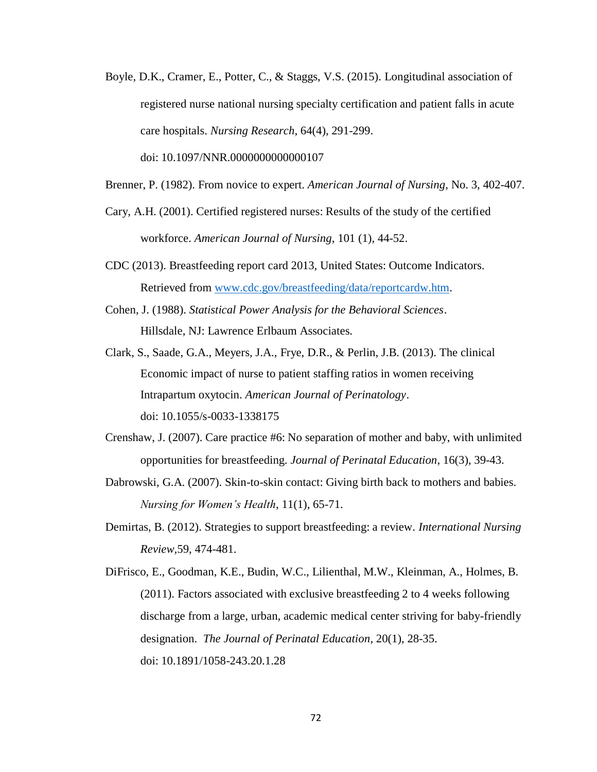Boyle, D.K., Cramer, E., Potter, C., & Staggs, V.S. (2015). Longitudinal association of registered nurse national nursing specialty certification and patient falls in acute care hospitals. *Nursing Research*, 64(4), 291-299.

doi: 10.1097/NNR.0000000000000107

- Brenner, P. (1982). From novice to expert. *American Journal of Nursing*, No. 3, 402-407.
- Cary, A.H. (2001). Certified registered nurses: Results of the study of the certified workforce. *American Journal of Nursing*, 101 (1), 44-52.
- CDC (2013). Breastfeeding report card 2013, United States: Outcome Indicators. Retrieved from [www.cdc.gov/breastfeeding/data/reportcardw.htm.](http://www.cdc.gov/breastfeeding/data/reportcardw.htm)
- Cohen, J. (1988). *Statistical Power Analysis for the Behavioral Sciences*. Hillsdale, NJ: Lawrence Erlbaum Associates.
- Clark, S., Saade, G.A., Meyers, J.A., Frye, D.R., & Perlin, J.B. (2013). The clinical Economic impact of nurse to patient staffing ratios in women receiving Intrapartum oxytocin. *American Journal of Perinatology*. doi: 10.1055/s-0033-1338175
- Crenshaw, J. (2007). Care practice #6: No separation of mother and baby, with unlimited opportunities for breastfeeding. *Journal of Perinatal Education*, 16(3), 39-43.
- Dabrowski, G.A. (2007). Skin-to-skin contact: Giving birth back to mothers and babies. *Nursing for Women's Health*, 11(1), 65-71.
- Demirtas, B. (2012). Strategies to support breastfeeding: a review. *International Nursing Review,*59, 474-481.
- DiFrisco, E., Goodman, K.E., Budin, W.C., Lilienthal, M.W., Kleinman, A., Holmes, B. (2011). Factors associated with exclusive breastfeeding 2 to 4 weeks following discharge from a large, urban, academic medical center striving for baby-friendly designation. *The Journal of Perinatal Education*, 20(1), 28-35. doi: 10.1891/1058-243.20.1.28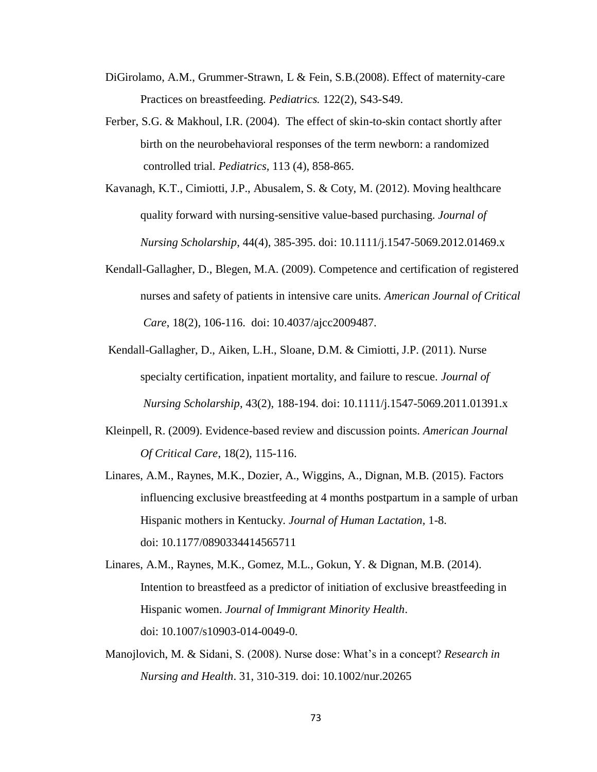- DiGirolamo, A.M., Grummer-Strawn, L & Fein, S.B.(2008). Effect of maternity-care Practices on breastfeeding. *Pediatrics.* 122(2), S43-S49.
- Ferber, S.G. & Makhoul, I.R. (2004). The effect of skin-to-skin contact shortly after birth on the neurobehavioral responses of the term newborn: a randomized controlled trial. *Pediatrics,* 113 (4), 858-865.
- Kavanagh, K.T., Cimiotti, J.P., Abusalem, S. & Coty, M. (2012). Moving healthcare quality forward with nursing-sensitive value-based purchasing. *Journal of Nursing Scholarship*, 44(4), 385-395. doi: 10.1111/j.1547-5069.2012.01469.x
- Kendall-Gallagher, D., Blegen, M.A. (2009). Competence and certification of registered nurses and safety of patients in intensive care units. *American Journal of Critical Care*, 18(2), 106-116. doi: 10.4037/ajcc2009487.
- Kendall-Gallagher, D., Aiken, L.H., Sloane, D.M. & Cimiotti, J.P. (2011). Nurse specialty certification, inpatient mortality, and failure to rescue. *Journal of Nursing Scholarship*, 43(2), 188-194. doi: 10.1111/j.1547-5069.2011.01391.x
- Kleinpell, R. (2009). Evidence-based review and discussion points. *American Journal Of Critical Care*, 18(2), 115-116.
- Linares, A.M., Raynes, M.K., Dozier, A., Wiggins, A., Dignan, M.B. (2015). Factors influencing exclusive breastfeeding at 4 months postpartum in a sample of urban Hispanic mothers in Kentucky. *Journal of Human Lactation,* 1-8. doi: 10.1177/0890334414565711
- Linares, A.M., Raynes, M.K., Gomez, M.L., Gokun, Y. & Dignan, M.B. (2014). Intention to breastfeed as a predictor of initiation of exclusive breastfeeding in Hispanic women. *Journal of Immigrant Minority Health*. doi: 10.1007/s10903-014-0049-0.
- Manojlovich, M. & Sidani, S. (2008). Nurse dose: What's in a concept? *Research in Nursing and Health*. 31, 310-319. doi: 10.1002/nur.20265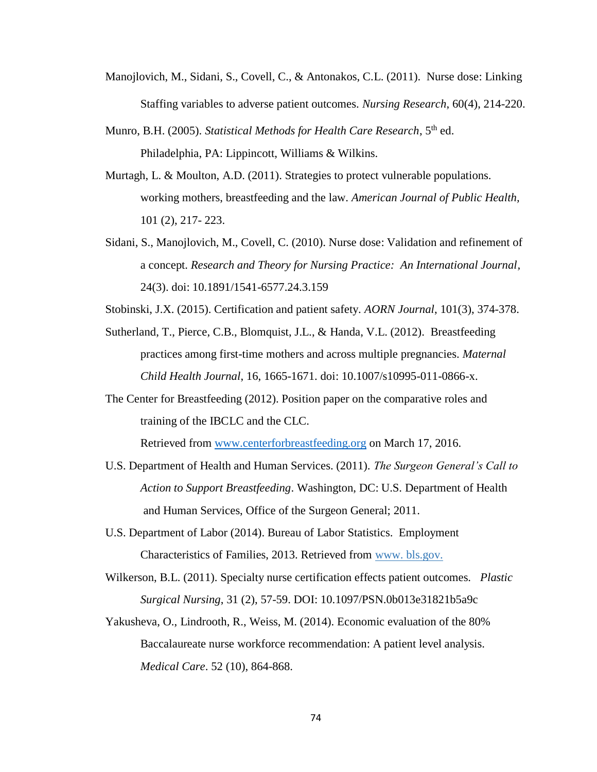- Manojlovich, M., Sidani, S., Covell, C., & Antonakos, C.L. (2011). Nurse dose: Linking Staffing variables to adverse patient outcomes. *Nursing Research*, 60(4), 214-220.
- Munro, B.H. (2005). *Statistical Methods for Health Care Research*, 5th ed. Philadelphia, PA: Lippincott, Williams & Wilkins.
- Murtagh, L. & Moulton, A.D. (2011). Strategies to protect vulnerable populations. working mothers, breastfeeding and the law. *American Journal of Public Health,* 101 (2), 217- 223.
- Sidani, S., Manojlovich, M., Covell, C. (2010). Nurse dose: Validation and refinement of a concept. *Research and Theory for Nursing Practice: An International Journal,* 24(3). doi: 10.1891/1541-6577.24.3.159

Stobinski, J.X. (2015). Certification and patient safety. *AORN Journal*, 101(3), 374-378.

- Sutherland, T., Pierce, C.B., Blomquist, J.L., & Handa, V.L. (2012). Breastfeeding practices among first-time mothers and across multiple pregnancies. *Maternal Child Health Journal*, 16, 1665-1671. doi: 10.1007/s10995-011-0866-x.
- The Center for Breastfeeding (2012). Position paper on the comparative roles and training of the IBCLC and the CLC.

Retrieved from [www.centerforbreastfeeding.org](http://www.centerforbreastfeeding.org/) on March 17, 2016.

- U.S. Department of Health and Human Services. (2011). *The Surgeon General's Call to Action to Support Breastfeeding*. Washington, DC: U.S. Department of Health and Human Services, Office of the Surgeon General; 2011.
- U.S. Department of Labor (2014). Bureau of Labor Statistics. Employment Characteristics of Families, 2013. Retrieved from www. bls.gov.
- Wilkerson, B.L. (2011). Specialty nurse certification effects patient outcomes. *Plastic Surgical Nursing*, 31 (2), 57-59. DOI: 10.1097/PSN.0b013e31821b5a9c
- Yakusheva, O., Lindrooth, R., Weiss, M. (2014). Economic evaluation of the 80% Baccalaureate nurse workforce recommendation: A patient level analysis. *Medical Care*. 52 (10), 864-868.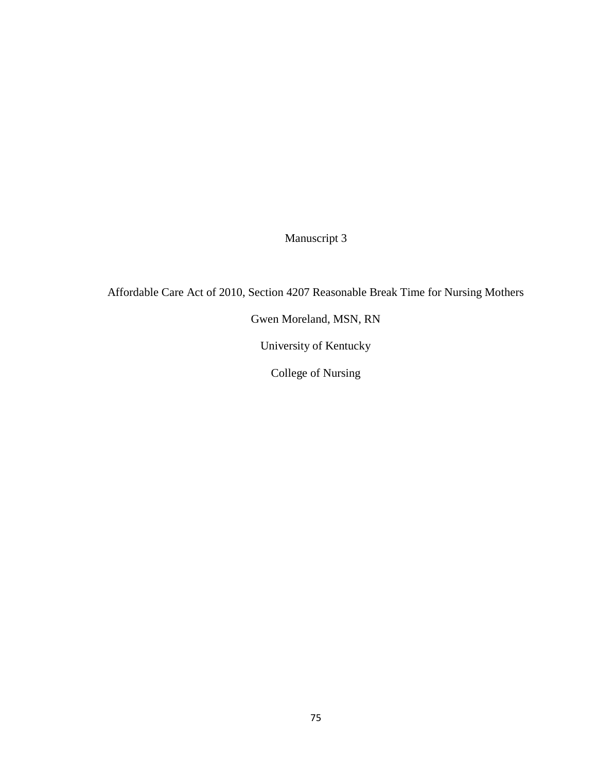Manuscript 3

Affordable Care Act of 2010, Section 4207 Reasonable Break Time for Nursing Mothers

Gwen Moreland, MSN, RN

University of Kentucky

College of Nursing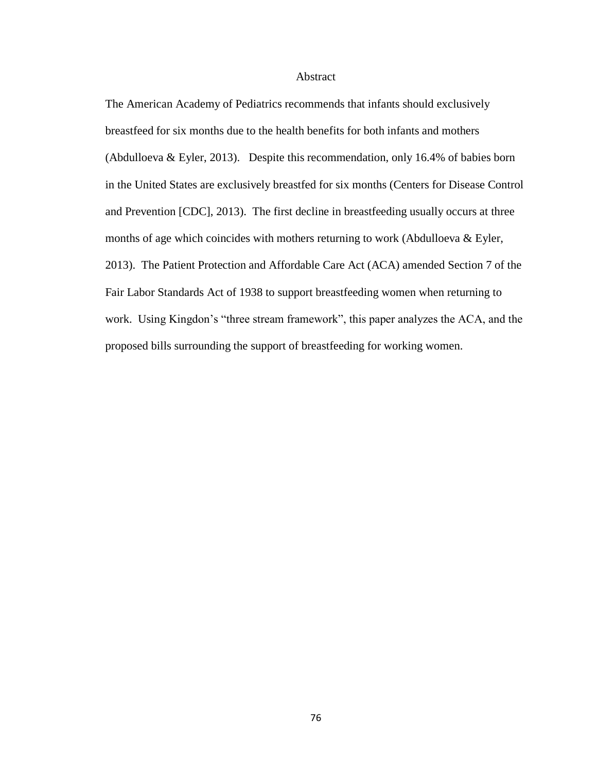## Abstract

The American Academy of Pediatrics recommends that infants should exclusively breastfeed for six months due to the health benefits for both infants and mothers (Abdulloeva & Eyler, 2013). Despite this recommendation, only 16.4% of babies born in the United States are exclusively breastfed for six months (Centers for Disease Control and Prevention [CDC], 2013). The first decline in breastfeeding usually occurs at three months of age which coincides with mothers returning to work (Abdulloeva & Eyler, 2013). The Patient Protection and Affordable Care Act (ACA) amended Section 7 of the Fair Labor Standards Act of 1938 to support breastfeeding women when returning to work. Using Kingdon's "three stream framework", this paper analyzes the ACA, and the proposed bills surrounding the support of breastfeeding for working women.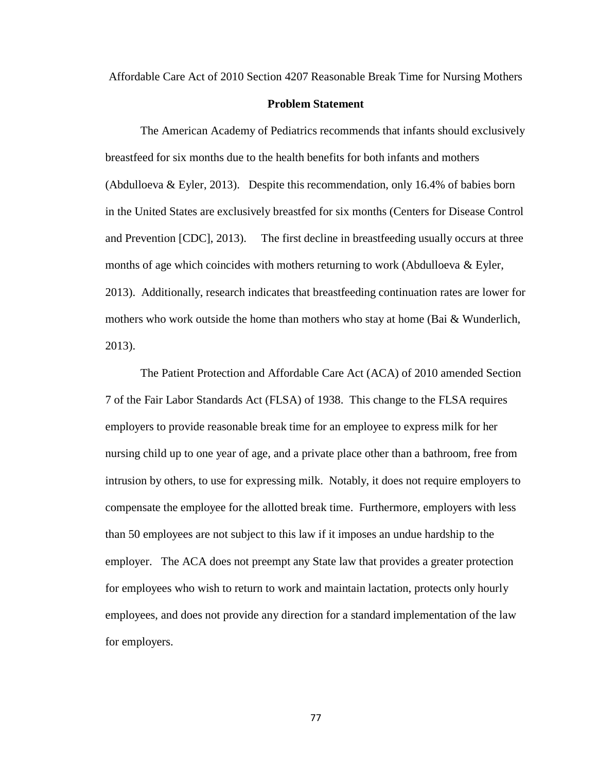Affordable Care Act of 2010 Section 4207 Reasonable Break Time for Nursing Mothers

## **Problem Statement**

The American Academy of Pediatrics recommends that infants should exclusively breastfeed for six months due to the health benefits for both infants and mothers (Abdulloeva & Eyler, 2013). Despite this recommendation, only 16.4% of babies born in the United States are exclusively breastfed for six months (Centers for Disease Control and Prevention [CDC], 2013). The first decline in breastfeeding usually occurs at three months of age which coincides with mothers returning to work (Abdulloeva  $\&$  Eyler, 2013). Additionally, research indicates that breastfeeding continuation rates are lower for mothers who work outside the home than mothers who stay at home (Bai  $&$  Wunderlich, 2013).

The Patient Protection and Affordable Care Act (ACA) of 2010 amended Section 7 of the Fair Labor Standards Act (FLSA) of 1938. This change to the FLSA requires employers to provide reasonable break time for an employee to express milk for her nursing child up to one year of age, and a private place other than a bathroom, free from intrusion by others, to use for expressing milk. Notably, it does not require employers to compensate the employee for the allotted break time. Furthermore, employers with less than 50 employees are not subject to this law if it imposes an undue hardship to the employer. The ACA does not preempt any State law that provides a greater protection for employees who wish to return to work and maintain lactation, protects only hourly employees, and does not provide any direction for a standard implementation of the law for employers.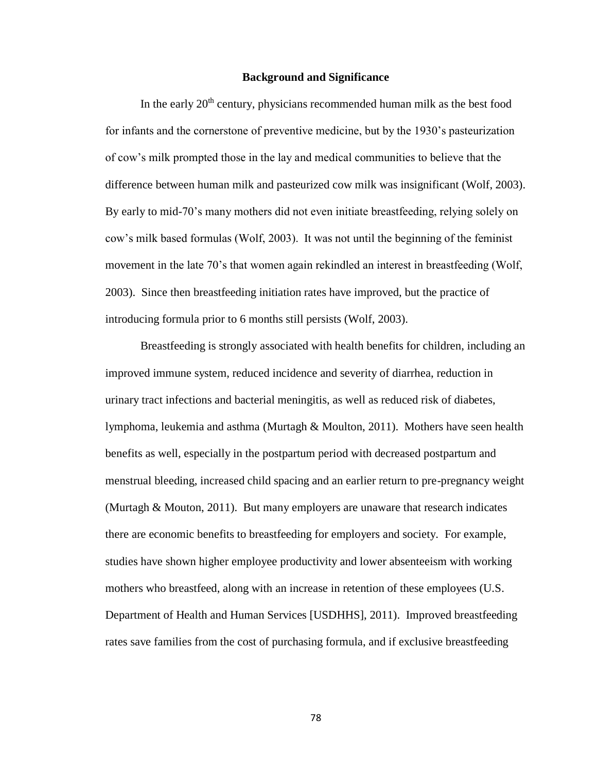## **Background and Significance**

In the early  $20<sup>th</sup>$  century, physicians recommended human milk as the best food for infants and the cornerstone of preventive medicine, but by the 1930's pasteurization of cow's milk prompted those in the lay and medical communities to believe that the difference between human milk and pasteurized cow milk was insignificant (Wolf, 2003). By early to mid-70's many mothers did not even initiate breastfeeding, relying solely on cow's milk based formulas (Wolf, 2003). It was not until the beginning of the feminist movement in the late 70's that women again rekindled an interest in breastfeeding (Wolf, 2003). Since then breastfeeding initiation rates have improved, but the practice of introducing formula prior to 6 months still persists (Wolf, 2003).

Breastfeeding is strongly associated with health benefits for children, including an improved immune system, reduced incidence and severity of diarrhea, reduction in urinary tract infections and bacterial meningitis, as well as reduced risk of diabetes, lymphoma, leukemia and asthma (Murtagh & Moulton, 2011). Mothers have seen health benefits as well, especially in the postpartum period with decreased postpartum and menstrual bleeding, increased child spacing and an earlier return to pre-pregnancy weight (Murtagh & Mouton, 2011). But many employers are unaware that research indicates there are economic benefits to breastfeeding for employers and society. For example, studies have shown higher employee productivity and lower absenteeism with working mothers who breastfeed, along with an increase in retention of these employees (U.S. Department of Health and Human Services [USDHHS], 2011). Improved breastfeeding rates save families from the cost of purchasing formula, and if exclusive breastfeeding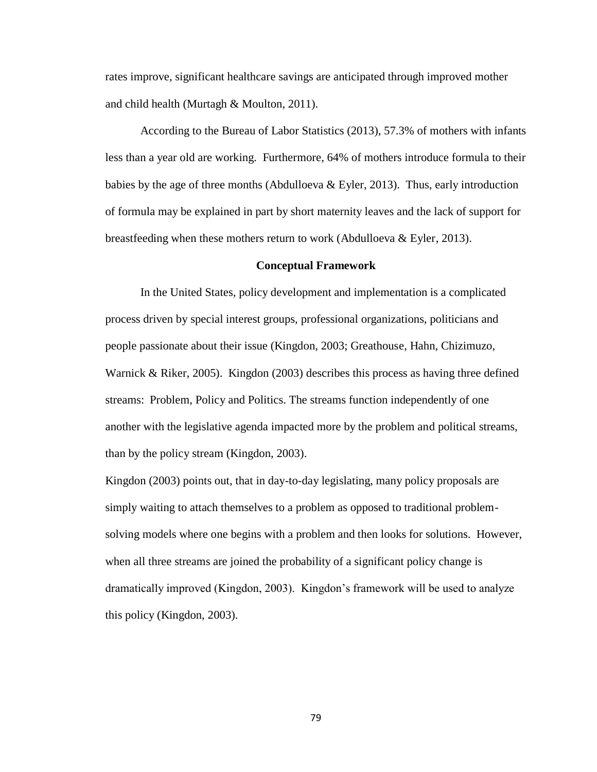rates improve, significant healthcare savings are anticipated through improved mother and child health (Murtagh & Moulton, 2011).

According to the Bureau of Labor Statistics (2013), 57.3% of mothers with infants less than a year old are working. Furthermore, 64% of mothers introduce formula to their babies by the age of three months (Abdulloeva  $\&$  Eyler, 2013). Thus, early introduction of formula may be explained in part by short maternity leaves and the lack of support for breastfeeding when these mothers return to work (Abdulloeva & Eyler, 2013).

#### **Conceptual Framework**

In the United States, policy development and implementation is a complicated process driven by special interest groups, professional organizations, politicians and people passionate about their issue (Kingdon, 2003; Greathouse, Hahn, Chizimuzo, Warnick & Riker, 2005). Kingdon (2003) describes this process as having three defined streams: Problem, Policy and Politics. The streams function independently of one another with the legislative agenda impacted more by the problem and political streams, than by the policy stream (Kingdon, 2003).

Kingdon (2003) points out, that in day-to-day legislating, many policy proposals are simply waiting to attach themselves to a problem as opposed to traditional problemsolving models where one begins with a problem and then looks for solutions. However, when all three streams are joined the probability of a significant policy change is dramatically improved (Kingdon, 2003). Kingdon's framework will be used to analyze this policy (Kingdon, 2003).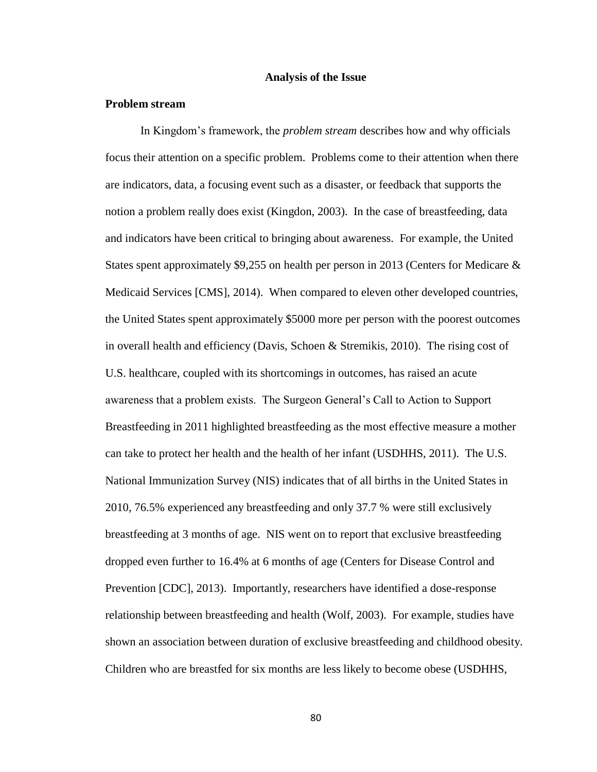#### **Analysis of the Issue**

## **Problem stream**

In Kingdom's framework, the *problem stream* describes how and why officials focus their attention on a specific problem. Problems come to their attention when there are indicators, data, a focusing event such as a disaster, or feedback that supports the notion a problem really does exist (Kingdon, 2003). In the case of breastfeeding, data and indicators have been critical to bringing about awareness. For example, the United States spent approximately \$9,255 on health per person in 2013 (Centers for Medicare  $\&$ Medicaid Services [CMS], 2014). When compared to eleven other developed countries, the United States spent approximately \$5000 more per person with the poorest outcomes in overall health and efficiency (Davis, Schoen & Stremikis, 2010). The rising cost of U.S. healthcare, coupled with its shortcomings in outcomes, has raised an acute awareness that a problem exists. The Surgeon General's Call to Action to Support Breastfeeding in 2011 highlighted breastfeeding as the most effective measure a mother can take to protect her health and the health of her infant (USDHHS, 2011). The U.S. National Immunization Survey (NIS) indicates that of all births in the United States in 2010, 76.5% experienced any breastfeeding and only 37.7 % were still exclusively breastfeeding at 3 months of age. NIS went on to report that exclusive breastfeeding dropped even further to 16.4% at 6 months of age (Centers for Disease Control and Prevention [CDC], 2013). Importantly, researchers have identified a dose-response relationship between breastfeeding and health (Wolf, 2003). For example, studies have shown an association between duration of exclusive breastfeeding and childhood obesity. Children who are breastfed for six months are less likely to become obese (USDHHS,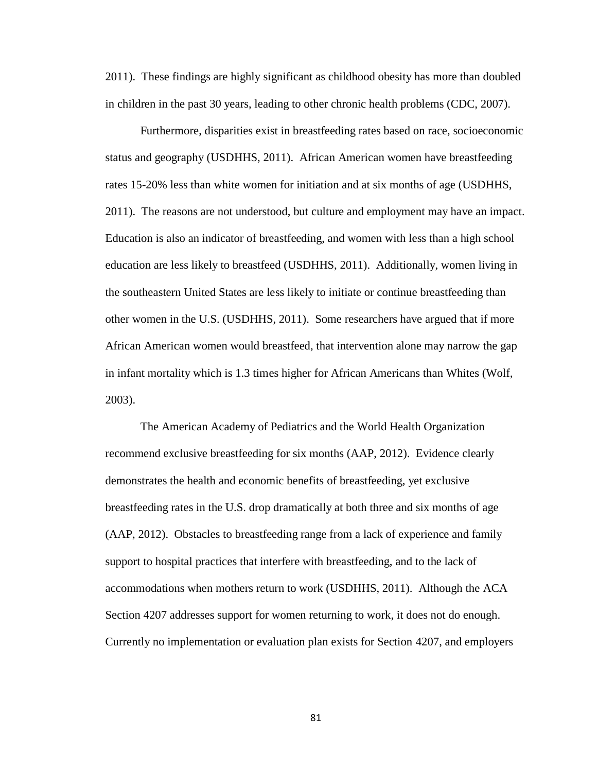2011). These findings are highly significant as childhood obesity has more than doubled in children in the past 30 years, leading to other chronic health problems (CDC, 2007).

Furthermore, disparities exist in breastfeeding rates based on race, socioeconomic status and geography (USDHHS, 2011). African American women have breastfeeding rates 15-20% less than white women for initiation and at six months of age (USDHHS, 2011). The reasons are not understood, but culture and employment may have an impact. Education is also an indicator of breastfeeding, and women with less than a high school education are less likely to breastfeed (USDHHS, 2011). Additionally, women living in the southeastern United States are less likely to initiate or continue breastfeeding than other women in the U.S. (USDHHS, 2011). Some researchers have argued that if more African American women would breastfeed, that intervention alone may narrow the gap in infant mortality which is 1.3 times higher for African Americans than Whites (Wolf, 2003).

The American Academy of Pediatrics and the World Health Organization recommend exclusive breastfeeding for six months (AAP, 2012). Evidence clearly demonstrates the health and economic benefits of breastfeeding, yet exclusive breastfeeding rates in the U.S. drop dramatically at both three and six months of age (AAP, 2012). Obstacles to breastfeeding range from a lack of experience and family support to hospital practices that interfere with breastfeeding, and to the lack of accommodations when mothers return to work (USDHHS, 2011). Although the ACA Section 4207 addresses support for women returning to work, it does not do enough. Currently no implementation or evaluation plan exists for Section 4207, and employers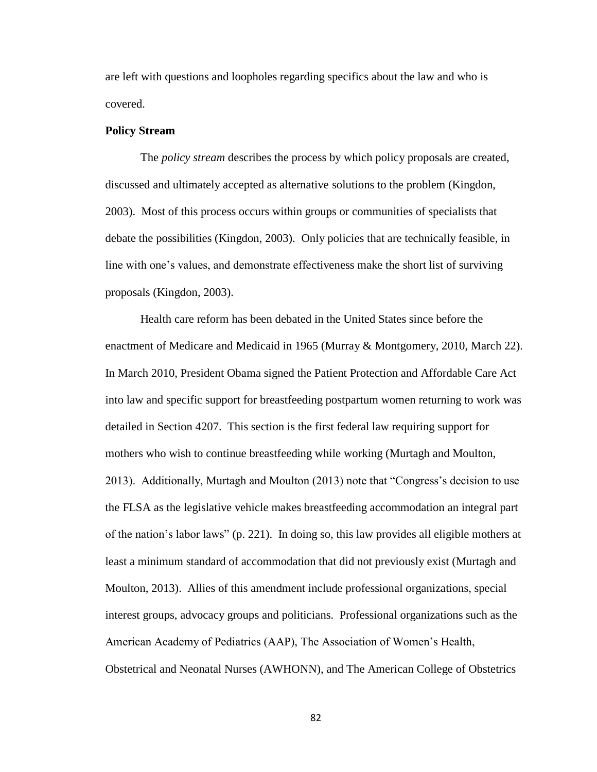are left with questions and loopholes regarding specifics about the law and who is covered.

## **Policy Stream**

The *policy stream* describes the process by which policy proposals are created, discussed and ultimately accepted as alternative solutions to the problem (Kingdon, 2003). Most of this process occurs within groups or communities of specialists that debate the possibilities (Kingdon, 2003). Only policies that are technically feasible, in line with one's values, and demonstrate effectiveness make the short list of surviving proposals (Kingdon, 2003).

Health care reform has been debated in the United States since before the enactment of Medicare and Medicaid in 1965 (Murray & Montgomery, 2010, March 22). In March 2010, President Obama signed the Patient Protection and Affordable Care Act into law and specific support for breastfeeding postpartum women returning to work was detailed in Section 4207. This section is the first federal law requiring support for mothers who wish to continue breastfeeding while working (Murtagh and Moulton, 2013). Additionally, Murtagh and Moulton (2013) note that "Congress's decision to use the FLSA as the legislative vehicle makes breastfeeding accommodation an integral part of the nation's labor laws" (p. 221). In doing so, this law provides all eligible mothers at least a minimum standard of accommodation that did not previously exist (Murtagh and Moulton, 2013). Allies of this amendment include professional organizations, special interest groups, advocacy groups and politicians. Professional organizations such as the American Academy of Pediatrics (AAP), The Association of Women's Health, Obstetrical and Neonatal Nurses (AWHONN), and The American College of Obstetrics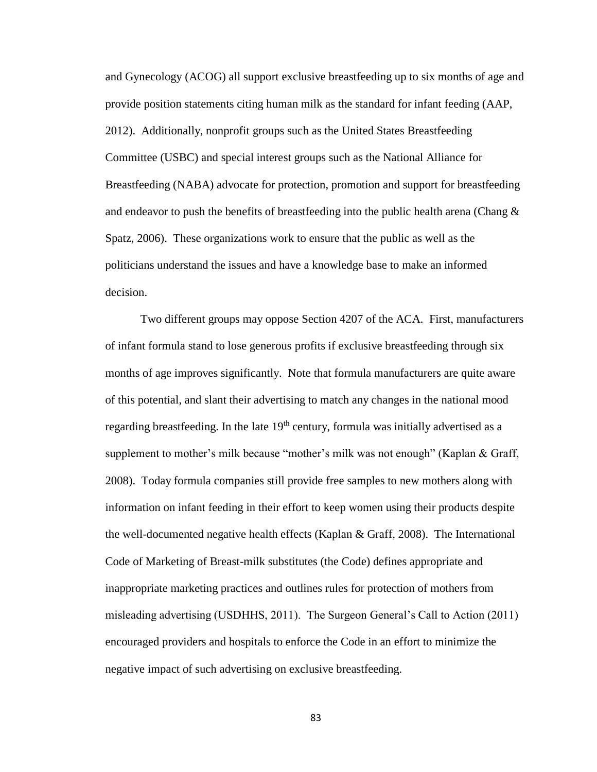and Gynecology (ACOG) all support exclusive breastfeeding up to six months of age and provide position statements citing human milk as the standard for infant feeding (AAP, 2012). Additionally, nonprofit groups such as the United States Breastfeeding Committee (USBC) and special interest groups such as the National Alliance for Breastfeeding (NABA) advocate for protection, promotion and support for breastfeeding and endeavor to push the benefits of breastfeeding into the public health arena (Chang  $\&$ Spatz, 2006). These organizations work to ensure that the public as well as the politicians understand the issues and have a knowledge base to make an informed decision.

Two different groups may oppose Section 4207 of the ACA. First, manufacturers of infant formula stand to lose generous profits if exclusive breastfeeding through six months of age improves significantly. Note that formula manufacturers are quite aware of this potential, and slant their advertising to match any changes in the national mood regarding breastfeeding. In the late  $19<sup>th</sup>$  century, formula was initially advertised as a supplement to mother's milk because "mother's milk was not enough" (Kaplan & Graff, 2008). Today formula companies still provide free samples to new mothers along with information on infant feeding in their effort to keep women using their products despite the well-documented negative health effects (Kaplan & Graff, 2008). The International Code of Marketing of Breast-milk substitutes (the Code) defines appropriate and inappropriate marketing practices and outlines rules for protection of mothers from misleading advertising (USDHHS, 2011). The Surgeon General's Call to Action (2011) encouraged providers and hospitals to enforce the Code in an effort to minimize the negative impact of such advertising on exclusive breastfeeding.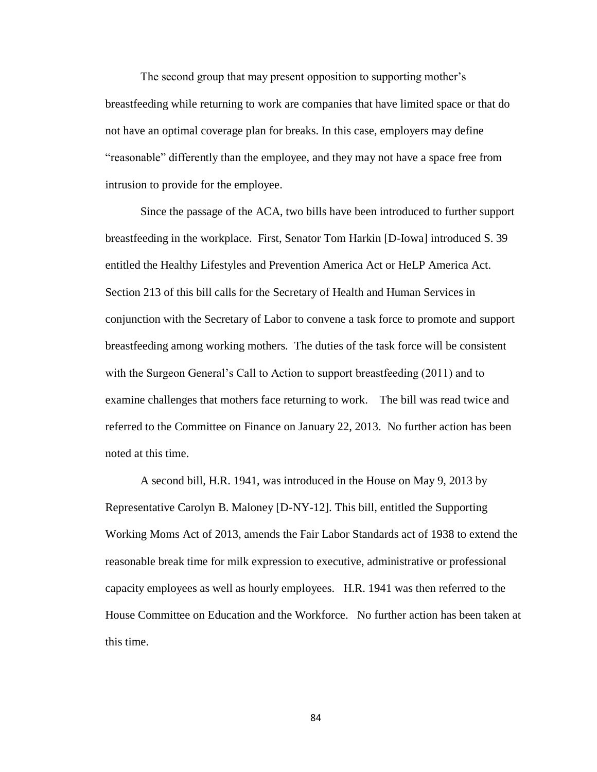The second group that may present opposition to supporting mother's breastfeeding while returning to work are companies that have limited space or that do not have an optimal coverage plan for breaks. In this case, employers may define "reasonable" differently than the employee, and they may not have a space free from intrusion to provide for the employee.

Since the passage of the ACA, two bills have been introduced to further support breastfeeding in the workplace. First, Senator Tom Harkin [D-Iowa] introduced S. 39 entitled the Healthy Lifestyles and Prevention America Act or HeLP America Act. Section 213 of this bill calls for the Secretary of Health and Human Services in conjunction with the Secretary of Labor to convene a task force to promote and support breastfeeding among working mothers. The duties of the task force will be consistent with the Surgeon General's Call to Action to support breastfeeding (2011) and to examine challenges that mothers face returning to work. The bill was read twice and referred to the Committee on Finance on January 22, 2013. No further action has been noted at this time.

A second bill, H.R. 1941, was introduced in the House on May 9, 2013 by Representative Carolyn B. Maloney [D-NY-12]. This bill, entitled the Supporting Working Moms Act of 2013, amends the Fair Labor Standards act of 1938 to extend the reasonable break time for milk expression to executive, administrative or professional capacity employees as well as hourly employees. H.R. 1941 was then referred to the House Committee on Education and the Workforce. No further action has been taken at this time.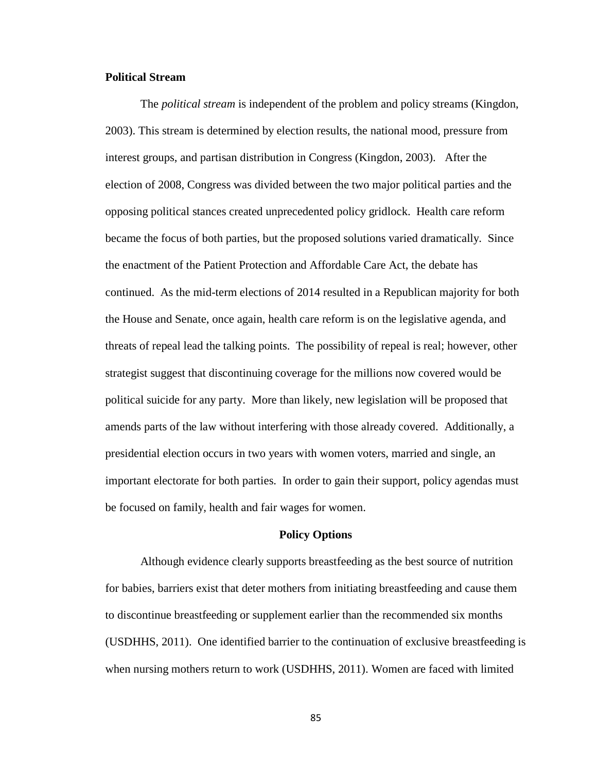## **Political Stream**

The *political stream* is independent of the problem and policy streams (Kingdon, 2003). This stream is determined by election results, the national mood, pressure from interest groups, and partisan distribution in Congress (Kingdon, 2003). After the election of 2008, Congress was divided between the two major political parties and the opposing political stances created unprecedented policy gridlock. Health care reform became the focus of both parties, but the proposed solutions varied dramatically. Since the enactment of the Patient Protection and Affordable Care Act, the debate has continued. As the mid-term elections of 2014 resulted in a Republican majority for both the House and Senate, once again, health care reform is on the legislative agenda, and threats of repeal lead the talking points. The possibility of repeal is real; however, other strategist suggest that discontinuing coverage for the millions now covered would be political suicide for any party. More than likely, new legislation will be proposed that amends parts of the law without interfering with those already covered. Additionally, a presidential election occurs in two years with women voters, married and single, an important electorate for both parties. In order to gain their support, policy agendas must be focused on family, health and fair wages for women.

#### **Policy Options**

Although evidence clearly supports breastfeeding as the best source of nutrition for babies, barriers exist that deter mothers from initiating breastfeeding and cause them to discontinue breastfeeding or supplement earlier than the recommended six months (USDHHS, 2011). One identified barrier to the continuation of exclusive breastfeeding is when nursing mothers return to work (USDHHS, 2011). Women are faced with limited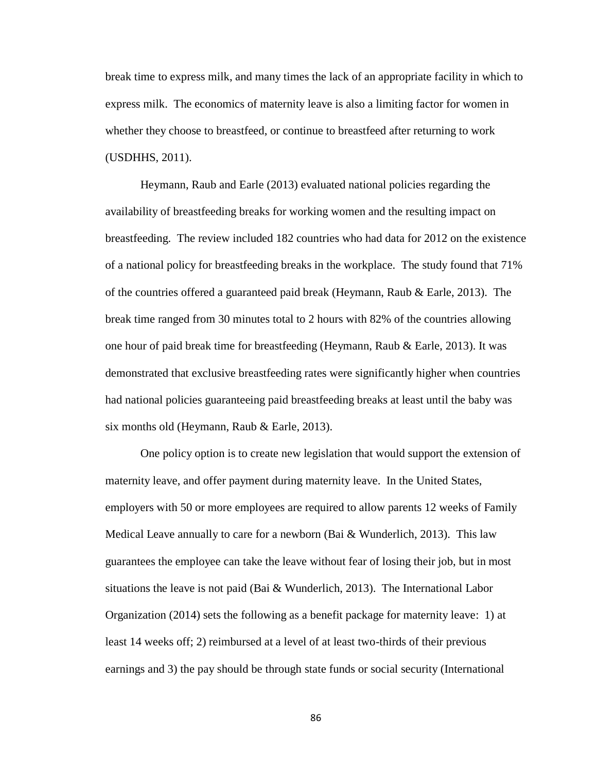break time to express milk, and many times the lack of an appropriate facility in which to express milk. The economics of maternity leave is also a limiting factor for women in whether they choose to breastfeed, or continue to breastfeed after returning to work (USDHHS, 2011).

Heymann, Raub and Earle (2013) evaluated national policies regarding the availability of breastfeeding breaks for working women and the resulting impact on breastfeeding. The review included 182 countries who had data for 2012 on the existence of a national policy for breastfeeding breaks in the workplace. The study found that 71% of the countries offered a guaranteed paid break (Heymann, Raub  $\&$  Earle, 2013). The break time ranged from 30 minutes total to 2 hours with 82% of the countries allowing one hour of paid break time for breastfeeding (Heymann, Raub & Earle, 2013). It was demonstrated that exclusive breastfeeding rates were significantly higher when countries had national policies guaranteeing paid breastfeeding breaks at least until the baby was six months old (Heymann, Raub & Earle, 2013).

One policy option is to create new legislation that would support the extension of maternity leave, and offer payment during maternity leave. In the United States, employers with 50 or more employees are required to allow parents 12 weeks of Family Medical Leave annually to care for a newborn (Bai & Wunderlich, 2013). This law guarantees the employee can take the leave without fear of losing their job, but in most situations the leave is not paid (Bai  $\&$  Wunderlich, 2013). The International Labor Organization (2014) sets the following as a benefit package for maternity leave: 1) at least 14 weeks off; 2) reimbursed at a level of at least two-thirds of their previous earnings and 3) the pay should be through state funds or social security (International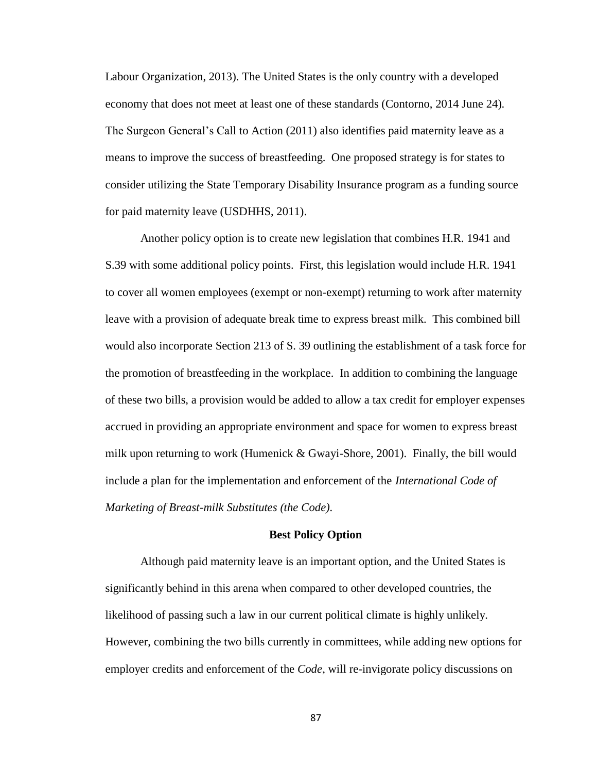Labour Organization, 2013). The United States is the only country with a developed economy that does not meet at least one of these standards (Contorno, 2014 June 24). The Surgeon General's Call to Action (2011) also identifies paid maternity leave as a means to improve the success of breastfeeding. One proposed strategy is for states to consider utilizing the State Temporary Disability Insurance program as a funding source for paid maternity leave (USDHHS, 2011).

Another policy option is to create new legislation that combines H.R. 1941 and S.39 with some additional policy points. First, this legislation would include H.R. 1941 to cover all women employees (exempt or non-exempt) returning to work after maternity leave with a provision of adequate break time to express breast milk. This combined bill would also incorporate Section 213 of S. 39 outlining the establishment of a task force for the promotion of breastfeeding in the workplace. In addition to combining the language of these two bills, a provision would be added to allow a tax credit for employer expenses accrued in providing an appropriate environment and space for women to express breast milk upon returning to work (Humenick & Gwayi-Shore, 2001). Finally, the bill would include a plan for the implementation and enforcement of the *International Code of Marketing of Breast-milk Substitutes (the Code).*

#### **Best Policy Option**

Although paid maternity leave is an important option, and the United States is significantly behind in this arena when compared to other developed countries, the likelihood of passing such a law in our current political climate is highly unlikely. However, combining the two bills currently in committees, while adding new options for employer credits and enforcement of the *Code*, will re-invigorate policy discussions on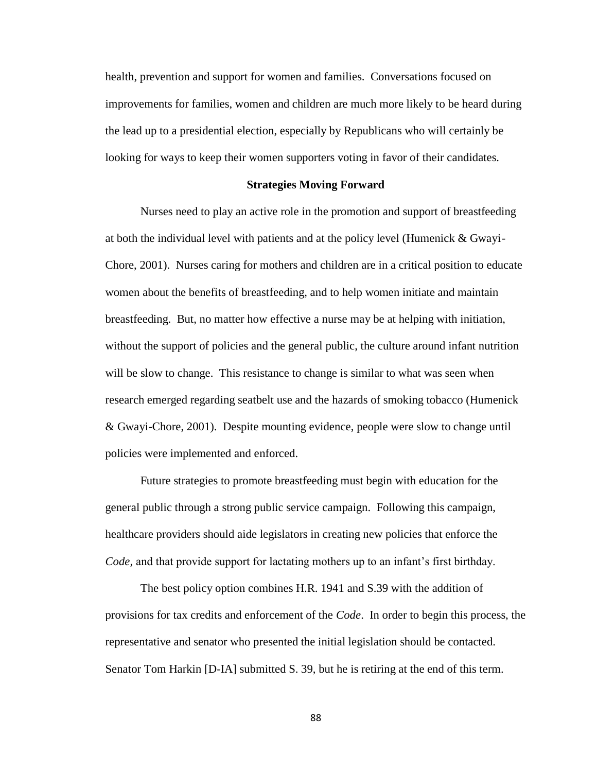health, prevention and support for women and families. Conversations focused on improvements for families, women and children are much more likely to be heard during the lead up to a presidential election, especially by Republicans who will certainly be looking for ways to keep their women supporters voting in favor of their candidates.

## **Strategies Moving Forward**

Nurses need to play an active role in the promotion and support of breastfeeding at both the individual level with patients and at the policy level (Humenick & Gwayi-Chore, 2001). Nurses caring for mothers and children are in a critical position to educate women about the benefits of breastfeeding, and to help women initiate and maintain breastfeeding. But, no matter how effective a nurse may be at helping with initiation, without the support of policies and the general public, the culture around infant nutrition will be slow to change. This resistance to change is similar to what was seen when research emerged regarding seatbelt use and the hazards of smoking tobacco (Humenick & Gwayi-Chore, 2001). Despite mounting evidence, people were slow to change until policies were implemented and enforced.

Future strategies to promote breastfeeding must begin with education for the general public through a strong public service campaign. Following this campaign, healthcare providers should aide legislators in creating new policies that enforce the *Code,* and that provide support for lactating mothers up to an infant's first birthday.

The best policy option combines H.R. 1941 and S.39 with the addition of provisions for tax credits and enforcement of the *Code*. In order to begin this process, the representative and senator who presented the initial legislation should be contacted. Senator Tom Harkin [D-IA] submitted S. 39, but he is retiring at the end of this term.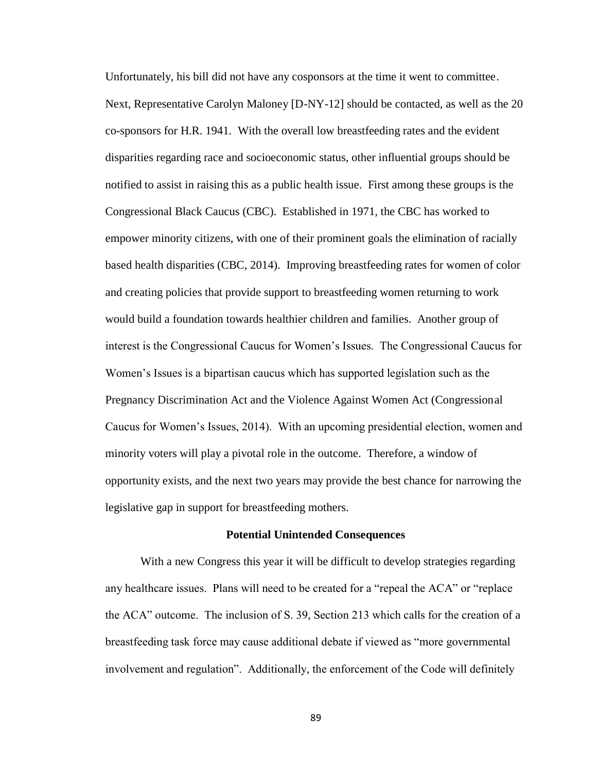Unfortunately, his bill did not have any cosponsors at the time it went to committee. Next, Representative Carolyn Maloney [D-NY-12] should be contacted, as well as the 20 co-sponsors for H.R. 1941. With the overall low breastfeeding rates and the evident disparities regarding race and socioeconomic status, other influential groups should be notified to assist in raising this as a public health issue. First among these groups is the Congressional Black Caucus (CBC). Established in 1971, the CBC has worked to empower minority citizens, with one of their prominent goals the elimination of racially based health disparities (CBC, 2014). Improving breastfeeding rates for women of color and creating policies that provide support to breastfeeding women returning to work would build a foundation towards healthier children and families. Another group of interest is the Congressional Caucus for Women's Issues. The Congressional Caucus for Women's Issues is a bipartisan caucus which has supported legislation such as the Pregnancy Discrimination Act and the Violence Against Women Act (Congressional Caucus for Women's Issues, 2014). With an upcoming presidential election, women and minority voters will play a pivotal role in the outcome. Therefore, a window of opportunity exists, and the next two years may provide the best chance for narrowing the legislative gap in support for breastfeeding mothers.

#### **Potential Unintended Consequences**

With a new Congress this year it will be difficult to develop strategies regarding any healthcare issues. Plans will need to be created for a "repeal the ACA" or "replace the ACA" outcome. The inclusion of S. 39, Section 213 which calls for the creation of a breastfeeding task force may cause additional debate if viewed as "more governmental involvement and regulation". Additionally, the enforcement of the Code will definitely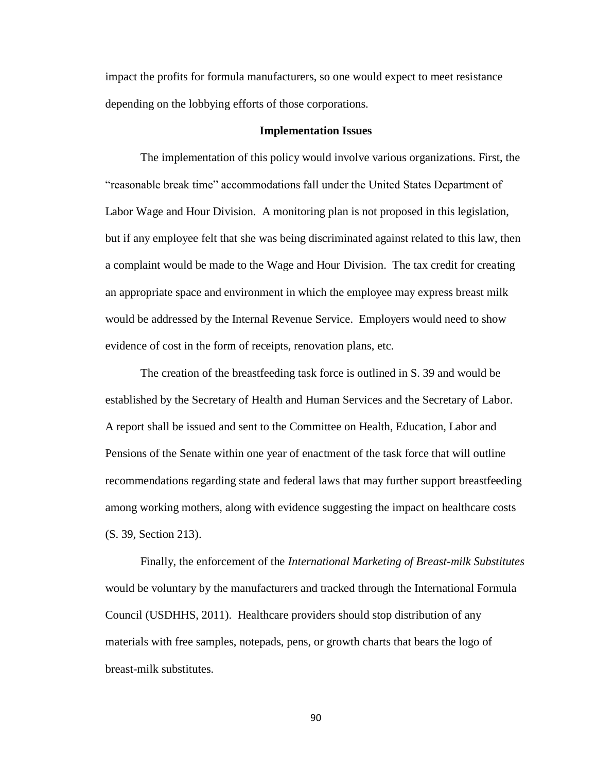impact the profits for formula manufacturers, so one would expect to meet resistance depending on the lobbying efforts of those corporations.

#### **Implementation Issues**

The implementation of this policy would involve various organizations. First, the "reasonable break time" accommodations fall under the United States Department of Labor Wage and Hour Division. A monitoring plan is not proposed in this legislation, but if any employee felt that she was being discriminated against related to this law, then a complaint would be made to the Wage and Hour Division. The tax credit for creating an appropriate space and environment in which the employee may express breast milk would be addressed by the Internal Revenue Service. Employers would need to show evidence of cost in the form of receipts, renovation plans, etc.

The creation of the breastfeeding task force is outlined in S. 39 and would be established by the Secretary of Health and Human Services and the Secretary of Labor. A report shall be issued and sent to the Committee on Health, Education, Labor and Pensions of the Senate within one year of enactment of the task force that will outline recommendations regarding state and federal laws that may further support breastfeeding among working mothers, along with evidence suggesting the impact on healthcare costs (S. 39, Section 213).

Finally, the enforcement of the *International Marketing of Breast-milk Substitutes* would be voluntary by the manufacturers and tracked through the International Formula Council (USDHHS, 2011). Healthcare providers should stop distribution of any materials with free samples, notepads, pens, or growth charts that bears the logo of breast-milk substitutes.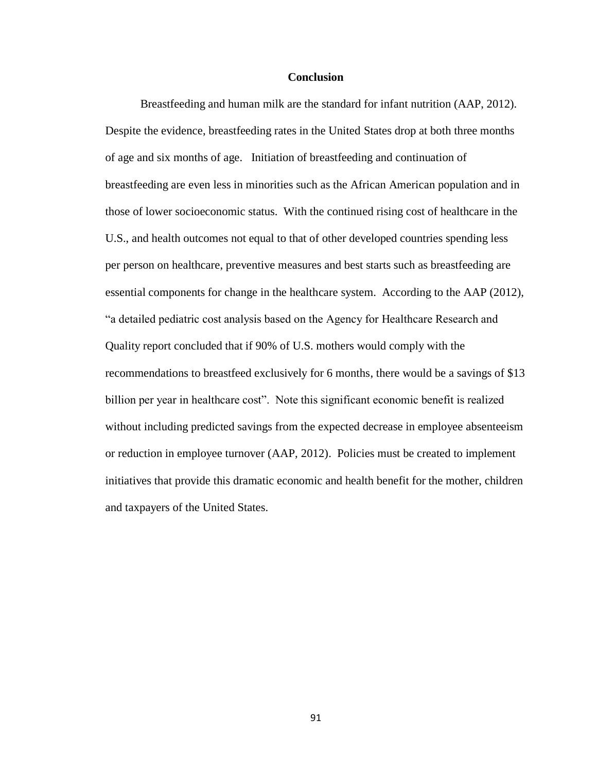### **Conclusion**

Breastfeeding and human milk are the standard for infant nutrition (AAP, 2012). Despite the evidence, breastfeeding rates in the United States drop at both three months of age and six months of age. Initiation of breastfeeding and continuation of breastfeeding are even less in minorities such as the African American population and in those of lower socioeconomic status. With the continued rising cost of healthcare in the U.S., and health outcomes not equal to that of other developed countries spending less per person on healthcare, preventive measures and best starts such as breastfeeding are essential components for change in the healthcare system. According to the AAP (2012), "a detailed pediatric cost analysis based on the Agency for Healthcare Research and Quality report concluded that if 90% of U.S. mothers would comply with the recommendations to breastfeed exclusively for 6 months, there would be a savings of \$13 billion per year in healthcare cost". Note this significant economic benefit is realized without including predicted savings from the expected decrease in employee absenteeism or reduction in employee turnover (AAP, 2012). Policies must be created to implement initiatives that provide this dramatic economic and health benefit for the mother, children and taxpayers of the United States.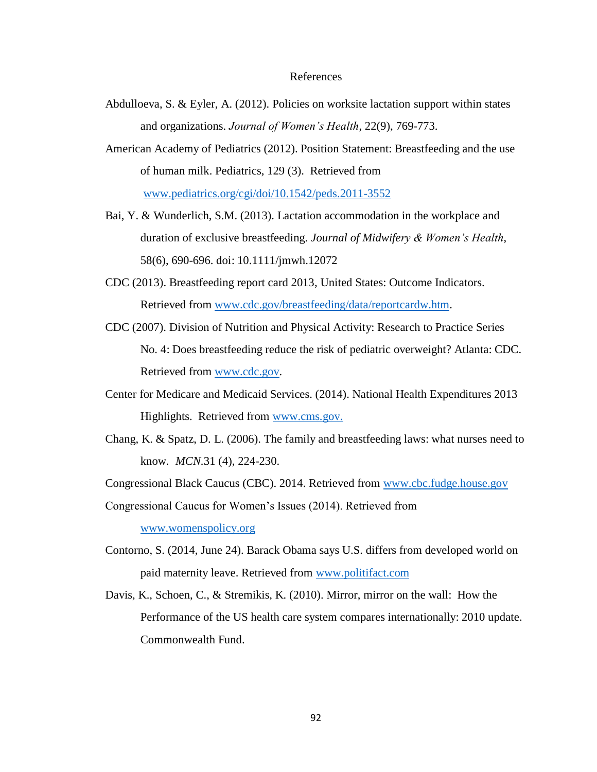#### References

- Abdulloeva, S. & Eyler, A. (2012). Policies on worksite lactation support within states and organizations. *Journal of Women's Health*, 22(9), 769-773.
- American Academy of Pediatrics (2012). Position Statement: Breastfeeding and the use of human milk. Pediatrics, 129 (3). Retrieved from [www.pediatrics.org/cgi/doi/10.1542/peds.2011-3552](http://www.pediatrics.org/cgi/doi/10.1542/peds.2011-3552)
- Bai, Y. & Wunderlich, S.M. (2013). Lactation accommodation in the workplace and duration of exclusive breastfeeding. *Journal of Midwifery & Women's Health*, 58(6), 690-696. doi: 10.1111/jmwh.12072
- CDC (2013). Breastfeeding report card 2013, United States: Outcome Indicators. Retrieved from [www.cdc.gov/breastfeeding/data/reportcardw.htm.](http://www.cdc.gov/breastfeeding/data/reportcardw.htm)
- CDC (2007). Division of Nutrition and Physical Activity: Research to Practice Series No. 4: Does breastfeeding reduce the risk of pediatric overweight? Atlanta: CDC. Retrieved from [www.cdc.gov.](http://www.cdc.gov/)
- Center for Medicare and Medicaid Services. (2014). National Health Expenditures 2013 Highlights. Retrieved from [www.cms.gov.](http://www.cms.gov/)
- Chang, K. & Spatz, D. L. (2006). The family and breastfeeding laws: what nurses need to know*. MCN.*31 (4), 224-230.
- Congressional Black Caucus (CBC). 2014. Retrieved from [www.cbc.fudge.house.gov](http://www.cbc.fudge.house.gov/)

Congressional Caucus for Women's Issues (2014). Retrieved from [www.womenspolicy.org](http://www.womenspolicy.org/)

- Contorno, S. (2014, June 24). Barack Obama says U.S. differs from developed world on paid maternity leave. Retrieved from [www.politifact.com](http://www.politifact.com/)
- Davis, K., Schoen, C., & Stremikis, K. (2010). Mirror, mirror on the wall: How the Performance of the US health care system compares internationally: 2010 update. Commonwealth Fund.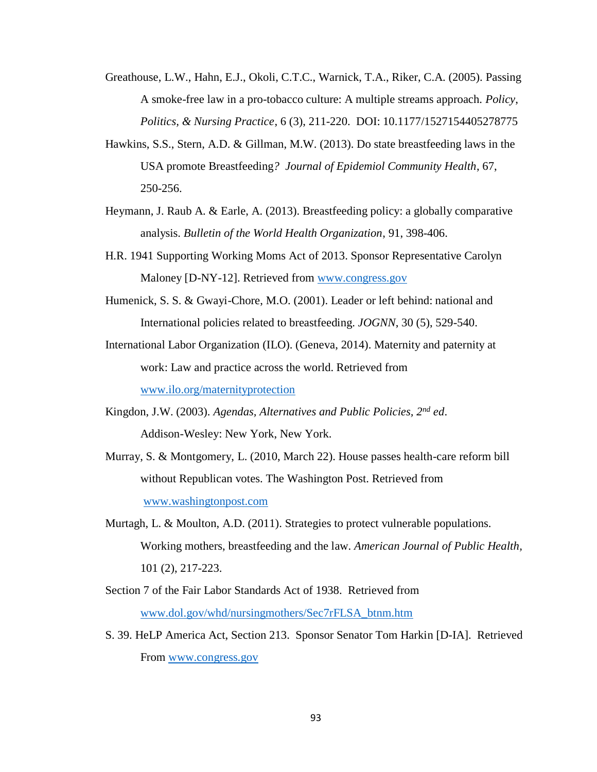- Greathouse, L.W., Hahn, E.J., Okoli, C.T.C., Warnick, T.A., Riker, C.A. (2005). Passing A smoke-free law in a pro-tobacco culture: A multiple streams approach. *Policy*, *Politics, & Nursing Practice*, 6 (3), 211-220. DOI: 10.1177/1527154405278775
- Hawkins, S.S., Stern, A.D. & Gillman, M.W. (2013). Do state breastfeeding laws in the USA promote Breastfeeding*? Journal of Epidemiol Community Health*, 67, 250-256.
- Heymann, J. Raub A. & Earle, A. (2013). Breastfeeding policy: a globally comparative analysis. *Bulletin of the World Health Organization*, 91, 398-406.
- H.R. 1941 Supporting Working Moms Act of 2013. Sponsor Representative Carolyn Maloney [D-NY-12]. Retrieved from [www.congress.gov](http://www.congress.gov/)
- Humenick, S. S. & Gwayi-Chore, M.O. (2001). Leader or left behind: national and International policies related to breastfeeding. *JOGNN*, 30 (5), 529-540.
- International Labor Organization (ILO). (Geneva, 2014). Maternity and paternity at work: Law and practice across the world. Retrieved from [www.ilo.org/maternityprotection](http://www.ilo.org/maternityprotection)
- Kingdon, J.W. (2003). *Agendas, Alternatives and Public Policies, 2nd ed*. Addison-Wesley: New York, New York.
- Murray, S. & Montgomery, L. (2010, March 22). House passes health-care reform bill without Republican votes. The Washington Post. Retrieved from [www.washingtonpost.com](http://www.washingtonpost.com/)
- Murtagh, L. & Moulton, A.D. (2011). Strategies to protect vulnerable populations. Working mothers, breastfeeding and the law. *American Journal of Public Health,* 101 (2), 217-223.
- Section 7 of the Fair Labor Standards Act of 1938. Retrieved from [www.dol.gov/whd/nursingmothers/Sec7rFLSA\\_btnm.htm](http://www.dol.gov/whd/nursingmothers/Sec7rFLSA_btnm.htm)
- S. 39. HeLP America Act, Section 213. Sponsor Senator Tom Harkin [D-IA]. Retrieved From [www.congress.gov](http://www.congress.gov/)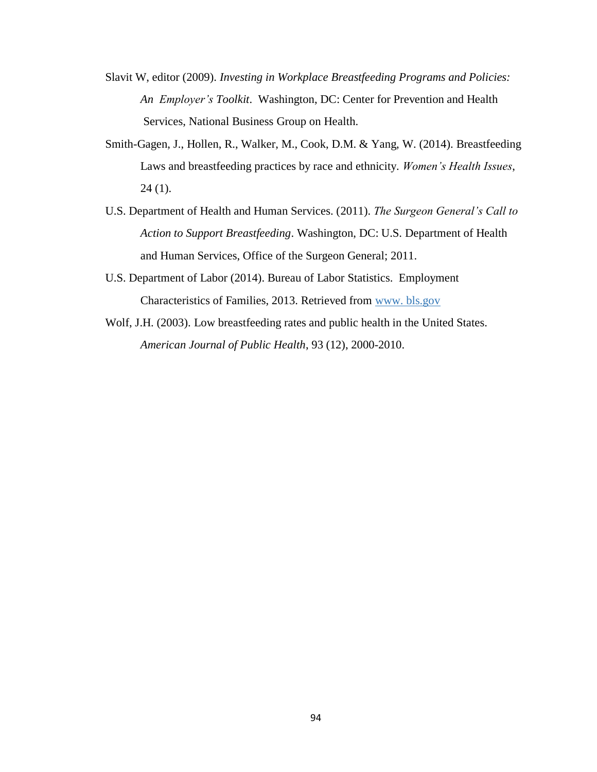- Slavit W, editor (2009). *Investing in Workplace Breastfeeding Programs and Policies: An Employer's Toolkit*. Washington, DC: Center for Prevention and Health Services, National Business Group on Health.
- Smith-Gagen, J., Hollen, R., Walker, M., Cook, D.M. & Yang, W. (2014). Breastfeeding Laws and breastfeeding practices by race and ethnicity. *Women's Health Issues*,  $24(1)$ .
- U.S. Department of Health and Human Services. (2011). *The Surgeon General's Call to Action to Support Breastfeeding*. Washington, DC: U.S. Department of Health and Human Services, Office of the Surgeon General; 2011.
- U.S. Department of Labor (2014). Bureau of Labor Statistics. Employment Characteristics of Families, 2013. Retrieved from www. bls.gov
- Wolf, J.H. (2003). Low breastfeeding rates and public health in the United States. *American Journal of Public Health*, 93 (12), 2000-2010.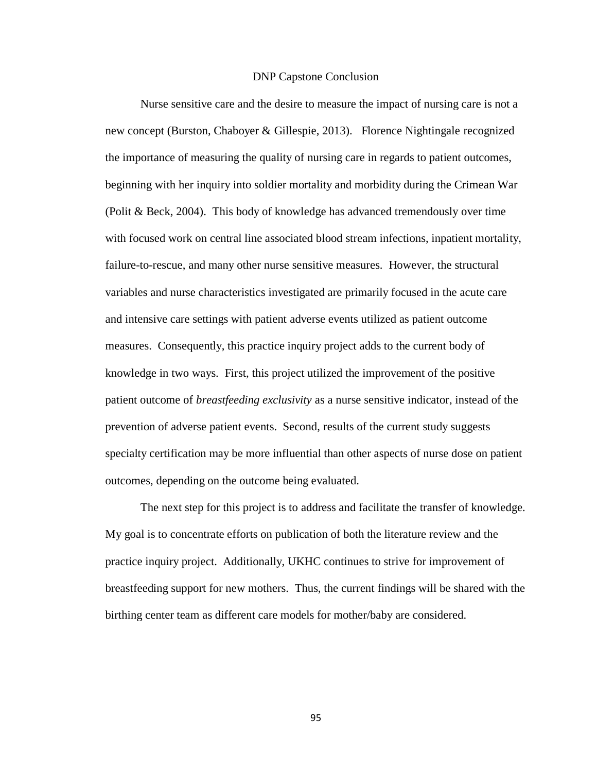#### DNP Capstone Conclusion

Nurse sensitive care and the desire to measure the impact of nursing care is not a new concept (Burston, Chaboyer & Gillespie, 2013). Florence Nightingale recognized the importance of measuring the quality of nursing care in regards to patient outcomes, beginning with her inquiry into soldier mortality and morbidity during the Crimean War (Polit & Beck, 2004). This body of knowledge has advanced tremendously over time with focused work on central line associated blood stream infections, inpatient mortality, failure-to-rescue, and many other nurse sensitive measures. However, the structural variables and nurse characteristics investigated are primarily focused in the acute care and intensive care settings with patient adverse events utilized as patient outcome measures. Consequently, this practice inquiry project adds to the current body of knowledge in two ways. First, this project utilized the improvement of the positive patient outcome of *breastfeeding exclusivity* as a nurse sensitive indicator, instead of the prevention of adverse patient events. Second, results of the current study suggests specialty certification may be more influential than other aspects of nurse dose on patient outcomes, depending on the outcome being evaluated.

The next step for this project is to address and facilitate the transfer of knowledge. My goal is to concentrate efforts on publication of both the literature review and the practice inquiry project. Additionally, UKHC continues to strive for improvement of breastfeeding support for new mothers. Thus, the current findings will be shared with the birthing center team as different care models for mother/baby are considered.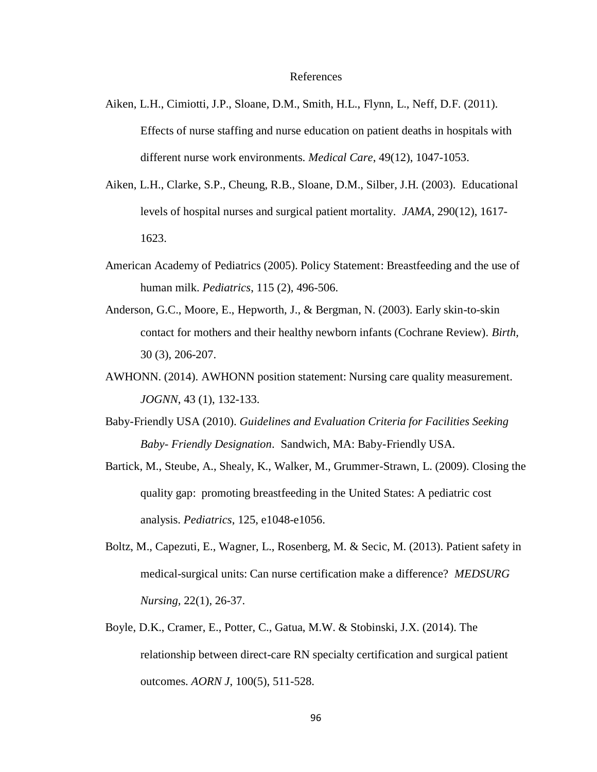- Aiken, L.H., Cimiotti, J.P., Sloane, D.M., Smith, H.L., Flynn, L., Neff, D.F. (2011). Effects of nurse staffing and nurse education on patient deaths in hospitals with different nurse work environments. *Medical Care*, 49(12), 1047-1053.
- Aiken, L.H., Clarke, S.P., Cheung, R.B., Sloane, D.M., Silber, J.H. (2003). Educational levels of hospital nurses and surgical patient mortality*. JAMA*, 290(12), 1617- 1623.
- American Academy of Pediatrics (2005). Policy Statement: Breastfeeding and the use of human milk. *Pediatrics*, 115 (2), 496-506.
- Anderson, G.C., Moore, E., Hepworth, J., & Bergman, N. (2003). Early skin-to-skin contact for mothers and their healthy newborn infants (Cochrane Review). *Birth,* 30 (3), 206-207.
- AWHONN. (2014). AWHONN position statement: Nursing care quality measurement. *JOGNN*, 43 (1), 132-133.
- Baby-Friendly USA (2010). *Guidelines and Evaluation Criteria for Facilities Seeking Baby- Friendly Designation*. Sandwich, MA: Baby-Friendly USA.
- Bartick, M., Steube, A., Shealy, K., Walker, M., Grummer-Strawn, L. (2009). Closing the quality gap: promoting breastfeeding in the United States: A pediatric cost analysis. *Pediatrics*, 125, e1048-e1056.
- Boltz, M., Capezuti, E., Wagner, L., Rosenberg, M. & Secic, M. (2013). Patient safety in medical-surgical units: Can nurse certification make a difference? *MEDSURG Nursing,* 22(1), 26-37.
- Boyle, D.K., Cramer, E., Potter, C., Gatua, M.W. & Stobinski, J.X. (2014). The relationship between direct-care RN specialty certification and surgical patient outcomes. *AORN J*, 100(5), 511-528.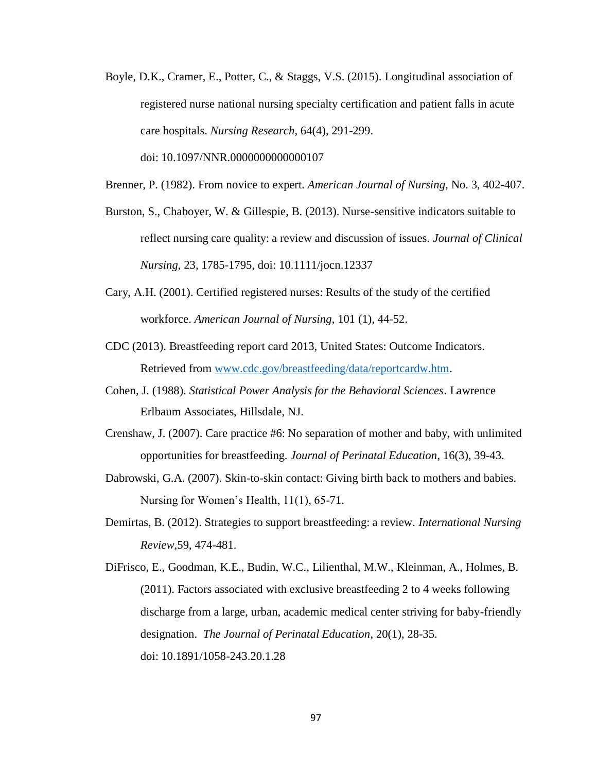Boyle, D.K., Cramer, E., Potter, C., & Staggs, V.S. (2015). Longitudinal association of registered nurse national nursing specialty certification and patient falls in acute care hospitals. *Nursing Research*, 64(4), 291-299.

doi: 10.1097/NNR.0000000000000107

- Brenner, P. (1982). From novice to expert. *American Journal of Nursing*, No. 3, 402-407.
- Burston, S., Chaboyer, W. & Gillespie, B. (2013). Nurse-sensitive indicators suitable to reflect nursing care quality: a review and discussion of issues. *Journal of Clinical Nursing,* 23, 1785-1795, doi: 10.1111/jocn.12337
- Cary, A.H. (2001). Certified registered nurses: Results of the study of the certified workforce. *American Journal of Nursing*, 101 (1), 44-52.
- CDC (2013). Breastfeeding report card 2013, United States: Outcome Indicators. Retrieved from [www.cdc.gov/breastfeeding/data/reportcardw.htm.](http://www.cdc.gov/breastfeeding/data/reportcardw.htm)
- Cohen, J. (1988). *Statistical Power Analysis for the Behavioral Sciences*. Lawrence Erlbaum Associates, Hillsdale, NJ.
- Crenshaw, J. (2007). Care practice #6: No separation of mother and baby, with unlimited opportunities for breastfeeding. *Journal of Perinatal Education*, 16(3), 39-43.
- Dabrowski, G.A. (2007). Skin-to-skin contact: Giving birth back to mothers and babies. Nursing for Women's Health, 11(1), 65-71.
- Demirtas, B. (2012). Strategies to support breastfeeding: a review. *International Nursing Review,*59, 474-481.

DiFrisco, E., Goodman, K.E., Budin, W.C., Lilienthal, M.W., Kleinman, A., Holmes, B. (2011). Factors associated with exclusive breastfeeding 2 to 4 weeks following discharge from a large, urban, academic medical center striving for baby-friendly designation. *The Journal of Perinatal Education*, 20(1), 28-35. doi: 10.1891/1058-243.20.1.28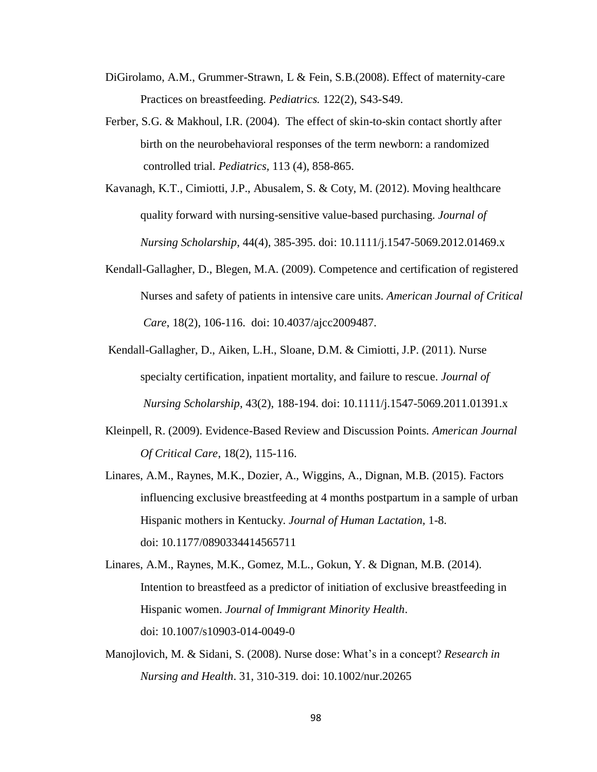- DiGirolamo, A.M., Grummer-Strawn, L & Fein, S.B.(2008). Effect of maternity-care Practices on breastfeeding. *Pediatrics.* 122(2), S43-S49.
- Ferber, S.G. & Makhoul, I.R. (2004). The effect of skin-to-skin contact shortly after birth on the neurobehavioral responses of the term newborn: a randomized controlled trial. *Pediatrics,* 113 (4), 858-865.
- Kavanagh, K.T., Cimiotti, J.P., Abusalem, S. & Coty, M. (2012). Moving healthcare quality forward with nursing-sensitive value-based purchasing. *Journal of Nursing Scholarship*, 44(4), 385-395. doi: 10.1111/j.1547-5069.2012.01469.x
- Kendall-Gallagher, D., Blegen, M.A. (2009). Competence and certification of registered Nurses and safety of patients in intensive care units. *American Journal of Critical Care*, 18(2), 106-116. doi: 10.4037/ajcc2009487.
- Kendall-Gallagher, D., Aiken, L.H., Sloane, D.M. & Cimiotti, J.P. (2011). Nurse specialty certification, inpatient mortality, and failure to rescue. *Journal of Nursing Scholarship*, 43(2), 188-194. doi: 10.1111/j.1547-5069.2011.01391.x
- Kleinpell, R. (2009). Evidence-Based Review and Discussion Points. *American Journal Of Critical Care*, 18(2), 115-116.
- Linares, A.M., Raynes, M.K., Dozier, A., Wiggins, A., Dignan, M.B. (2015). Factors influencing exclusive breastfeeding at 4 months postpartum in a sample of urban Hispanic mothers in Kentucky. *Journal of Human Lactation,* 1-8. doi: 10.1177/0890334414565711
- Linares, A.M., Raynes, M.K., Gomez, M.L., Gokun, Y. & Dignan, M.B. (2014). Intention to breastfeed as a predictor of initiation of exclusive breastfeeding in Hispanic women. *Journal of Immigrant Minority Health*. doi: 10.1007/s10903-014-0049-0
- Manojlovich, M. & Sidani, S. (2008). Nurse dose: What's in a concept? *Research in Nursing and Health*. 31, 310-319. doi: 10.1002/nur.20265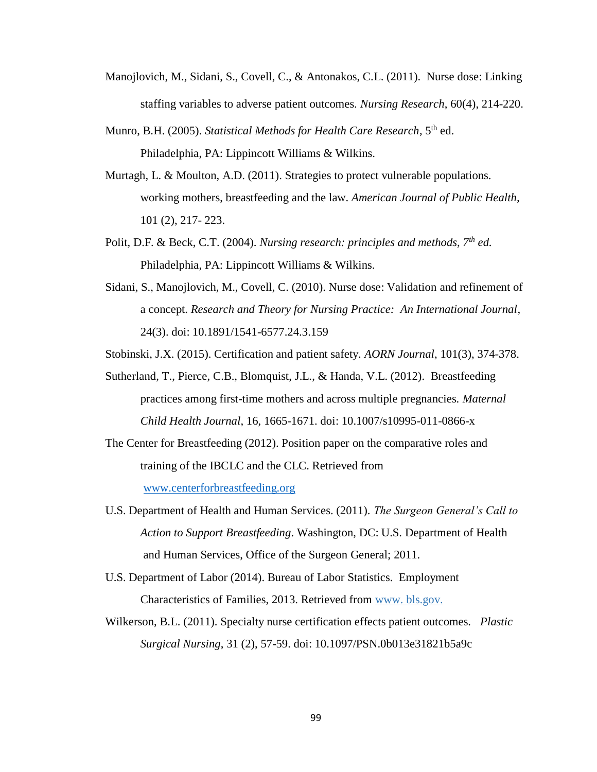- Manojlovich, M., Sidani, S., Covell, C., & Antonakos, C.L. (2011). Nurse dose: Linking staffing variables to adverse patient outcomes. *Nursing Research*, 60(4), 214-220.
- Munro, B.H. (2005). *Statistical Methods for Health Care Research*, 5th ed. Philadelphia, PA: Lippincott Williams & Wilkins.
- Murtagh, L. & Moulton, A.D. (2011). Strategies to protect vulnerable populations. working mothers, breastfeeding and the law. *American Journal of Public Health,* 101 (2), 217- 223.
- Polit, D.F. & Beck, C.T. (2004). *Nursing research: principles and methods, 7th ed.* Philadelphia, PA: Lippincott Williams & Wilkins.
- Sidani, S., Manojlovich, M., Covell, C. (2010). Nurse dose: Validation and refinement of a concept. *Research and Theory for Nursing Practice: An International Journal,* 24(3). doi: 10.1891/1541-6577.24.3.159

Stobinski, J.X. (2015). Certification and patient safety. *AORN Journal*, 101(3), 374-378.

- Sutherland, T., Pierce, C.B., Blomquist, J.L., & Handa, V.L. (2012). Breastfeeding practices among first-time mothers and across multiple pregnancies. *Maternal Child Health Journal*, 16, 1665-1671. doi: 10.1007/s10995-011-0866-x
- The Center for Breastfeeding (2012). Position paper on the comparative roles and training of the IBCLC and the CLC. Retrieved from [www.centerforbreastfeeding.org](http://www.centerforbreastfeeding.org/)
- U.S. Department of Health and Human Services. (2011). *The Surgeon General's Call to Action to Support Breastfeeding*. Washington, DC: U.S. Department of Health and Human Services, Office of the Surgeon General; 2011.
- U.S. Department of Labor (2014). Bureau of Labor Statistics. Employment Characteristics of Families, 2013. Retrieved from www. bls.gov.
- Wilkerson, B.L. (2011). Specialty nurse certification effects patient outcomes. *Plastic Surgical Nursing*, 31 (2), 57-59. doi: 10.1097/PSN.0b013e31821b5a9c